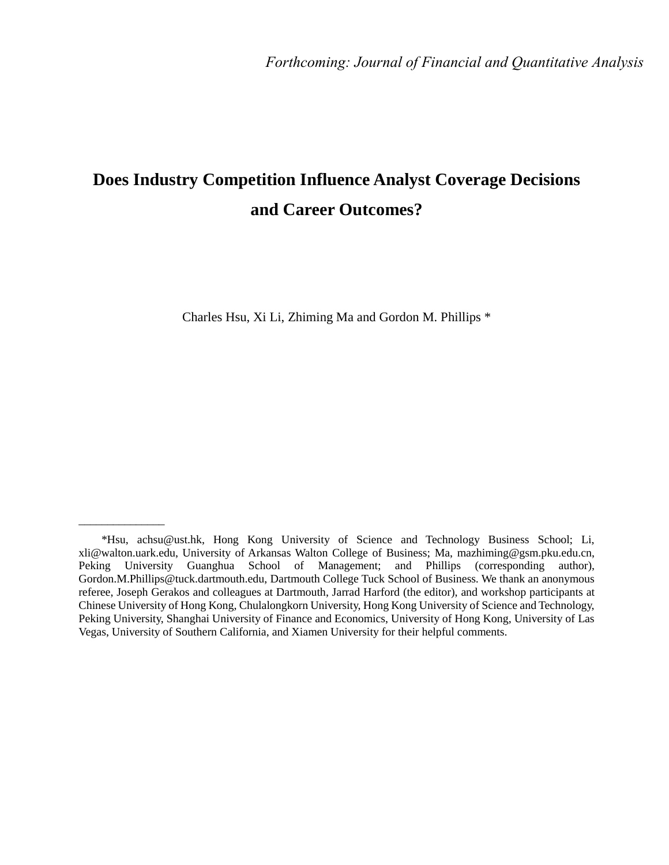# **Does Industry Competition Influence Analyst Coverage Decisions and Career Outcomes?**

Charles Hsu, Xi Li, Zhiming Ma and Gordon M. Phillips \*

\_\_\_\_\_\_\_\_\_\_\_\_\_\_\_

<sup>\*</sup>Hsu, achsu@ust.hk, Hong Kong University of Science and Technology Business School; Li, xli@walton.uark.edu, University of Arkansas Walton College of Business; Ma, mazhiming@gsm.pku.edu.cn, Peking University Guanghua School of Management; and Phillips (corresponding author), Gordon.M.Phillips@tuck.dartmouth.edu, Dartmouth College Tuck School of Business. We thank an anonymous referee, Joseph Gerakos and colleagues at Dartmouth, Jarrad Harford (the editor), and workshop participants at Chinese University of Hong Kong, Chulalongkorn University, Hong Kong University of Science and Technology, Peking University, Shanghai University of Finance and Economics, University of Hong Kong, University of Las Vegas, University of Southern California, and Xiamen University for their helpful comments.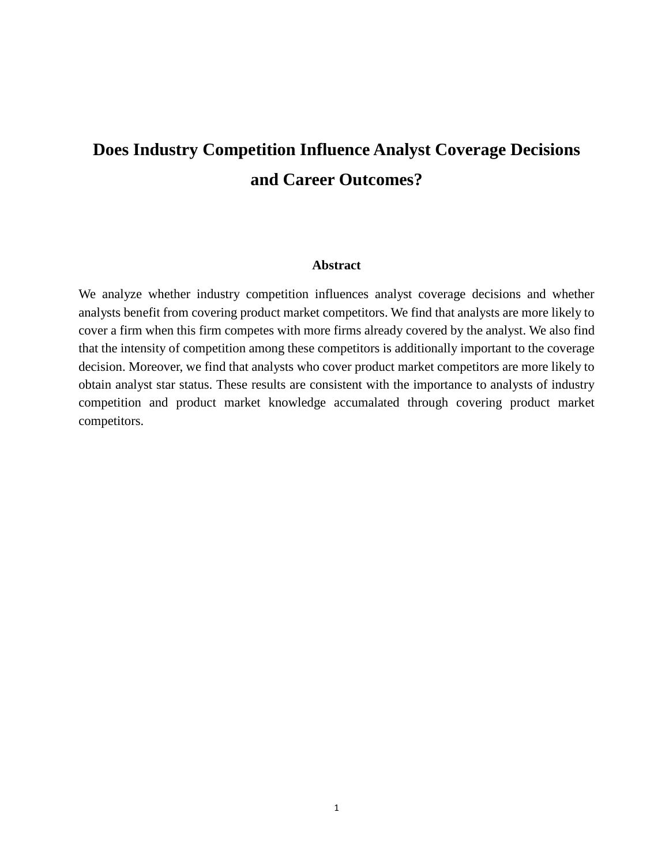# **Does Industry Competition Influence Analyst Coverage Decisions and Career Outcomes?**

#### **Abstract**

We analyze whether industry competition influences analyst coverage decisions and whether analysts benefit from covering product market competitors. We find that analysts are more likely to cover a firm when this firm competes with more firms already covered by the analyst. We also find that the intensity of competition among these competitors is additionally important to the coverage decision. Moreover, we find that analysts who cover product market competitors are more likely to obtain analyst star status. These results are consistent with the importance to analysts of industry competition and product market knowledge accumalated through covering product market competitors.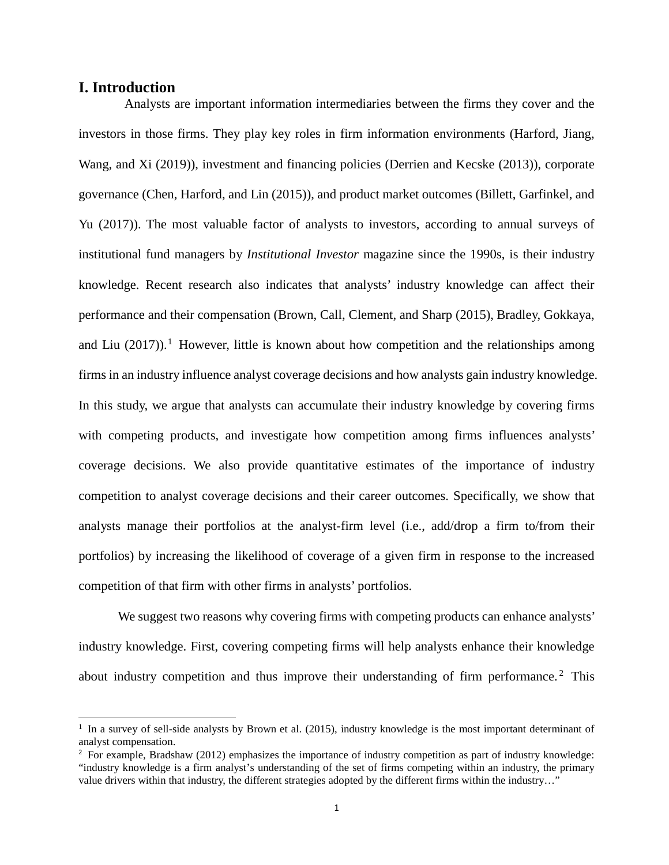# **I. Introduction**

 $\overline{a}$ 

Analysts are important information intermediaries between the firms they cover and the investors in those firms. They play key roles in firm information environments (Harford, Jiang, Wang, and Xi (2019)), investment and financing policies (Derrien and Kecske (2013)), corporate governance (Chen, Harford, and Lin (2015)), and product market outcomes (Billett, Garfinkel, and Yu (2017)). The most valuable factor of analysts to investors, according to annual surveys of institutional fund managers by *Institutional Investor* magazine since the 1990s, is their industry knowledge. Recent research also indicates that analysts' industry knowledge can affect their performance and their compensation (Brown, Call, Clement, and Sharp (2015), Bradley, Gokkaya, and Liu  $(2017)$  $(2017)$  $(2017)$ ).<sup>1</sup> However, little is known about how competition and the relationships among firms in an industry influence analyst coverage decisions and how analysts gain industry knowledge. In this study, we argue that analysts can accumulate their industry knowledge by covering firms with competing products, and investigate how competition among firms influences analysts' coverage decisions. We also provide quantitative estimates of the importance of industry competition to analyst coverage decisions and their career outcomes. Specifically, we show that analysts manage their portfolios at the analyst-firm level (i.e., add/drop a firm to/from their portfolios) by increasing the likelihood of coverage of a given firm in response to the increased competition of that firm with other firms in analysts' portfolios.

We suggest two reasons why covering firms with competing products can enhance analysts' industry knowledge. First, covering competing firms will help analysts enhance their knowledge about industry competition and thus improve their understanding of firm performance.<sup>[2](#page-2-1)</sup> This

<span id="page-2-0"></span> $1$  In a survey of sell-side analysts by Brown et al. (2015), industry knowledge is the most important determinant of analyst compensation.

<span id="page-2-1"></span><sup>&</sup>lt;sup>2</sup> For example, Bradshaw (2012) emphasizes the importance of industry competition as part of industry knowledge: "industry knowledge is a firm analyst's understanding of the set of firms competing within an industry, the primary value drivers within that industry, the different strategies adopted by the different firms within the industry…"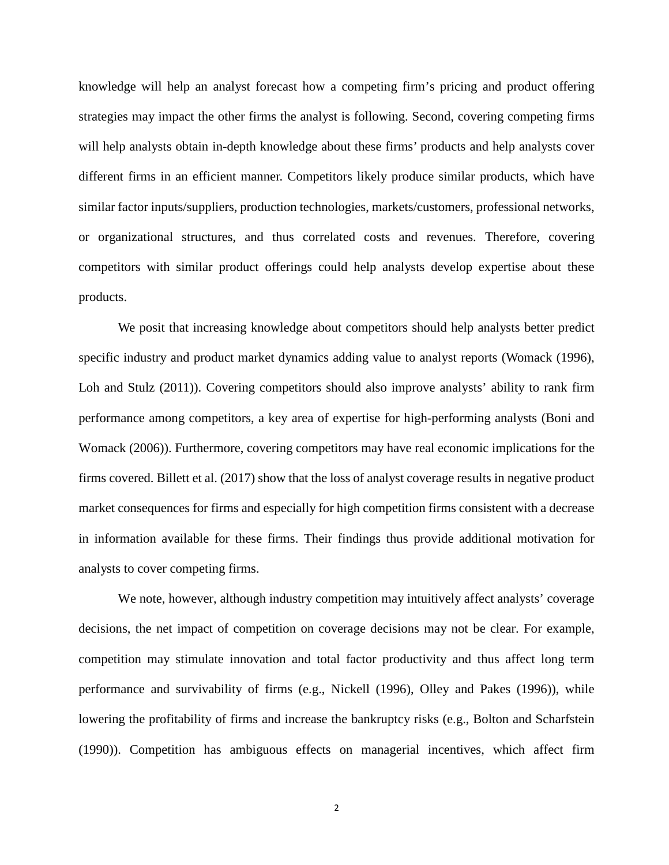knowledge will help an analyst forecast how a competing firm's pricing and product offering strategies may impact the other firms the analyst is following. Second, covering competing firms will help analysts obtain in-depth knowledge about these firms' products and help analysts cover different firms in an efficient manner. Competitors likely produce similar products, which have similar factor inputs/suppliers, production technologies, markets/customers, professional networks, or organizational structures, and thus correlated costs and revenues. Therefore, covering competitors with similar product offerings could help analysts develop expertise about these products.

We posit that increasing knowledge about competitors should help analysts better predict specific industry and product market dynamics adding value to analyst reports (Womack (1996), Loh and Stulz (2011)). Covering competitors should also improve analysts' ability to rank firm performance among competitors, a key area of expertise for high-performing analysts (Boni and Womack (2006)). Furthermore, covering competitors may have real economic implications for the firms covered. Billett et al. (2017) show that the loss of analyst coverage results in negative product market consequences for firms and especially for high competition firms consistent with a decrease in information available for these firms. Their findings thus provide additional motivation for analysts to cover competing firms.

We note, however, although industry competition may intuitively affect analysts' coverage decisions, the net impact of competition on coverage decisions may not be clear. For example, competition may stimulate innovation and total factor productivity and thus affect long term performance and survivability of firms (e.g., Nickell (1996), Olley and Pakes (1996)), while lowering the profitability of firms and increase the bankruptcy risks (e.g., Bolton and Scharfstein (1990)). Competition has ambiguous effects on managerial incentives, which affect firm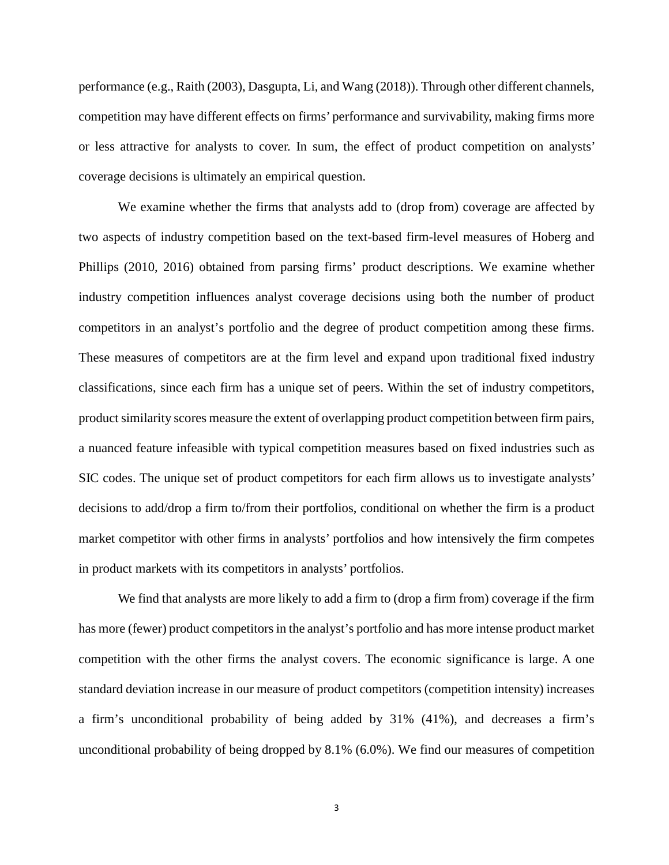performance (e.g., Raith (2003), Dasgupta, Li, and Wang (2018)). Through other different channels, competition may have different effects on firms' performance and survivability, making firms more or less attractive for analysts to cover. In sum, the effect of product competition on analysts' coverage decisions is ultimately an empirical question.

We examine whether the firms that analysts add to (drop from) coverage are affected by two aspects of industry competition based on the text-based firm-level measures of Hoberg and Phillips (2010, 2016) obtained from parsing firms' product descriptions. We examine whether industry competition influences analyst coverage decisions using both the number of product competitors in an analyst's portfolio and the degree of product competition among these firms. These measures of competitors are at the firm level and expand upon traditional fixed industry classifications, since each firm has a unique set of peers. Within the set of industry competitors, product similarity scores measure the extent of overlapping product competition between firm pairs, a nuanced feature infeasible with typical competition measures based on fixed industries such as SIC codes. The unique set of product competitors for each firm allows us to investigate analysts' decisions to add/drop a firm to/from their portfolios, conditional on whether the firm is a product market competitor with other firms in analysts' portfolios and how intensively the firm competes in product markets with its competitors in analysts' portfolios.

We find that analysts are more likely to add a firm to (drop a firm from) coverage if the firm has more (fewer) product competitors in the analyst's portfolio and has more intense product market competition with the other firms the analyst covers. The economic significance is large. A one standard deviation increase in our measure of product competitors (competition intensity) increases a firm's unconditional probability of being added by 31% (41%), and decreases a firm's unconditional probability of being dropped by 8.1% (6.0%). We find our measures of competition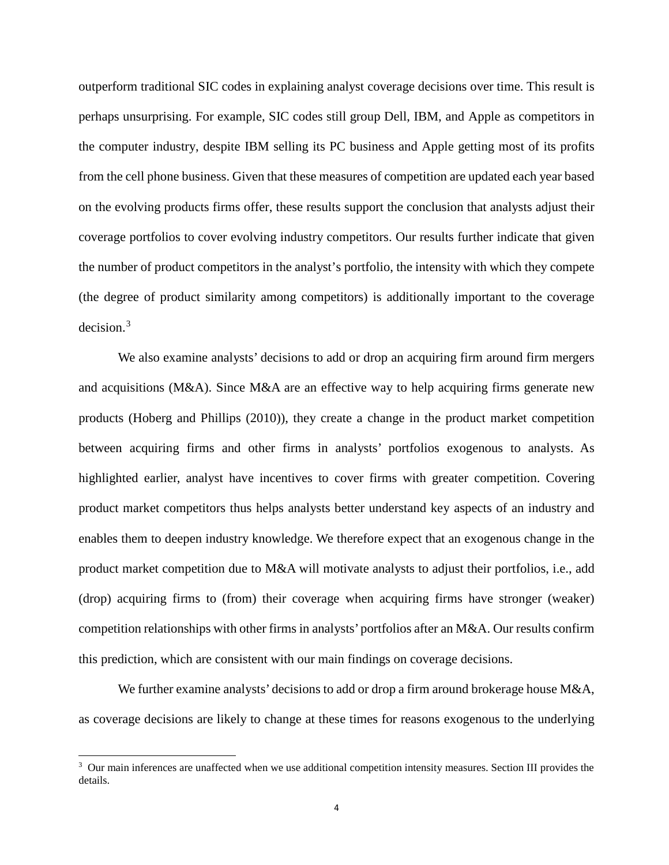outperform traditional SIC codes in explaining analyst coverage decisions over time. This result is perhaps unsurprising. For example, SIC codes still group Dell, IBM, and Apple as competitors in the computer industry, despite IBM selling its PC business and Apple getting most of its profits from the cell phone business. Given that these measures of competition are updated each year based on the evolving products firms offer, these results support the conclusion that analysts adjust their coverage portfolios to cover evolving industry competitors. Our results further indicate that given the number of product competitors in the analyst's portfolio, the intensity with which they compete (the degree of product similarity among competitors) is additionally important to the coverage decision. [3](#page-5-0)

We also examine analysts' decisions to add or drop an acquiring firm around firm mergers and acquisitions ( $M&A$ ). Since  $M&A$  are an effective way to help acquiring firms generate new products (Hoberg and Phillips (2010)), they create a change in the product market competition between acquiring firms and other firms in analysts' portfolios exogenous to analysts. As highlighted earlier, analyst have incentives to cover firms with greater competition. Covering product market competitors thus helps analysts better understand key aspects of an industry and enables them to deepen industry knowledge. We therefore expect that an exogenous change in the product market competition due to M&A will motivate analysts to adjust their portfolios, i.e., add (drop) acquiring firms to (from) their coverage when acquiring firms have stronger (weaker) competition relationships with other firms in analysts' portfolios after an  $M&A$ . Our results confirm this prediction, which are consistent with our main findings on coverage decisions.

We further examine analysts' decisions to add or drop a firm around brokerage house M&A, as coverage decisions are likely to change at these times for reasons exogenous to the underlying

 $\overline{a}$ 

<span id="page-5-0"></span><sup>&</sup>lt;sup>3</sup> Our main inferences are unaffected when we use additional competition intensity measures. Section III provides the details.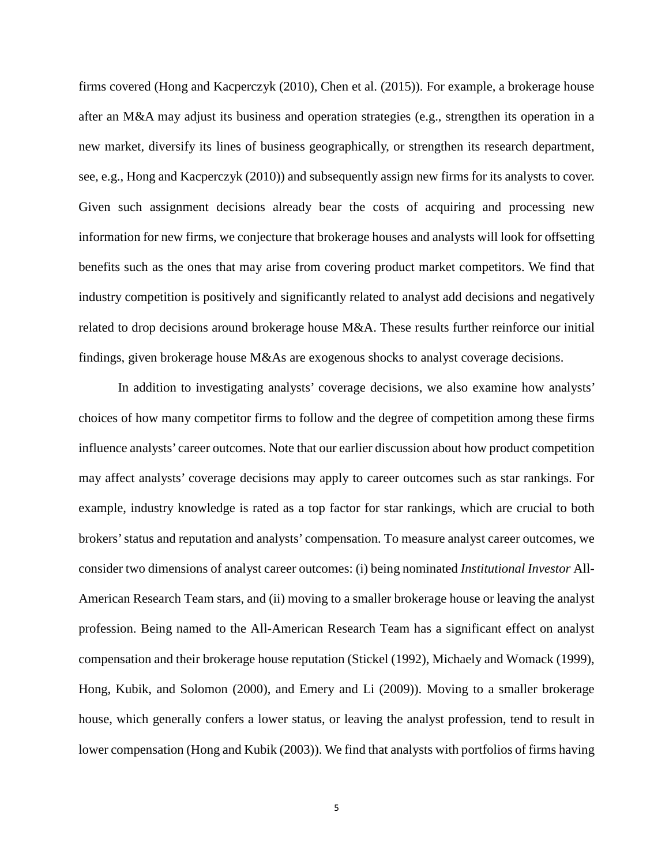firms covered (Hong and Kacperczyk (2010), Chen et al. (2015)). For example, a brokerage house after an M&A may adjust its business and operation strategies (e.g., strengthen its operation in a new market, diversify its lines of business geographically, or strengthen its research department, see, e.g., Hong and Kacperczyk (2010)) and subsequently assign new firms for its analysts to cover. Given such assignment decisions already bear the costs of acquiring and processing new information for new firms, we conjecture that brokerage houses and analysts will look for offsetting benefits such as the ones that may arise from covering product market competitors. We find that industry competition is positively and significantly related to analyst add decisions and negatively related to drop decisions around brokerage house M&A. These results further reinforce our initial findings, given brokerage house M&As are exogenous shocks to analyst coverage decisions.

In addition to investigating analysts' coverage decisions, we also examine how analysts' choices of how many competitor firms to follow and the degree of competition among these firms influence analysts' career outcomes. Note that our earlier discussion about how product competition may affect analysts' coverage decisions may apply to career outcomes such as star rankings. For example, industry knowledge is rated as a top factor for star rankings, which are crucial to both brokers' status and reputation and analysts' compensation. To measure analyst career outcomes, we consider two dimensions of analyst career outcomes: (i) being nominated *Institutional Investor* All-American Research Team stars, and (ii) moving to a smaller brokerage house or leaving the analyst profession. Being named to the All-American Research Team has a significant effect on analyst compensation and their brokerage house reputation (Stickel (1992), Michaely and Womack (1999), Hong, Kubik, and Solomon (2000), and Emery and Li (2009)). Moving to a smaller brokerage house, which generally confers a lower status, or leaving the analyst profession, tend to result in lower compensation (Hong and Kubik (2003)). We find that analysts with portfolios of firms having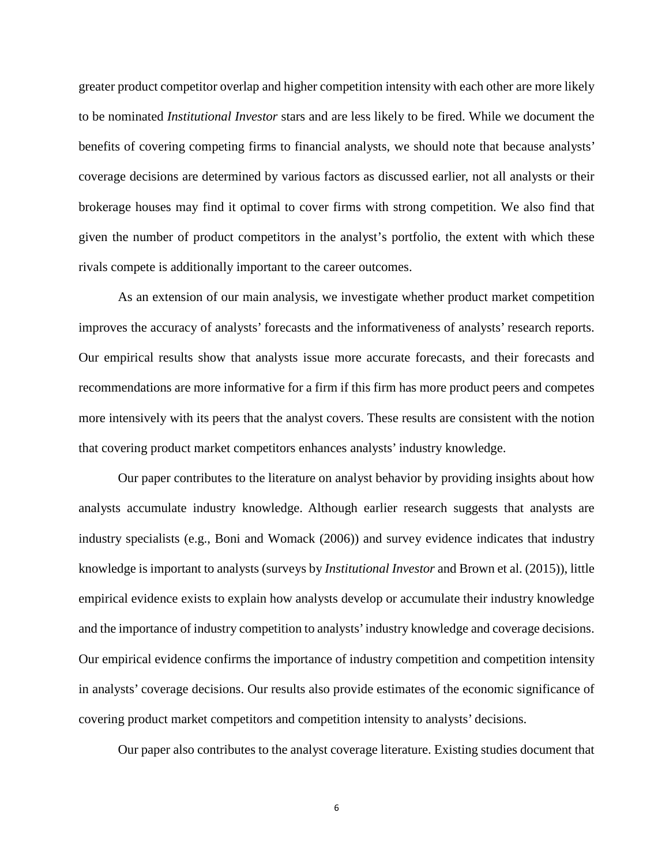greater product competitor overlap and higher competition intensity with each other are more likely to be nominated *Institutional Investor* stars and are less likely to be fired. While we document the benefits of covering competing firms to financial analysts, we should note that because analysts' coverage decisions are determined by various factors as discussed earlier, not all analysts or their brokerage houses may find it optimal to cover firms with strong competition. We also find that given the number of product competitors in the analyst's portfolio, the extent with which these rivals compete is additionally important to the career outcomes.

As an extension of our main analysis, we investigate whether product market competition improves the accuracy of analysts' forecasts and the informativeness of analysts' research reports. Our empirical results show that analysts issue more accurate forecasts, and their forecasts and recommendations are more informative for a firm if this firm has more product peers and competes more intensively with its peers that the analyst covers. These results are consistent with the notion that covering product market competitors enhances analysts' industry knowledge.

Our paper contributes to the literature on analyst behavior by providing insights about how analysts accumulate industry knowledge. Although earlier research suggests that analysts are industry specialists (e.g., Boni and Womack (2006)) and survey evidence indicates that industry knowledge is important to analysts (surveys by *Institutional Investor* and Brown et al. (2015)), little empirical evidence exists to explain how analysts develop or accumulate their industry knowledge and the importance of industry competition to analysts' industry knowledge and coverage decisions. Our empirical evidence confirms the importance of industry competition and competition intensity in analysts' coverage decisions. Our results also provide estimates of the economic significance of covering product market competitors and competition intensity to analysts' decisions.

Our paper also contributes to the analyst coverage literature. Existing studies document that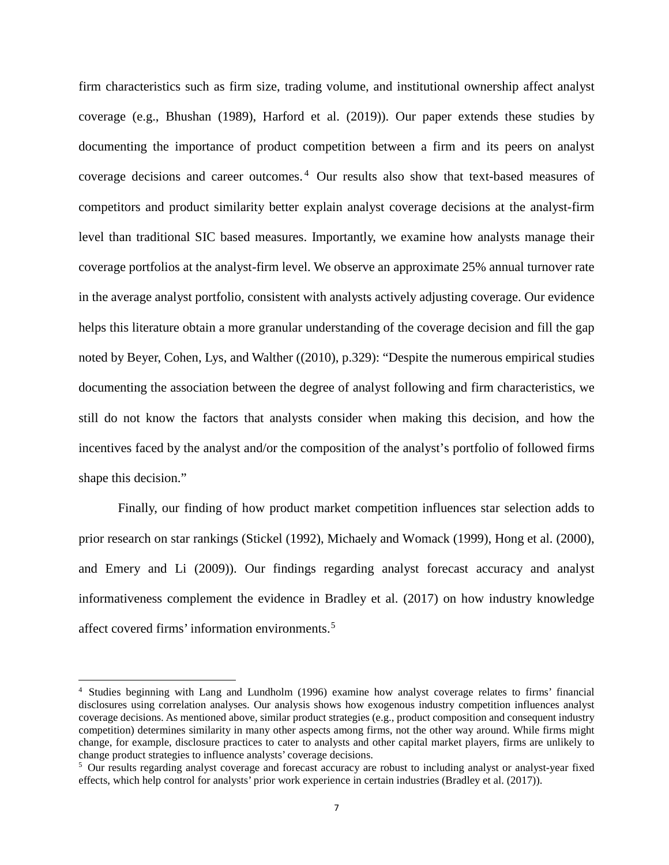firm characteristics such as firm size, trading volume, and institutional ownership affect analyst coverage (e.g., Bhushan (1989), Harford et al. (2019)). Our paper extends these studies by documenting the importance of product competition between a firm and its peers on analyst coverage decisions and career outcomes.<sup>[4](#page-8-0)</sup> Our results also show that text-based measures of competitors and product similarity better explain analyst coverage decisions at the analyst-firm level than traditional SIC based measures. Importantly, we examine how analysts manage their coverage portfolios at the analyst-firm level. We observe an approximate 25% annual turnover rate in the average analyst portfolio, consistent with analysts actively adjusting coverage. Our evidence helps this literature obtain a more granular understanding of the coverage decision and fill the gap noted by Beyer, Cohen, Lys, and Walther ((2010), p.329): "Despite the numerous empirical studies documenting the association between the degree of analyst following and firm characteristics, we still do not know the factors that analysts consider when making this decision, and how the incentives faced by the analyst and/or the composition of the analyst's portfolio of followed firms shape this decision."

Finally, our finding of how product market competition influences star selection adds to prior research on star rankings (Stickel (1992), Michaely and Womack (1999), Hong et al. (2000), and Emery and Li (2009)). Our findings regarding analyst forecast accuracy and analyst informativeness complement the evidence in Bradley et al. (2017) on how industry knowledge affect covered firms' information environments. [5](#page-8-1)

 $\overline{a}$ 

<span id="page-8-0"></span><sup>4</sup> Studies beginning with Lang and Lundholm (1996) examine how analyst coverage relates to firms' financial disclosures using correlation analyses. Our analysis shows how exogenous industry competition influences analyst coverage decisions. As mentioned above, similar product strategies (e.g., product composition and consequent industry competition) determines similarity in many other aspects among firms, not the other way around. While firms might change, for example, disclosure practices to cater to analysts and other capital market players, firms are unlikely to change product strategies to influence analysts' coverage decisions.

<span id="page-8-1"></span><sup>5</sup> Our results regarding analyst coverage and forecast accuracy are robust to including analyst or analyst-year fixed effects, which help control for analysts' prior work experience in certain industries (Bradley et al. (2017)).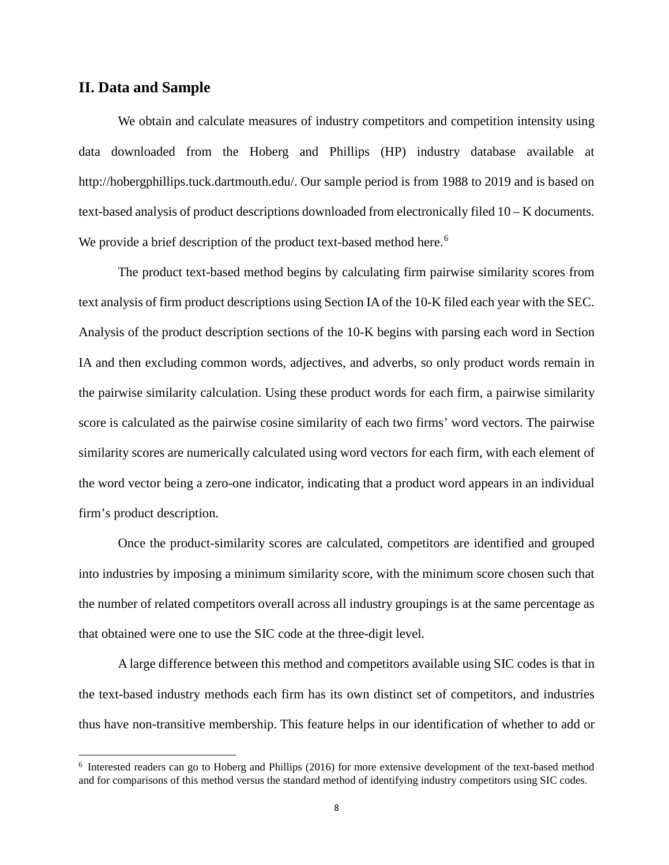# **II. Data and Sample**

 $\overline{a}$ 

We obtain and calculate measures of industry competitors and competition intensity using data downloaded from the Hoberg and Phillips (HP) industry database available at http://hobergphillips.tuck.dartmouth.edu/. Our sample period is from 1988 to 2019 and is based on text-based analysis of product descriptions downloaded from electronically filed 10 – K documents. We provide a brief description of the product text-based method here.<sup>[6](#page-9-0)</sup>

The product text-based method begins by calculating firm pairwise similarity scores from text analysis of firm product descriptions using Section IA of the 10-K filed each year with the SEC. Analysis of the product description sections of the 10-K begins with parsing each word in Section IA and then excluding common words, adjectives, and adverbs, so only product words remain in the pairwise similarity calculation. Using these product words for each firm, a pairwise similarity score is calculated as the pairwise cosine similarity of each two firms' word vectors. The pairwise similarity scores are numerically calculated using word vectors for each firm, with each element of the word vector being a zero-one indicator, indicating that a product word appears in an individual firm's product description.

Once the product-similarity scores are calculated, competitors are identified and grouped into industries by imposing a minimum similarity score, with the minimum score chosen such that the number of related competitors overall across all industry groupings is at the same percentage as that obtained were one to use the SIC code at the three-digit level.

A large difference between this method and competitors available using SIC codes is that in the text-based industry methods each firm has its own distinct set of competitors, and industries thus have non-transitive membership. This feature helps in our identification of whether to add or

<span id="page-9-0"></span><sup>6</sup> Interested readers can go to Hoberg and Phillips (2016) for more extensive development of the text-based method and for comparisons of this method versus the standard method of identifying industry competitors using SIC codes.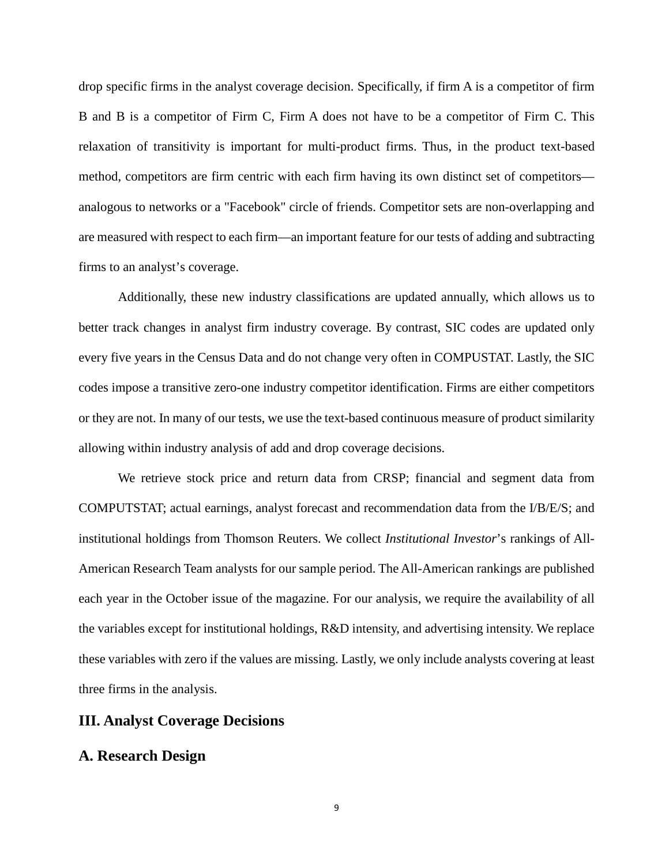drop specific firms in the analyst coverage decision. Specifically, if firm A is a competitor of firm B and B is a competitor of Firm C, Firm A does not have to be a competitor of Firm C. This relaxation of transitivity is important for multi-product firms. Thus, in the product text-based method, competitors are firm centric with each firm having its own distinct set of competitors analogous to networks or a "Facebook" circle of friends. Competitor sets are non-overlapping and are measured with respect to each firm—an important feature for our tests of adding and subtracting firms to an analyst's coverage.

Additionally, these new industry classifications are updated annually, which allows us to better track changes in analyst firm industry coverage. By contrast, SIC codes are updated only every five years in the Census Data and do not change very often in COMPUSTAT. Lastly, the SIC codes impose a transitive zero-one industry competitor identification. Firms are either competitors or they are not. In many of our tests, we use the text-based continuous measure of product similarity allowing within industry analysis of add and drop coverage decisions.

We retrieve stock price and return data from CRSP; financial and segment data from COMPUTSTAT; actual earnings, analyst forecast and recommendation data from the I/B/E/S; and institutional holdings from Thomson Reuters. We collect *Institutional Investor*'s rankings of All-American Research Team analysts for our sample period. The All-American rankings are published each year in the October issue of the magazine. For our analysis, we require the availability of all the variables except for institutional holdings, R&D intensity, and advertising intensity. We replace these variables with zero if the values are missing. Lastly, we only include analysts covering at least three firms in the analysis.

# **III. Analyst Coverage Decisions**

# **A. Research Design**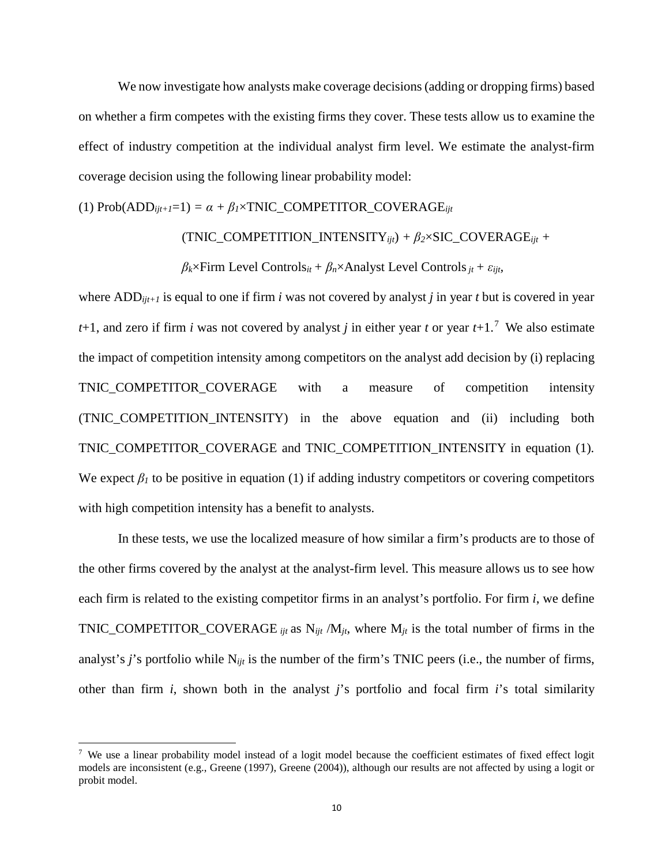We now investigate how analysts make coverage decisions (adding or dropping firms) based on whether a firm competes with the existing firms they cover. These tests allow us to examine the effect of industry competition at the individual analyst firm level. We estimate the analyst-firm coverage decision using the following linear probability model:

(1)  $Prob(ADD_{ijt+1}=1) = \alpha + \beta_1 \times TNIC\_COMPETITOR\_COVERAGE_{ijt}$ 

 $(TNIC\_COMPETITION\_INTENSITY_{ijt}) + \beta_2 \times SIC\_COVERAGE_{ijt} +$ 

*βk*×Firm Level Controls*it+ βn*×Analyst Level Controls*jt+ εijt,* 

where ADD*ijt+1* is equal to one if firm *i* was not covered by analyst *j* in year *t* but is covered in year  $t+1$ , and zero if firm *i* was not covered by analyst *j* in either year *t* or year  $t+1$ .<sup>[7](#page-11-0)</sup> We also estimate the impact of competition intensity among competitors on the analyst add decision by (i) replacing TNIC\_COMPETITOR\_COVERAGE with a measure of competition intensity (TNIC\_COMPETITION\_INTENSITY) in the above equation and (ii) including both TNIC\_COMPETITOR\_COVERAGE and TNIC\_COMPETITION\_INTENSITY in equation (1)*.* We expect  $\beta_l$  to be positive in equation (1) if adding industry competitors or covering competitors with high competition intensity has a benefit to analysts.

In these tests, we use the localized measure of how similar a firm's products are to those of the other firms covered by the analyst at the analyst-firm level. This measure allows us to see how each firm is related to the existing competitor firms in an analyst's portfolio. For firm *i*, we define TNIC\_COMPETITOR\_COVERAGE *ijt* as N*ijt* /M*jt*, where M*jt* is the total number of firms in the analyst's *j*'s portfolio while N*ijt* is the number of the firm's TNIC peers (i.e., the number of firms, other than firm *i*, shown both in the analyst *j*'s portfolio and focal firm *i*'s total similarity

 $\overline{\phantom{a}}$ 

<span id="page-11-0"></span><sup>&</sup>lt;sup>7</sup> We use a linear probability model instead of a logit model because the coefficient estimates of fixed effect logit models are inconsistent (e.g., Greene (1997), Greene (2004)), although our results are not affected by using a logit or probit model.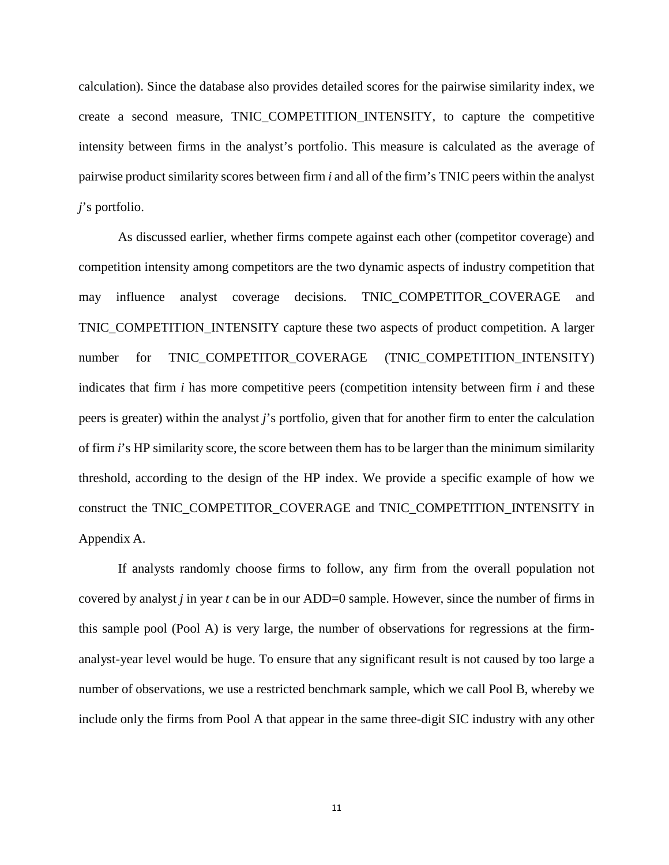calculation). Since the database also provides detailed scores for the pairwise similarity index, we create a second measure, TNIC\_COMPETITION\_INTENSITY*,* to capture the competitive intensity between firms in the analyst's portfolio. This measure is calculated as the average of pairwise product similarity scores between firm *i* and all of the firm's TNIC peers within the analyst *j*'s portfolio.

As discussed earlier, whether firms compete against each other (competitor coverage) and competition intensity among competitors are the two dynamic aspects of industry competition that may influence analyst coverage decisions. TNIC\_COMPETITOR\_COVERAGE and TNIC\_COMPETITION\_INTENSITY capture these two aspects of product competition. A larger number for TNIC COMPETITOR COVERAGE (TNIC COMPETITION INTENSITY) indicates that firm *i* has more competitive peers (competition intensity between firm *i* and these peers is greater) within the analyst *j*'s portfolio*,* given that for another firm to enter the calculation of firm *i*'s HP similarity score, the score between them has to be larger than the minimum similarity threshold, according to the design of the HP index. We provide a specific example of how we construct the TNIC\_COMPETITOR\_COVERAGE and TNIC\_COMPETITION\_INTENSITY in Appendix A.

If analysts randomly choose firms to follow, any firm from the overall population not covered by analyst *j* in year *t* can be in our ADD=0 sample. However, since the number of firms in this sample pool (Pool A) is very large, the number of observations for regressions at the firmanalyst-year level would be huge. To ensure that any significant result is not caused by too large a number of observations, we use a restricted benchmark sample, which we call Pool B, whereby we include only the firms from Pool A that appear in the same three-digit SIC industry with any other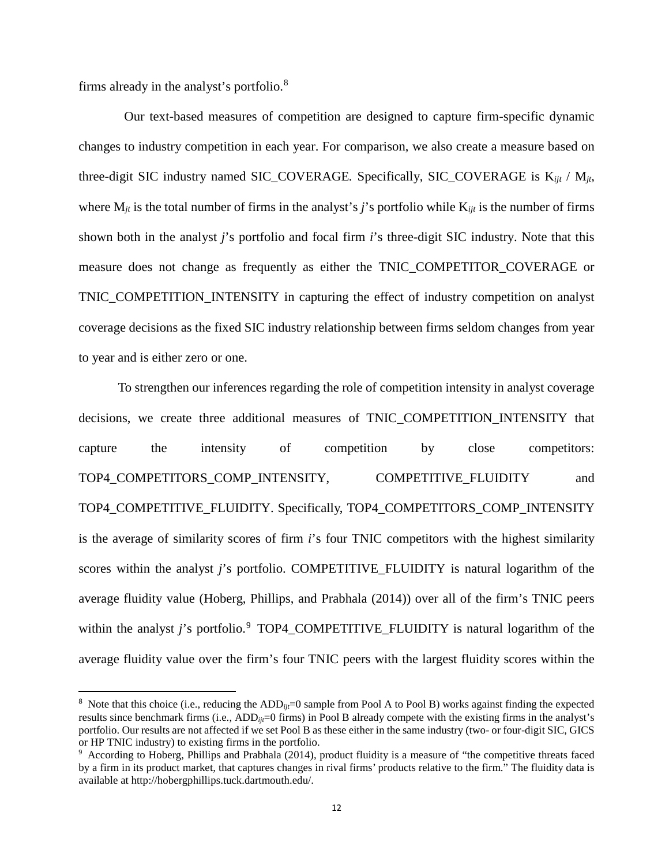firms already in the analyst's portfolio.[8](#page-13-0)

Our text-based measures of competition are designed to capture firm-specific dynamic changes to industry competition in each year. For comparison, we also create a measure based on three-digit SIC industry named SIC\_COVERAGE*.* Specifically, SIC\_COVERAGE is K*ijt* / M*jt*, where M*jt* is the total number of firms in the analyst's *j*'s portfolio while K*ijt* is the number of firms shown both in the analyst *j*'s portfolio and focal firm *i*'s three-digit SIC industry. Note that this measure does not change as frequently as either the TNIC\_COMPETITOR\_COVERAGE or TNIC\_COMPETITION\_INTENSITY in capturing the effect of industry competition on analyst coverage decisions as the fixed SIC industry relationship between firms seldom changes from year to year and is either zero or one.

To strengthen our inferences regarding the role of competition intensity in analyst coverage decisions, we create three additional measures of TNIC\_COMPETITION\_INTENSITY that capture the intensity of competition by close competitors: TOP4\_COMPETITORS\_COMP\_INTENSITY, COMPETITIVE\_FLUIDITY and TOP4\_COMPETITIVE\_FLUIDITY. Specifically, TOP4\_COMPETITORS\_COMP\_INTENSITY is the average of similarity scores of firm *i*'s four TNIC competitors with the highest similarity scores within the analyst *j*'s portfolio. COMPETITIVE\_FLUIDITY is natural logarithm of the average fluidity value (Hoberg, Phillips, and Prabhala (2014)) over all of the firm's TNIC peers within the analyst *j*'s portfolio.<sup>[9](#page-13-1)</sup> TOP4\_COMPETITIVE\_FLUIDITY is natural logarithm of the average fluidity value over the firm's four TNIC peers with the largest fluidity scores within the

<span id="page-13-0"></span><sup>&</sup>lt;sup>8</sup> Note that this choice (i.e., reducing the ADD<sub>*ijt*</sub>=0 sample from Pool A to Pool B) works against finding the expected results since benchmark firms (i.e., ADD<sub>ijt</sub>=0 firms) in Pool B already compete with the existing firms in the analyst's portfolio. Our results are not affected if we set Pool B as these either in the same industry (two- or four-digit SIC, GICS or HP TNIC industry) to existing firms in the portfolio.

<span id="page-13-1"></span><sup>9</sup> According to Hoberg, Phillips and Prabhala (2014), product fluidity is a measure of "the competitive threats faced by a firm in its product market, that captures changes in rival firms' products relative to the firm." The fluidity data is available at http://hobergphillips.tuck.dartmouth.edu/.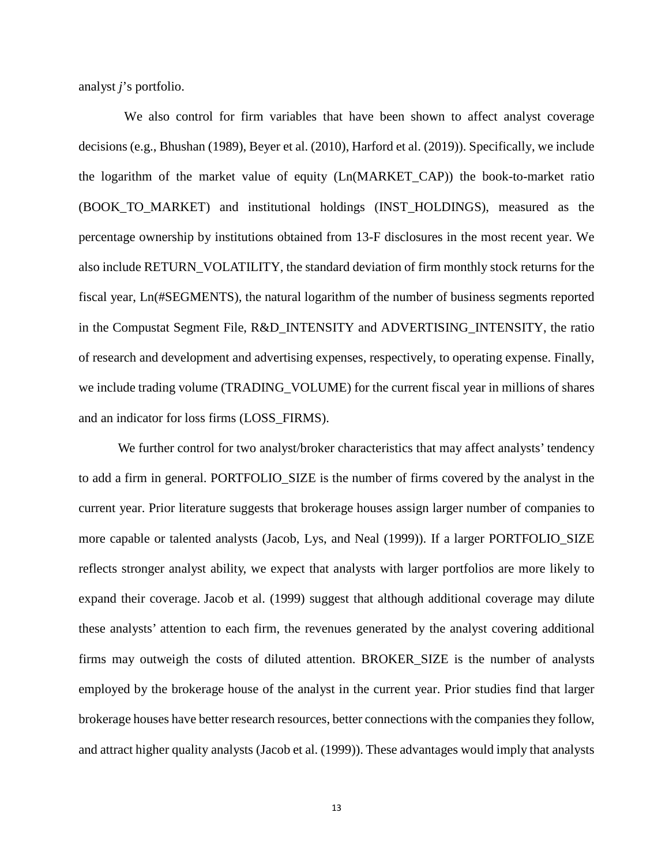analyst *j*'s portfolio.

We also control for firm variables that have been shown to affect analyst coverage decisions (e.g., Bhushan (1989), Beyer et al. (2010), Harford et al. (2019)). Specifically, we include the logarithm of the market value of equity (Ln(MARKET\_CAP)) the book-to-market ratio (BOOK\_TO\_MARKET) and institutional holdings (INST\_HOLDINGS), measured as the percentage ownership by institutions obtained from 13-F disclosures in the most recent year. We also include RETURN\_VOLATILITY, the standard deviation of firm monthly stock returns for the fiscal year, Ln(#SEGMENTS)*,* the natural logarithm of the number of business segments reported in the Compustat Segment File, R&D\_INTENSITY and ADVERTISING\_INTENSITY, the ratio of research and development and advertising expenses, respectively, to operating expense. Finally, we include trading volume (TRADING\_VOLUME) for the current fiscal year in millions of shares and an indicator for loss firms (LOSS\_FIRMS).

We further control for two analyst/broker characteristics that may affect analysts' tendency to add a firm in general. PORTFOLIO\_SIZE is the number of firms covered by the analyst in the current year. Prior literature suggests that brokerage houses assign larger number of companies to more capable or talented analysts (Jacob, Lys, and Neal (1999)). If a larger PORTFOLIO\_SIZE reflects stronger analyst ability, we expect that analysts with larger portfolios are more likely to expand their coverage. Jacob et al. (1999) suggest that although additional coverage may dilute these analysts' attention to each firm, the revenues generated by the analyst covering additional firms may outweigh the costs of diluted attention. BROKER\_SIZE is the number of analysts employed by the brokerage house of the analyst in the current year. Prior studies find that larger brokerage houses have better research resources, better connections with the companies they follow, and attract higher quality analysts (Jacob et al. (1999)). These advantages would imply that analysts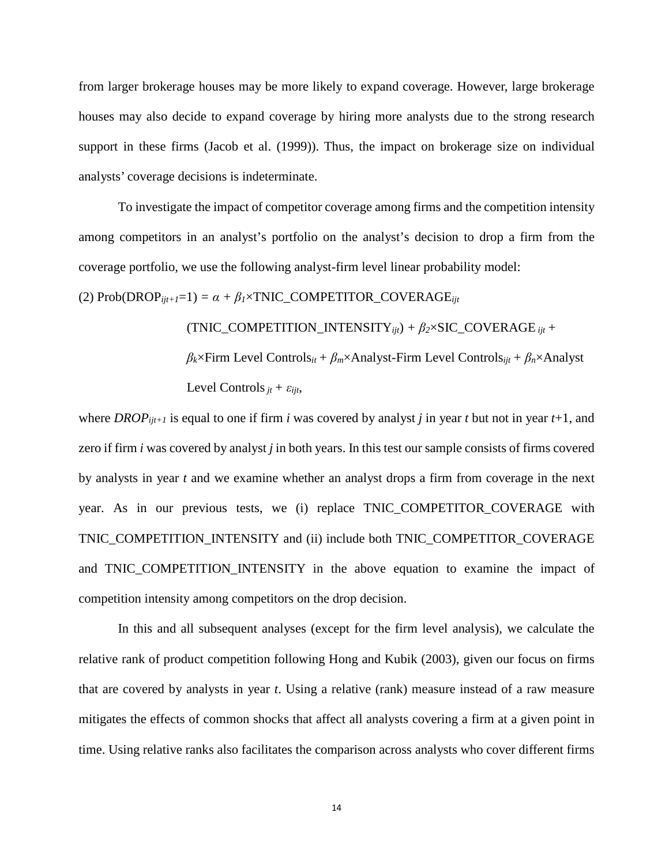from larger brokerage houses may be more likely to expand coverage. However, large brokerage houses may also decide to expand coverage by hiring more analysts due to the strong research support in these firms (Jacob et al. (1999)). Thus, the impact on brokerage size on individual analysts' coverage decisions is indeterminate.

To investigate the impact of competitor coverage among firms and the competition intensity among competitors in an analyst's portfolio on the analyst's decision to drop a firm from the coverage portfolio, we use the following analyst-firm level linear probability model:

(2)  $Prob(DROP_{ijt+1}=1) = \alpha + \beta_1 \times TNIC\_COMPETITOR\_COVERAGE_{ijt}$ 

 $(TNIC\_COMPETITION\_INTENSITY_{ijt}) + \beta_2 \times SIC\_COVERAGE_{ijt} +$ 

*βk*×Firm Level Controls*it + βm*×Analyst-Firm Level Controls*ijt + βn*×Analyst Level Controls  $_{it} + \varepsilon_{iit}$ ,

where *DROP*<sub>ijt+1</sub> is equal to one if firm *i* was covered by analyst *j* in year *t* but not in year  $t+1$ , and zero if firm *i* was covered by analyst *j* in both years. In this test our sample consists of firms covered by analysts in year *t* and we examine whether an analyst drops a firm from coverage in the next year. As in our previous tests, we (i) replace TNIC\_COMPETITOR\_COVERAGE with TNIC\_COMPETITION\_INTENSITY and (ii) include both TNIC\_COMPETITOR\_COVERAGE and TNIC\_COMPETITION\_INTENSITY in the above equation to examine the impact of competition intensity among competitors on the drop decision.

In this and all subsequent analyses (except for the firm level analysis), we calculate the relative rank of product competition following Hong and Kubik (2003), given our focus on firms that are covered by analysts in year *t*. Using a relative (rank) measure instead of a raw measure mitigates the effects of common shocks that affect all analysts covering a firm at a given point in time. Using relative ranks also facilitates the comparison across analysts who cover different firms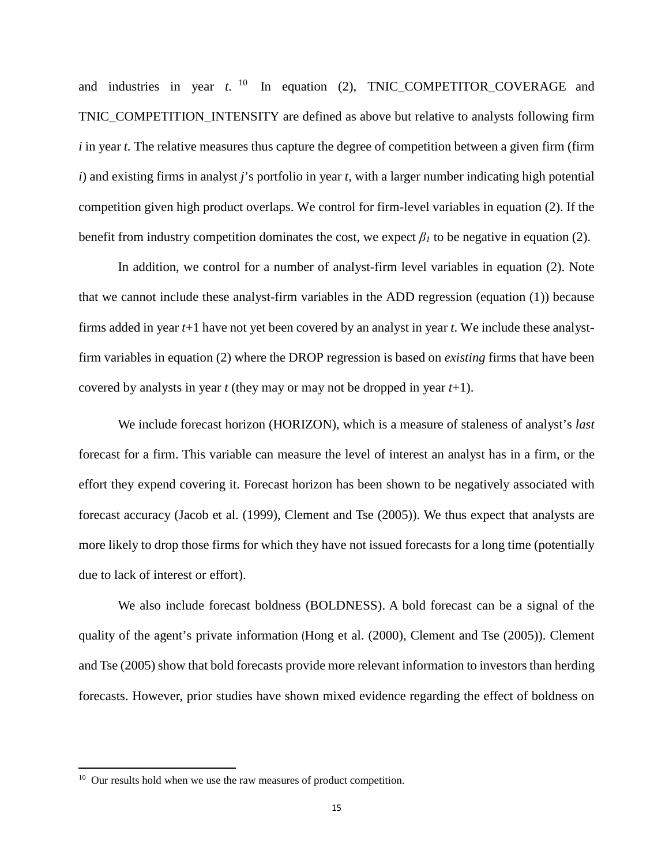and industries in year  $t$ . <sup>10</sup> In equation (2), TNIC\_COMPETITOR\_COVERAGE and TNIC\_COMPETITION\_INTENSITY are defined as above but relative to analysts following firm *i* in year *t*. The relative measures thus capture the degree of competition between a given firm (firm *i*) and existing firms in analyst *j*'s portfolio in year *t,* with a larger number indicating high potential competition given high product overlaps. We control for firm-level variables in equation (2). If the benefit from industry competition dominates the cost, we expect  $\beta_l$  to be negative in equation (2).

In addition, we control for a number of analyst-firm level variables in equation (2). Note that we cannot include these analyst-firm variables in the ADD regression (equation (1)) because firms added in year *t*+1 have not yet been covered by an analyst in year *t*. We include these analystfirm variables in equation (2) where the DROP regression is based on *existing* firms that have been covered by analysts in year *t* (they may or may not be dropped in year *t*+1).

We include forecast horizon (HORIZON), which is a measure of staleness of analyst's *last* forecast for a firm. This variable can measure the level of interest an analyst has in a firm, or the effort they expend covering it. Forecast horizon has been shown to be negatively associated with forecast accuracy (Jacob et al. (1999), Clement and Tse (2005)). We thus expect that analysts are more likely to drop those firms for which they have not issued forecasts for a long time (potentially due to lack of interest or effort).

We also include forecast boldness (BOLDNESS). A bold forecast can be a signal of the quality of the agent's private information (Hong et al. (2000), Clement and Tse (2005)). Clement and Tse (2005) show that bold forecasts provide more relevant information to investors than herding forecasts. However, prior studies have shown mixed evidence regarding the effect of boldness on

 $\overline{a}$ 

<span id="page-16-0"></span><sup>&</sup>lt;sup>10</sup> Our results hold when we use the raw measures of product competition.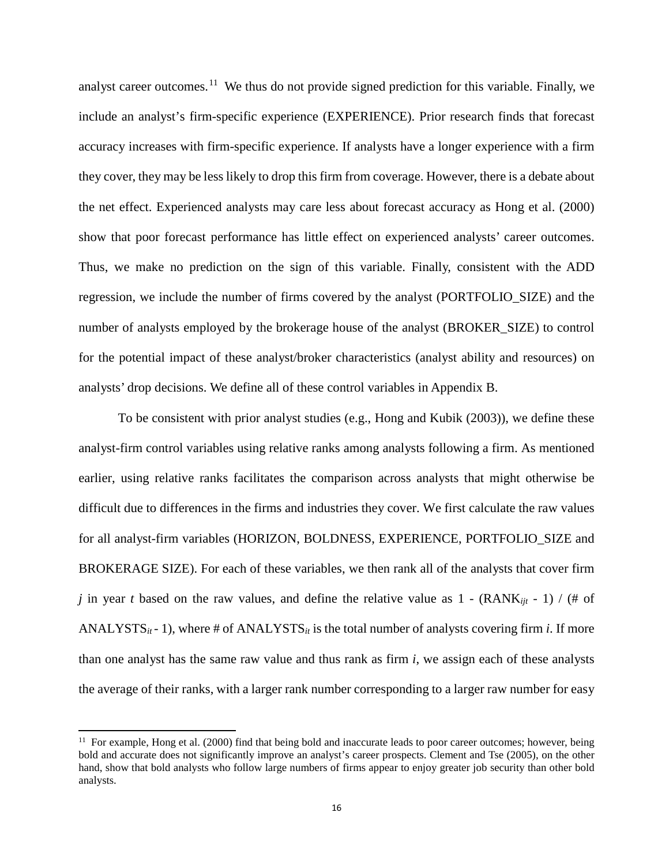analyst career outcomes.<sup>[11](#page-17-0)</sup> We thus do not provide signed prediction for this variable. Finally, we include an analyst's firm-specific experience (EXPERIENCE). Prior research finds that forecast accuracy increases with firm-specific experience. If analysts have a longer experience with a firm they cover, they may be less likely to drop this firm from coverage. However, there is a debate about the net effect. Experienced analysts may care less about forecast accuracy as Hong et al. (2000) show that poor forecast performance has little effect on experienced analysts' career outcomes. Thus, we make no prediction on the sign of this variable. Finally, consistent with the ADD regression, we include the number of firms covered by the analyst (PORTFOLIO\_SIZE) and the number of analysts employed by the brokerage house of the analyst (BROKER\_SIZE) to control for the potential impact of these analyst/broker characteristics (analyst ability and resources) on analysts' drop decisions. We define all of these control variables in Appendix B.

To be consistent with prior analyst studies (e.g., Hong and Kubik (2003)), we define these analyst-firm control variables using relative ranks among analysts following a firm. As mentioned earlier, using relative ranks facilitates the comparison across analysts that might otherwise be difficult due to differences in the firms and industries they cover. We first calculate the raw values for all analyst-firm variables (HORIZON, BOLDNESS, EXPERIENCE, PORTFOLIO\_SIZE and BROKERAGE SIZE). For each of these variables, we then rank all of the analysts that cover firm *j* in year *t* based on the raw values, and define the relative value as 1 - (RANK<sub>ijt</sub> - 1) / (# of ANALYSTS $_{it}$ - 1), where # of ANALYSTS $_{it}$  is the total number of analysts covering firm  $i$ . If more than one analyst has the same raw value and thus rank as firm *i*, we assign each of these analysts the average of their ranks, with a larger rank number corresponding to a larger raw number for easy

 $\overline{a}$ 

<span id="page-17-0"></span> $11$  For example, Hong et al. (2000) find that being bold and inaccurate leads to poor career outcomes; however, being bold and accurate does not significantly improve an analyst's career prospects. Clement and Tse (2005), on the other hand, show that bold analysts who follow large numbers of firms appear to enjoy greater job security than other bold analysts.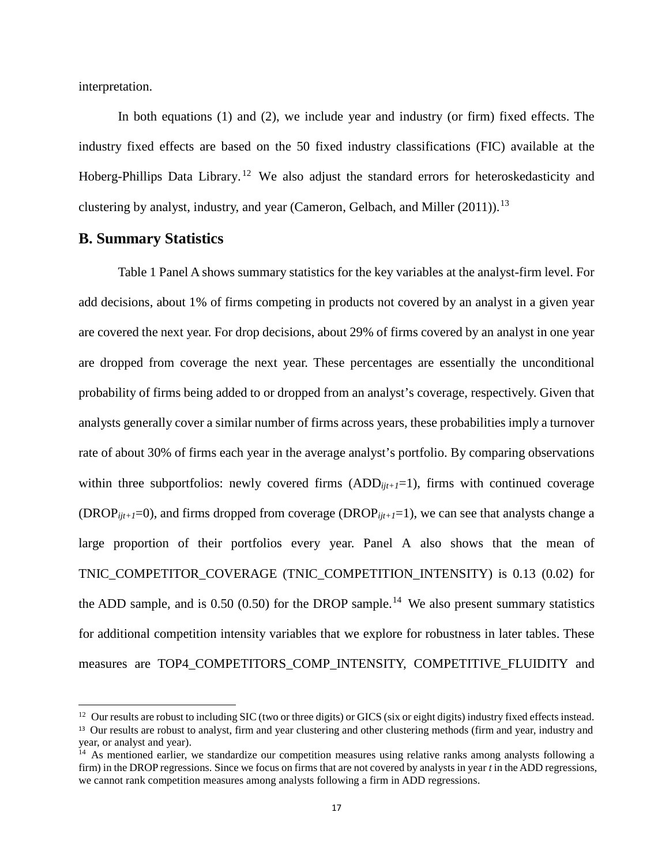interpretation.

 $\overline{a}$ 

In both equations (1) and (2), we include year and industry (or firm) fixed effects. The industry fixed effects are based on the 50 fixed industry classifications (FIC) available at the Hoberg-Phillips Data Library.<sup>[12](#page-18-0)</sup> We also adjust the standard errors for heteroskedasticity and clustering by analyst, industry, and year (Cameron, Gelbach, and Miller (2011)).<sup>[13](#page-18-1)</sup>

# **B. Summary Statistics**

Table 1 Panel A shows summary statistics for the key variables at the analyst-firm level. For add decisions, about 1% of firms competing in products not covered by an analyst in a given year are covered the next year. For drop decisions, about 29% of firms covered by an analyst in one year are dropped from coverage the next year. These percentages are essentially the unconditional probability of firms being added to or dropped from an analyst's coverage, respectively. Given that analysts generally cover a similar number of firms across years, these probabilities imply a turnover rate of about 30% of firms each year in the average analyst's portfolio. By comparing observations within three subportfolios: newly covered firms  $(ADD_{iit+1}=1)$ , firms with continued coverage (DROP*ijt+1*=0), and firms dropped from coverage (DROP*ijt+1*=1), we can see that analysts change a large proportion of their portfolios every year. Panel A also shows that the mean of TNIC\_COMPETITOR\_COVERAGE (TNIC\_COMPETITION\_INTENSITY) is 0.13 (0.02) for the ADD sample, and is  $0.50$  (0.50) for the DROP sample.<sup>[14](#page-18-2)</sup> We also present summary statistics for additional competition intensity variables that we explore for robustness in later tables. These measures are TOP4\_COMPETITORS\_COMP\_INTENSITY, COMPETITIVE\_FLUIDITY and

<span id="page-18-1"></span><span id="page-18-0"></span><sup>&</sup>lt;sup>12</sup> Our results are robust to including SIC (two or three digits) or GICS (six or eight digits) industry fixed effects instead. <sup>13</sup> Our results are robust to analyst, firm and year clustering and other clustering methods (firm and year, industry and year, or analyst and year).

<span id="page-18-2"></span><sup>&</sup>lt;sup>14</sup> As mentioned earlier, we standardize our competition measures using relative ranks among analysts following a firm) in the DROP regressions. Since we focus on firms that are not covered by analysts in year *t* in the ADD regressions, we cannot rank competition measures among analysts following a firm in ADD regressions.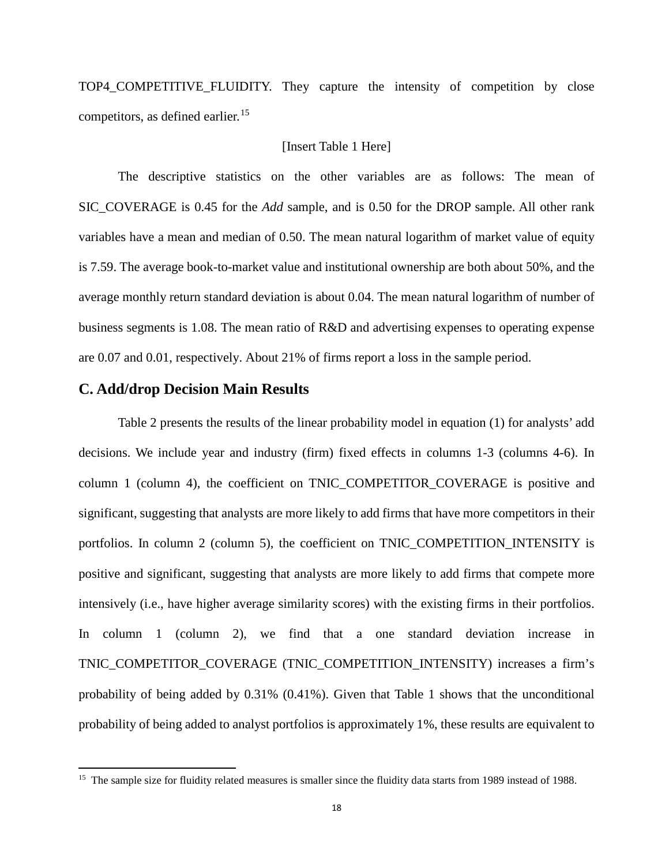TOP4\_COMPETITIVE\_FLUIDITY. They capture the intensity of competition by close competitors, as defined earlier.<sup>[15](#page-19-0)</sup>

# [Insert Table 1 Here]

The descriptive statistics on the other variables are as follows: The mean of SIC\_COVERAGE is 0.45 for the *Add* sample, and is 0.50 for the DROP sample. All other rank variables have a mean and median of 0.50. The mean natural logarithm of market value of equity is 7.59. The average book-to-market value and institutional ownership are both about 50%, and the average monthly return standard deviation is about 0.04. The mean natural logarithm of number of business segments is 1.08. The mean ratio of R&D and advertising expenses to operating expense are 0.07 and 0.01, respectively. About 21% of firms report a loss in the sample period.

# **C. Add/drop Decision Main Results**

 $\overline{a}$ 

Table 2 presents the results of the linear probability model in equation (1) for analysts' add decisions. We include year and industry (firm) fixed effects in columns 1-3 (columns 4-6). In column 1 (column 4), the coefficient on TNIC\_COMPETITOR\_COVERAGE is positive and significant, suggesting that analysts are more likely to add firms that have more competitors in their portfolios. In column 2 (column 5), the coefficient on TNIC\_COMPETITION\_INTENSITY is positive and significant, suggesting that analysts are more likely to add firms that compete more intensively (i.e., have higher average similarity scores) with the existing firms in their portfolios. In column 1 (column 2), we find that a one standard deviation increase in TNIC\_COMPETITOR\_COVERAGE (TNIC\_COMPETITION\_INTENSITY) increases a firm's probability of being added by 0.31% (0.41%). Given that Table 1 shows that the unconditional probability of being added to analyst portfolios is approximately 1%, these results are equivalent to

<span id="page-19-0"></span><sup>&</sup>lt;sup>15</sup> The sample size for fluidity related measures is smaller since the fluidity data starts from 1989 instead of 1988.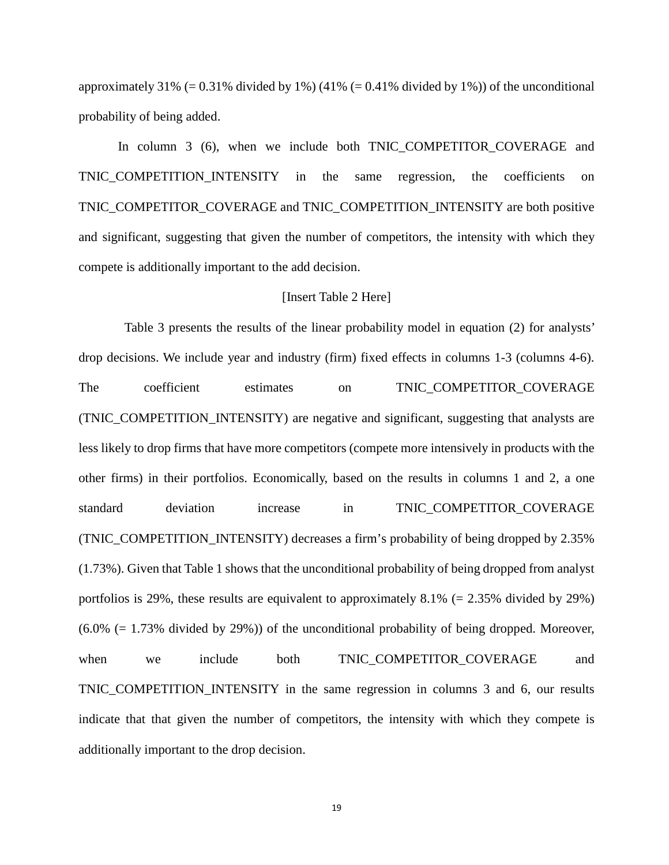approximately 31% (= 0.31% divided by 1%) (41% (= 0.41% divided by 1%)) of the unconditional probability of being added.

In column 3 (6), when we include both TNIC COMPETITOR COVERAGE and TNIC\_COMPETITION\_INTENSITY in the same regression, the coefficients on TNIC\_COMPETITOR\_COVERAGE and TNIC\_COMPETITION\_INTENSITY are both positive and significant, suggesting that given the number of competitors, the intensity with which they compete is additionally important to the add decision.

#### [Insert Table 2 Here]

Table 3 presents the results of the linear probability model in equation (2) for analysts' drop decisions. We include year and industry (firm) fixed effects in columns 1-3 (columns 4-6). The coefficient estimates on TNIC\_COMPETITOR\_COVERAGE (TNIC\_COMPETITION\_INTENSITY) are negative and significant, suggesting that analysts are less likely to drop firms that have more competitors (compete more intensively in products with the other firms) in their portfolios. Economically, based on the results in columns 1 and 2, a one standard deviation increase in TNIC\_COMPETITOR\_COVERAGE (TNIC\_COMPETITION\_INTENSITY) decreases a firm's probability of being dropped by 2.35% (1.73%). Given that Table 1 shows that the unconditional probability of being dropped from analyst portfolios is 29%, these results are equivalent to approximately 8.1% (= 2.35% divided by 29%)  $(6.0\%$  (= 1.73% divided by 29%)) of the unconditional probability of being dropped. Moreover, when we include both TNIC\_COMPETITOR\_COVERAGE and TNIC\_COMPETITION\_INTENSITY in the same regression in columns 3 and 6, our results indicate that that given the number of competitors, the intensity with which they compete is additionally important to the drop decision.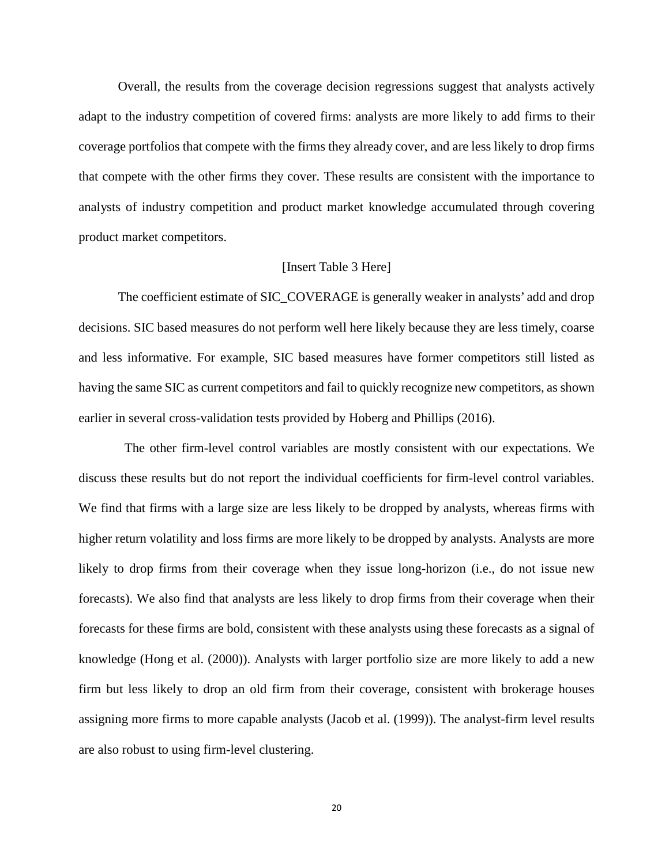Overall, the results from the coverage decision regressions suggest that analysts actively adapt to the industry competition of covered firms: analysts are more likely to add firms to their coverage portfolios that compete with the firms they already cover, and are less likely to drop firms that compete with the other firms they cover. These results are consistent with the importance to analysts of industry competition and product market knowledge accumulated through covering product market competitors.

# [Insert Table 3 Here]

The coefficient estimate of SIC\_COVERAGE is generally weaker in analysts' add and drop decisions. SIC based measures do not perform well here likely because they are less timely, coarse and less informative. For example, SIC based measures have former competitors still listed as having the same SIC as current competitors and fail to quickly recognize new competitors, as shown earlier in several cross-validation tests provided by Hoberg and Phillips (2016).

The other firm-level control variables are mostly consistent with our expectations. We discuss these results but do not report the individual coefficients for firm-level control variables. We find that firms with a large size are less likely to be dropped by analysts, whereas firms with higher return volatility and loss firms are more likely to be dropped by analysts. Analysts are more likely to drop firms from their coverage when they issue long-horizon (i.e., do not issue new forecasts). We also find that analysts are less likely to drop firms from their coverage when their forecasts for these firms are bold, consistent with these analysts using these forecasts as a signal of knowledge (Hong et al. (2000)). Analysts with larger portfolio size are more likely to add a new firm but less likely to drop an old firm from their coverage, consistent with brokerage houses assigning more firms to more capable analysts (Jacob et al. (1999)). The analyst-firm level results are also robust to using firm-level clustering.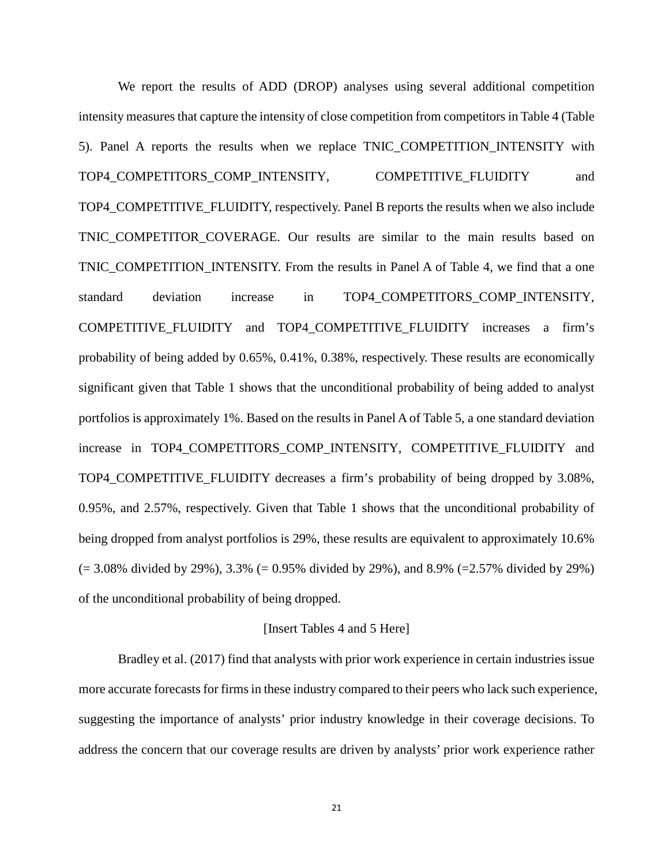We report the results of ADD (DROP) analyses using several additional competition intensity measures that capture the intensity of close competition from competitors in Table 4 (Table 5). Panel A reports the results when we replace TNIC\_COMPETITION\_INTENSITY with TOP4\_COMPETITORS\_COMP\_INTENSITY*,* COMPETITIVE\_FLUIDITY and TOP4\_COMPETITIVE\_FLUIDITY, respectively. Panel B reports the results when we also include TNIC\_COMPETITOR\_COVERAGE. Our results are similar to the main results based on TNIC\_COMPETITION\_INTENSITY. From the results in Panel A of Table 4, we find that a one standard deviation increase in TOP4\_COMPETITORS\_COMP\_INTENSITY, COMPETITIVE\_FLUIDITY and TOP4\_COMPETITIVE\_FLUIDITY increases a firm's probability of being added by 0.65%, 0.41%, 0.38%, respectively. These results are economically significant given that Table 1 shows that the unconditional probability of being added to analyst portfolios is approximately 1%. Based on the results in Panel A of Table 5, a one standard deviation increase in TOP4\_COMPETITORS\_COMP\_INTENSITY, COMPETITIVE\_FLUIDITY and TOP4\_COMPETITIVE\_FLUIDITY decreases a firm's probability of being dropped by 3.08%, 0.95%, and 2.57%, respectively. Given that Table 1 shows that the unconditional probability of being dropped from analyst portfolios is 29%, these results are equivalent to approximately 10.6%  $(= 3.08\%$  divided by 29%), 3.3%  $(= 0.95\%$  divided by 29%), and 8.9%  $(= 2.57\%$  divided by 29%) of the unconditional probability of being dropped.

#### [Insert Tables 4 and 5 Here]

Bradley et al. (2017) find that analysts with prior work experience in certain industries issue more accurate forecasts for firms in these industry compared to their peers who lack such experience, suggesting the importance of analysts' prior industry knowledge in their coverage decisions. To address the concern that our coverage results are driven by analysts' prior work experience rather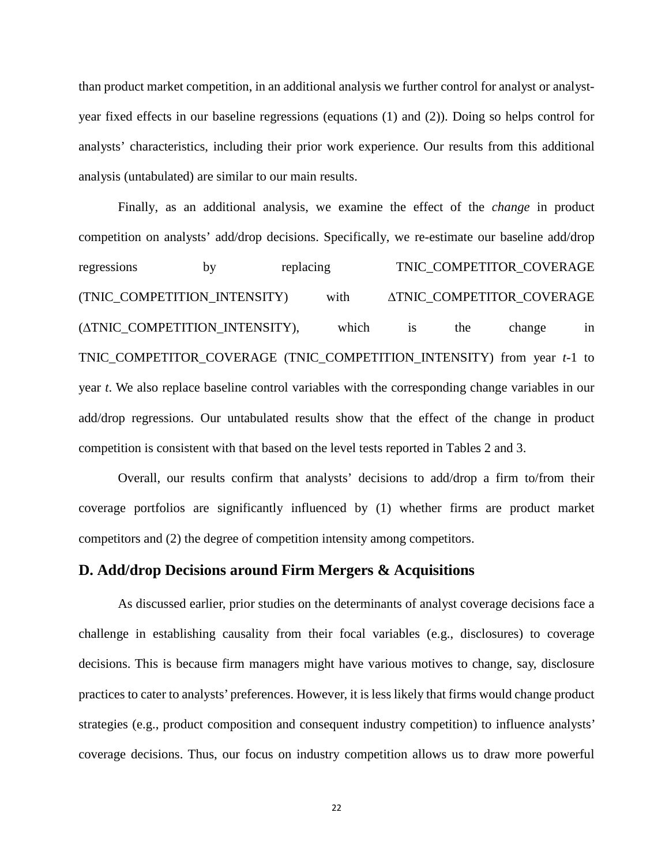than product market competition, in an additional analysis we further control for analyst or analystyear fixed effects in our baseline regressions (equations (1) and (2)). Doing so helps control for analysts' characteristics, including their prior work experience. Our results from this additional analysis (untabulated) are similar to our main results.

Finally, as an additional analysis, we examine the effect of the *change* in product competition on analysts' add/drop decisions. Specifically, we re-estimate our baseline add/drop regressions by replacing TNIC\_COMPETITOR\_COVERAGE (TNIC\_COMPETITION\_INTENSITY) with ∆TNIC\_COMPETITOR\_COVERAGE (∆TNIC\_COMPETITION\_INTENSITY), which is the change in TNIC\_COMPETITOR\_COVERAGE (TNIC\_COMPETITION\_INTENSITY) from year *t*-1 to year *t*. We also replace baseline control variables with the corresponding change variables in our add/drop regressions. Our untabulated results show that the effect of the change in product competition is consistent with that based on the level tests reported in Tables 2 and 3.

Overall, our results confirm that analysts' decisions to add/drop a firm to/from their coverage portfolios are significantly influenced by (1) whether firms are product market competitors and (2) the degree of competition intensity among competitors.

# **D. Add/drop Decisions around Firm Mergers & Acquisitions**

As discussed earlier, prior studies on the determinants of analyst coverage decisions face a challenge in establishing causality from their focal variables (e.g., disclosures) to coverage decisions. This is because firm managers might have various motives to change, say, disclosure practices to cater to analysts' preferences. However, it is less likely that firms would change product strategies (e.g., product composition and consequent industry competition) to influence analysts' coverage decisions. Thus, our focus on industry competition allows us to draw more powerful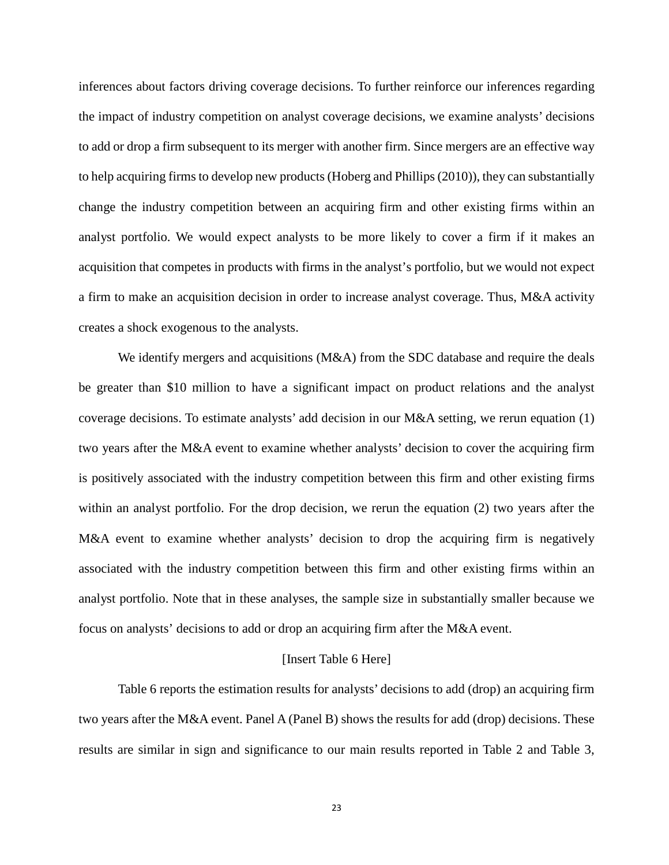inferences about factors driving coverage decisions. To further reinforce our inferences regarding the impact of industry competition on analyst coverage decisions, we examine analysts' decisions to add or drop a firm subsequent to its merger with another firm. Since mergers are an effective way to help acquiring firms to develop new products (Hoberg and Phillips (2010)), they can substantially change the industry competition between an acquiring firm and other existing firms within an analyst portfolio. We would expect analysts to be more likely to cover a firm if it makes an acquisition that competes in products with firms in the analyst's portfolio, but we would not expect a firm to make an acquisition decision in order to increase analyst coverage. Thus, M&A activity creates a shock exogenous to the analysts.

We identify mergers and acquisitions (M&A) from the SDC database and require the deals be greater than \$10 million to have a significant impact on product relations and the analyst coverage decisions. To estimate analysts' add decision in our M&A setting, we rerun equation (1) two years after the M&A event to examine whether analysts' decision to cover the acquiring firm is positively associated with the industry competition between this firm and other existing firms within an analyst portfolio. For the drop decision, we rerun the equation (2) two years after the M&A event to examine whether analysts' decision to drop the acquiring firm is negatively associated with the industry competition between this firm and other existing firms within an analyst portfolio. Note that in these analyses, the sample size in substantially smaller because we focus on analysts' decisions to add or drop an acquiring firm after the M&A event.

#### [Insert Table 6 Here]

Table 6 reports the estimation results for analysts' decisions to add (drop) an acquiring firm two years after the M&A event. Panel A (Panel B) shows the results for add (drop) decisions. These results are similar in sign and significance to our main results reported in Table 2 and Table 3,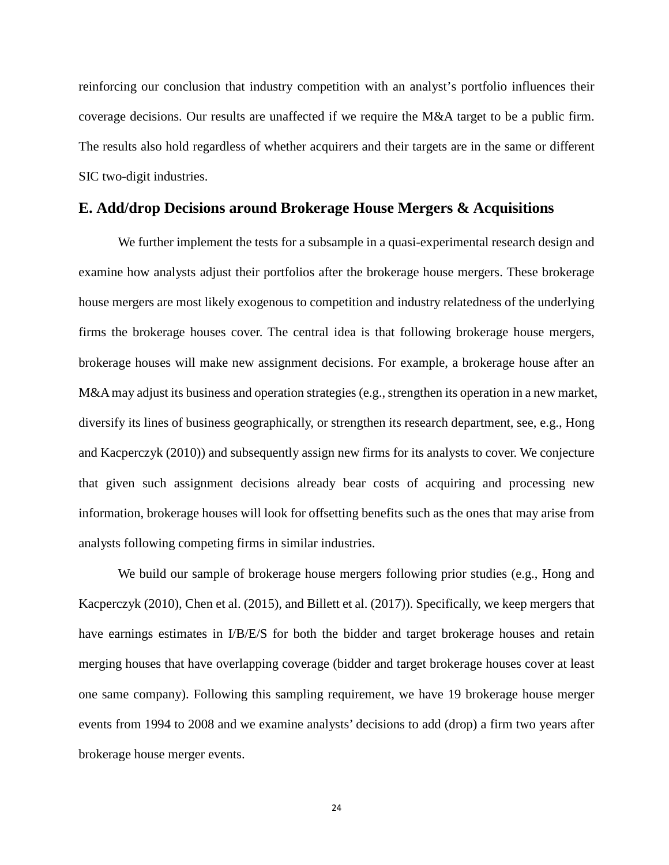reinforcing our conclusion that industry competition with an analyst's portfolio influences their coverage decisions. Our results are unaffected if we require the M&A target to be a public firm. The results also hold regardless of whether acquirers and their targets are in the same or different SIC two-digit industries.

# **E. Add/drop Decisions around Brokerage House Mergers & Acquisitions**

We further implement the tests for a subsample in a quasi-experimental research design and examine how analysts adjust their portfolios after the brokerage house mergers. These brokerage house mergers are most likely exogenous to competition and industry relatedness of the underlying firms the brokerage houses cover. The central idea is that following brokerage house mergers, brokerage houses will make new assignment decisions. For example, a brokerage house after an M&A may adjust its business and operation strategies (e.g., strengthen its operation in a new market, diversify its lines of business geographically, or strengthen its research department, see, e.g., Hong and Kacperczyk (2010)) and subsequently assign new firms for its analysts to cover. We conjecture that given such assignment decisions already bear costs of acquiring and processing new information, brokerage houses will look for offsetting benefits such as the ones that may arise from analysts following competing firms in similar industries.

We build our sample of brokerage house mergers following prior studies (e.g., Hong and Kacperczyk (2010), Chen et al. (2015), and Billett et al. (2017)). Specifically, we keep mergers that have earnings estimates in  $I/B/E/S$  for both the bidder and target brokerage houses and retain merging houses that have overlapping coverage (bidder and target brokerage houses cover at least one same company). Following this sampling requirement, we have 19 brokerage house merger events from 1994 to 2008 and we examine analysts' decisions to add (drop) a firm two years after brokerage house merger events.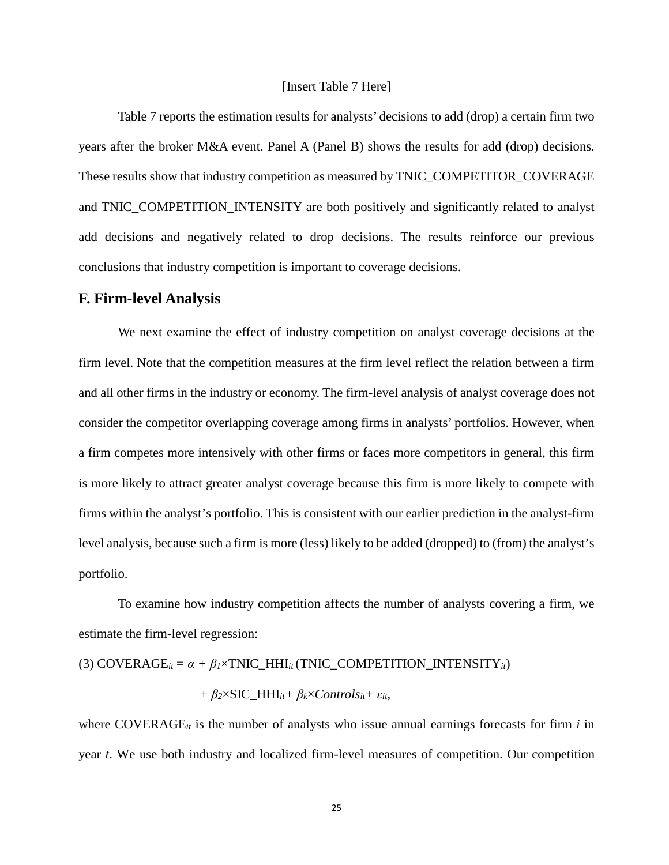# [Insert Table 7 Here]

Table 7 reports the estimation results for analysts' decisions to add (drop) a certain firm two years after the broker M&A event. Panel A (Panel B) shows the results for add (drop) decisions. These results show that industry competition as measured by TNIC\_COMPETITOR\_COVERAGE and TNIC\_COMPETITION\_INTENSITY are both positively and significantly related to analyst add decisions and negatively related to drop decisions. The results reinforce our previous conclusions that industry competition is important to coverage decisions.

#### **F. Firm-level Analysis**

We next examine the effect of industry competition on analyst coverage decisions at the firm level. Note that the competition measures at the firm level reflect the relation between a firm and all other firms in the industry or economy. The firm-level analysis of analyst coverage does not consider the competitor overlapping coverage among firms in analysts' portfolios. However, when a firm competes more intensively with other firms or faces more competitors in general, this firm is more likely to attract greater analyst coverage because this firm is more likely to compete with firms within the analyst's portfolio. This is consistent with our earlier prediction in the analyst-firm level analysis, because such a firm is more (less) likely to be added (dropped) to (from) the analyst's portfolio.

To examine how industry competition affects the number of analysts covering a firm, we estimate the firm-level regression:

(3) COVERAGE<sub>it</sub> = 
$$
\alpha + \beta_l \times \text{TNIC\_HHI}_{it}(\text{TNIC\_COMPETITION\_INTENSITY}_{it})
$$

+ 
$$
\beta_2 \times \text{SIC\_HHI}_{it} + \beta_k \times \text{Controls}_{it} + \varepsilon_{it}
$$
,

where COVERAGE $_i$  is the number of analysts who issue annual earnings forecasts for firm  $i$  in year *t*. We use both industry and localized firm-level measures of competition. Our competition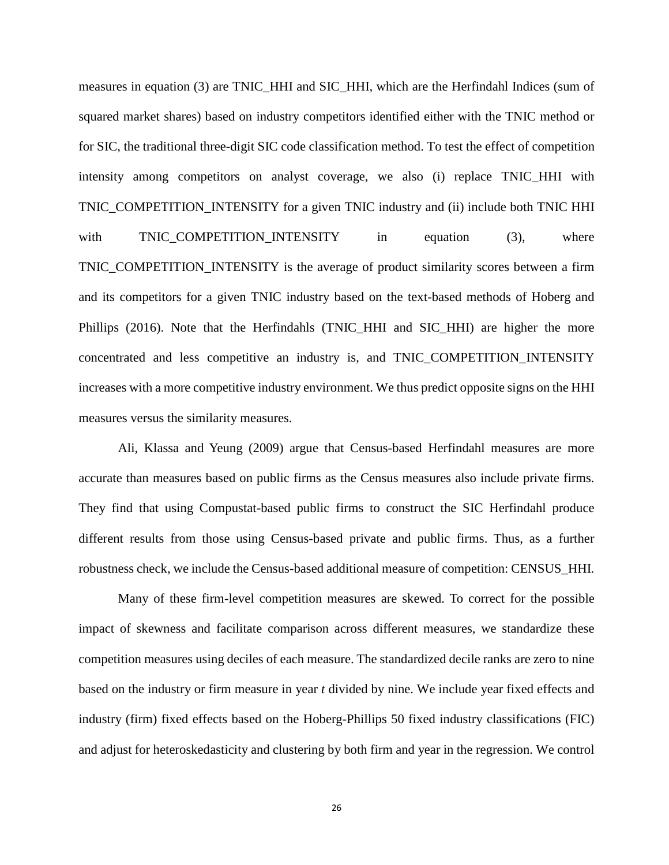measures in equation (3) are TNIC\_HHI and SIC\_HHI*,* which are the Herfindahl Indices (sum of squared market shares) based on industry competitors identified either with the TNIC method or for SIC, the traditional three-digit SIC code classification method. To test the effect of competition intensity among competitors on analyst coverage, we also (i) replace TNIC\_HHI with TNIC\_COMPETITION\_INTENSITY for a given TNIC industry and (ii) include both TNIC HHI with TNIC\_COMPETITION\_INTENSITY in equation (3), where TNIC\_COMPETITION\_INTENSITY is the average of product similarity scores between a firm and its competitors for a given TNIC industry based on the text-based methods of Hoberg and Phillips (2016). Note that the Herfindahls (TNIC\_HHI and SIC\_HHI) are higher the more concentrated and less competitive an industry is, and TNIC\_COMPETITION\_INTENSITY increases with a more competitive industry environment. We thus predict opposite signs on the HHI

measures versus the similarity measures.

Ali, Klassa and Yeung (2009) argue that Census-based Herfindahl measures are more accurate than measures based on public firms as the Census measures also include private firms. They find that using Compustat-based public firms to construct the SIC Herfindahl produce different results from those using Census-based private and public firms. Thus, as a further robustness check, we include the Census-based additional measure of competition: CENSUS\_HHI*.*

Many of these firm-level competition measures are skewed. To correct for the possible impact of skewness and facilitate comparison across different measures, we standardize these competition measures using deciles of each measure. The standardized decile ranks are zero to nine based on the industry or firm measure in year *t* divided by nine. We include year fixed effects and industry (firm) fixed effects based on the Hoberg-Phillips 50 fixed industry classifications (FIC) and adjust for heteroskedasticity and clustering by both firm and year in the regression. We control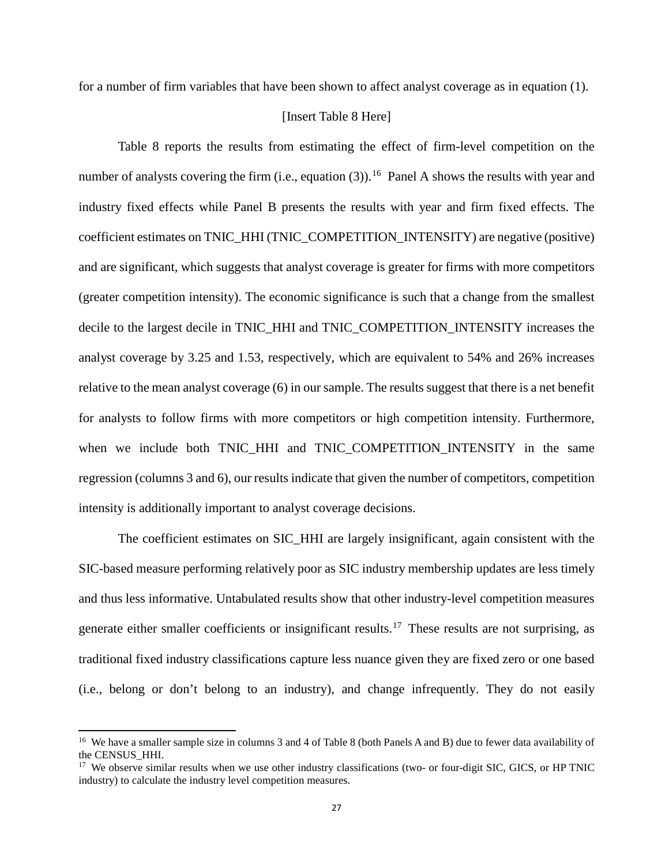for a number of firm variables that have been shown to affect analyst coverage as in equation (1).

# [Insert Table 8 Here]

Table 8 reports the results from estimating the effect of firm-level competition on the number of analysts covering the firm (i.e., equation (3)).<sup>[16](#page-28-0)</sup> Panel A shows the results with year and industry fixed effects while Panel B presents the results with year and firm fixed effects. The coefficient estimates on TNIC\_HHI (TNIC\_COMPETITION\_INTENSITY) are negative (positive) and are significant, which suggests that analyst coverage is greater for firms with more competitors (greater competition intensity). The economic significance is such that a change from the smallest decile to the largest decile in TNIC\_HHI and TNIC\_COMPETITION\_INTENSITY increases the analyst coverage by 3.25 and 1.53, respectively, which are equivalent to 54% and 26% increases relative to the mean analyst coverage (6) in our sample. The results suggest that there is a net benefit for analysts to follow firms with more competitors or high competition intensity. Furthermore, when we include both TNIC\_HHI and TNIC\_COMPETITION\_INTENSITY in the same regression (columns 3 and 6), our results indicate that given the number of competitors, competition intensity is additionally important to analyst coverage decisions.

The coefficient estimates on SIC\_HHI are largely insignificant, again consistent with the SIC-based measure performing relatively poor as SIC industry membership updates are less timely and thus less informative. Untabulated results show that other industry-level competition measures generate either smaller coefficients or insignificant results. [17](#page-28-1) These results are not surprising, as traditional fixed industry classifications capture less nuance given they are fixed zero or one based (i.e., belong or don't belong to an industry), and change infrequently. They do not easily

 $\overline{a}$ 

<span id="page-28-0"></span><sup>&</sup>lt;sup>16</sup> We have a smaller sample size in columns 3 and 4 of Table 8 (both Panels A and B) due to fewer data availability of the CENSUS\_HHI.

<span id="page-28-1"></span><sup>&</sup>lt;sup>17</sup> We observe similar results when we use other industry classifications (two- or four-digit SIC, GICS, or HP TNIC industry) to calculate the industry level competition measures.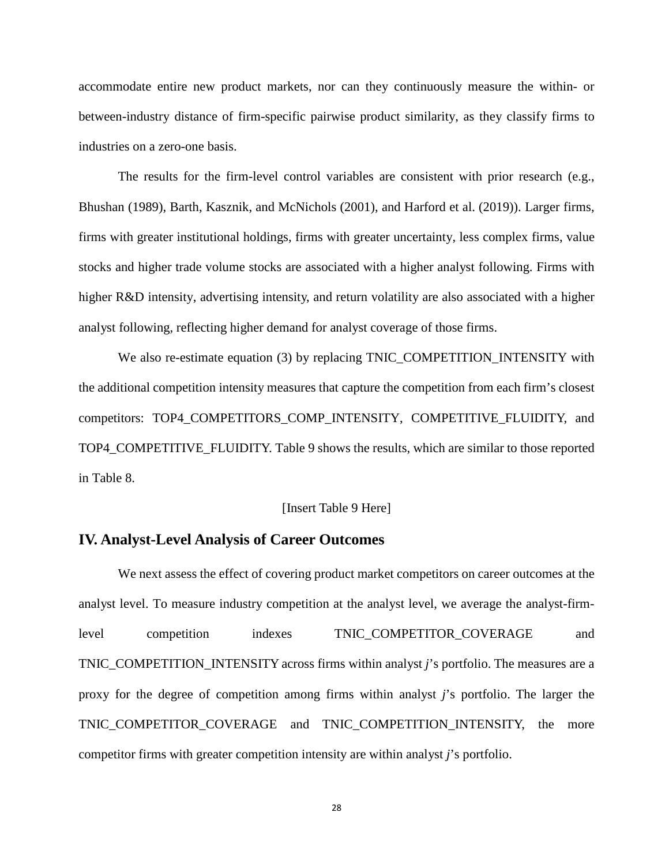accommodate entire new product markets, nor can they continuously measure the within- or between-industry distance of firm-specific pairwise product similarity, as they classify firms to industries on a zero-one basis.

The results for the firm-level control variables are consistent with prior research (e.g., Bhushan (1989), Barth, Kasznik, and McNichols (2001), and Harford et al. (2019)). Larger firms, firms with greater institutional holdings, firms with greater uncertainty, less complex firms, value stocks and higher trade volume stocks are associated with a higher analyst following. Firms with higher R&D intensity, advertising intensity, and return volatility are also associated with a higher analyst following, reflecting higher demand for analyst coverage of those firms.

We also re-estimate equation (3) by replacing TNIC\_COMPETITION\_INTENSITY with the additional competition intensity measures that capture the competition from each firm's closest competitors: TOP4\_COMPETITORS\_COMP\_INTENSITY, COMPETITIVE\_FLUIDITY, and TOP4\_COMPETITIVE\_FLUIDITY. Table 9 shows the results, which are similar to those reported in Table 8.

# [Insert Table 9 Here]

# **IV. Analyst-Level Analysis of Career Outcomes**

We next assess the effect of covering product market competitors on career outcomes at the analyst level. To measure industry competition at the analyst level, we average the analyst-firmlevel competition indexes TNIC\_COMPETITOR\_COVERAGE and TNIC\_COMPETITION\_INTENSITY across firms within analyst *j*'s portfolio. The measures are a proxy for the degree of competition among firms within analyst *j*'s portfolio. The larger the TNIC\_COMPETITOR\_COVERAGE and TNIC\_COMPETITION\_INTENSITY, the more competitor firms with greater competition intensity are within analyst *j*'s portfolio.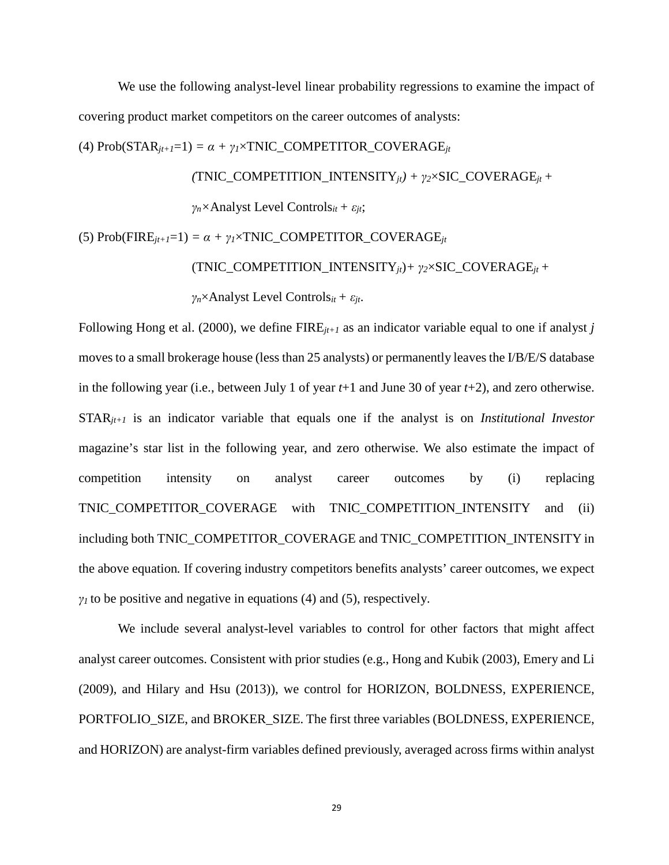We use the following analyst-level linear probability regressions to examine the impact of covering product market competitors on the career outcomes of analysts:

(4)  $Prob(STAR_{it+1}=1) = \alpha + \gamma_1 \times TNIC\_COMPETITOR\_COVERAGE_{it}$ 

 $(TNIC\_COMPETITION_INTENSITY_{it}) + \gamma_2 \times SIC_COVERAGE_{it} +$ 

*γn×*Analyst Level Controls*it + εjt*;

(5)  $Prob(FIRE_{jt+1}=1) = \alpha + \gamma_1 \times TNIC\_COMPETITOR\_COVERAGE_{jt}$ 

(TNIC\_COMPETITION\_INTENSITY*jt*)*+ γ2*×SIC\_COVERAGE*jt +* 

*γn*×Analyst Level Controls*it + εjt*.

Following Hong et al. (2000), we define FIRE*jt+1* as an indicator variable equal to one if analyst *j* moves to a small brokerage house (less than 25 analysts) or permanently leaves the I/B/E/S database in the following year (i.e., between July 1 of year *t*+1 and June 30 of year *t*+2), and zero otherwise. STAR*jt+1* is an indicator variable that equals one if the analyst is on *Institutional Investor* magazine's star list in the following year, and zero otherwise. We also estimate the impact of competition intensity on analyst career outcomes by (i) replacing TNIC\_COMPETITOR\_COVERAGE with TNIC\_COMPETITION\_INTENSITY and (ii) including both TNIC\_COMPETITOR\_COVERAGE and TNIC\_COMPETITION\_INTENSITY in the above equation*.* If covering industry competitors benefits analysts' career outcomes, we expect  $\gamma$ <sup>*I*</sup> to be positive and negative in equations (4) and (5), respectively.

We include several analyst-level variables to control for other factors that might affect analyst career outcomes. Consistent with prior studies (e.g., Hong and Kubik (2003), Emery and Li (2009), and Hilary and Hsu (2013)), we control for HORIZON, BOLDNESS, EXPERIENCE, PORTFOLIO\_SIZE, and BROKER\_SIZE. The first three variables (BOLDNESS, EXPERIENCE, and HORIZON) are analyst-firm variables defined previously, averaged across firms within analyst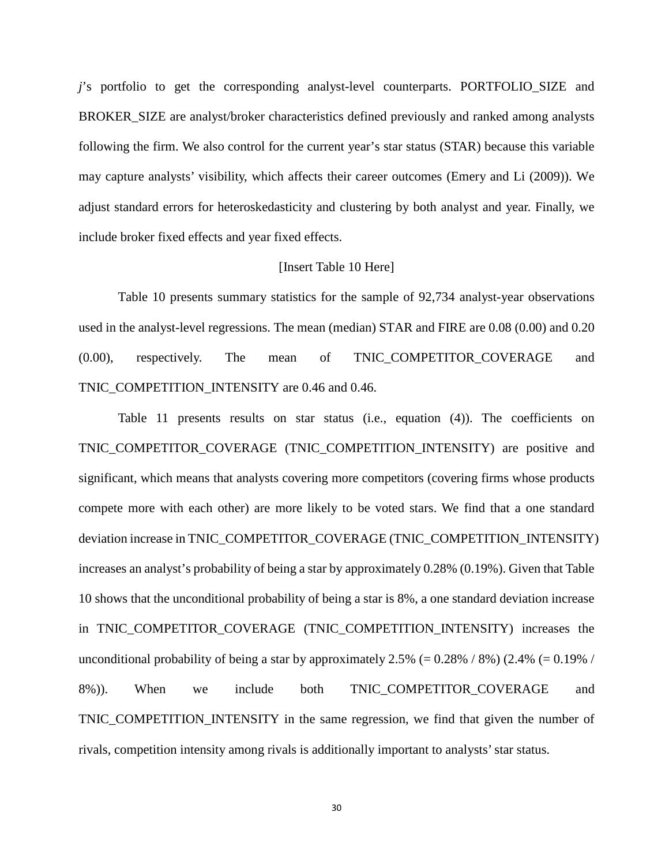*j*'s portfolio to get the corresponding analyst-level counterparts. PORTFOLIO\_SIZE and BROKER\_SIZE are analyst/broker characteristics defined previously and ranked among analysts following the firm. We also control for the current year's star status (STAR) because this variable may capture analysts' visibility, which affects their career outcomes (Emery and Li (2009)). We adjust standard errors for heteroskedasticity and clustering by both analyst and year. Finally, we include broker fixed effects and year fixed effects.

# [Insert Table 10 Here]

Table 10 presents summary statistics for the sample of 92,734 analyst-year observations used in the analyst-level regressions. The mean (median) STAR and FIRE are 0.08 (0.00) and 0.20 (0.00), respectively. The mean of TNIC\_COMPETITOR\_COVERAGE and TNIC\_COMPETITION\_INTENSITY are 0.46 and 0.46.

Table 11 presents results on star status (i.e., equation (4)). The coefficients on TNIC\_COMPETITOR\_COVERAGE (TNIC\_COMPETITION\_INTENSITY) are positive and significant, which means that analysts covering more competitors (covering firms whose products compete more with each other) are more likely to be voted stars. We find that a one standard deviation increase in TNIC\_COMPETITOR\_COVERAGE (TNIC\_COMPETITION\_INTENSITY) increases an analyst's probability of being a star by approximately 0.28% (0.19%). Given that Table 10 shows that the unconditional probability of being a star is 8%, a one standard deviation increase in TNIC\_COMPETITOR\_COVERAGE (TNIC\_COMPETITION\_INTENSITY) increases the unconditional probability of being a star by approximately 2.5% (=  $0.28\%$  / 8%) (2.4% (=  $0.19\%$  / 8%)). When we include both TNIC\_COMPETITOR\_COVERAGE and TNIC\_COMPETITION\_INTENSITY in the same regression, we find that given the number of rivals, competition intensity among rivals is additionally important to analysts' star status.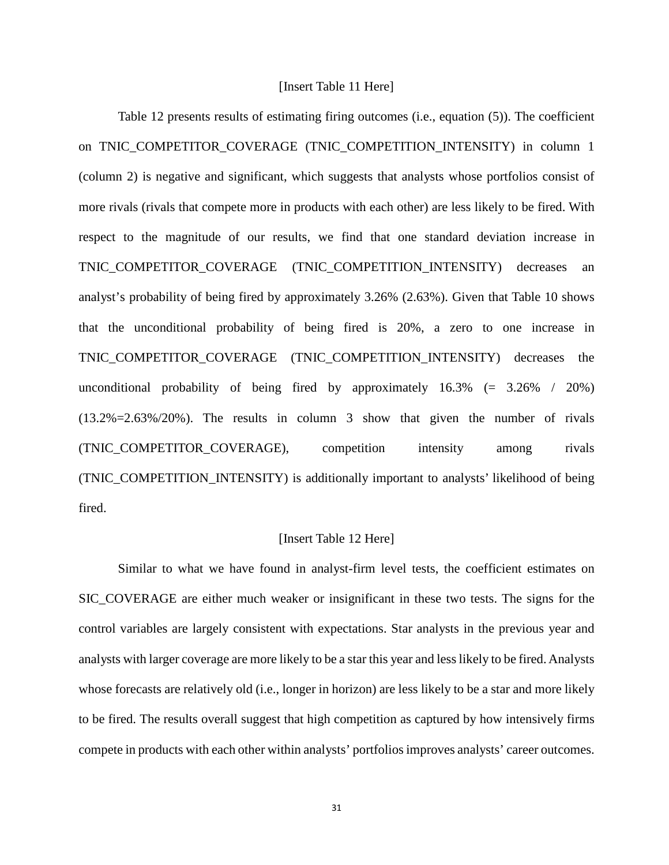# [Insert Table 11 Here]

Table 12 presents results of estimating firing outcomes (i.e., equation (5)). The coefficient on TNIC COMPETITOR COVERAGE (TNIC COMPETITION INTENSITY) in column 1 (column 2) is negative and significant, which suggests that analysts whose portfolios consist of more rivals (rivals that compete more in products with each other) are less likely to be fired. With respect to the magnitude of our results, we find that one standard deviation increase in TNIC\_COMPETITOR\_COVERAGE (TNIC\_COMPETITION\_INTENSITY) decreases an analyst's probability of being fired by approximately 3.26% (2.63%). Given that Table 10 shows that the unconditional probability of being fired is 20%, a zero to one increase in TNIC\_COMPETITOR\_COVERAGE (TNIC\_COMPETITION\_INTENSITY) decreases the unconditional probability of being fired by approximately  $16.3\%$  (= 3.26% / 20%) (13.2%=2.63%/20%). The results in column 3 show that given the number of rivals (TNIC\_COMPETITOR\_COVERAGE), competition intensity among rivals (TNIC\_COMPETITION\_INTENSITY) is additionally important to analysts' likelihood of being fired.

## [Insert Table 12 Here]

Similar to what we have found in analyst-firm level tests, the coefficient estimates on SIC\_COVERAGE are either much weaker or insignificant in these two tests. The signs for the control variables are largely consistent with expectations. Star analysts in the previous year and analysts with larger coverage are more likely to be a star this year and less likely to be fired. Analysts whose forecasts are relatively old (i.e., longer in horizon) are less likely to be a star and more likely to be fired. The results overall suggest that high competition as captured by how intensively firms compete in products with each other within analysts' portfolios improves analysts' career outcomes.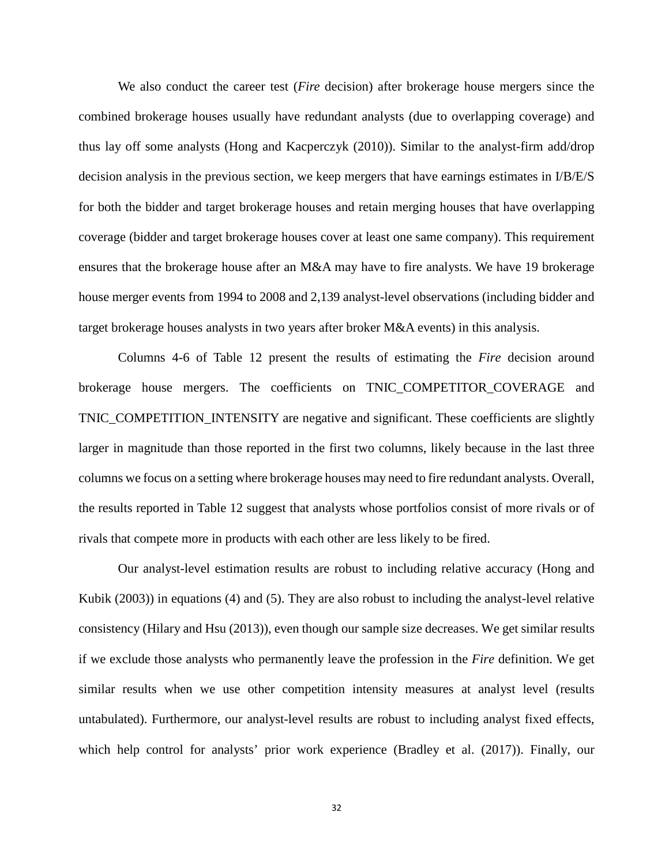We also conduct the career test (*Fire* decision) after brokerage house mergers since the combined brokerage houses usually have redundant analysts (due to overlapping coverage) and thus lay off some analysts (Hong and Kacperczyk (2010)). Similar to the analyst-firm add/drop decision analysis in the previous section, we keep mergers that have earnings estimates in I/B/E/S for both the bidder and target brokerage houses and retain merging houses that have overlapping coverage (bidder and target brokerage houses cover at least one same company). This requirement ensures that the brokerage house after an M&A may have to fire analysts. We have 19 brokerage house merger events from 1994 to 2008 and 2,139 analyst-level observations (including bidder and target brokerage houses analysts in two years after broker M&A events) in this analysis.

Columns 4-6 of Table 12 present the results of estimating the *Fire* decision around brokerage house mergers. The coefficients on TNIC\_COMPETITOR\_COVERAGE and TNIC\_COMPETITION\_INTENSITY are negative and significant. These coefficients are slightly larger in magnitude than those reported in the first two columns, likely because in the last three columns we focus on a setting where brokerage houses may need to fire redundant analysts. Overall, the results reported in Table 12 suggest that analysts whose portfolios consist of more rivals or of rivals that compete more in products with each other are less likely to be fired.

Our analyst-level estimation results are robust to including relative accuracy (Hong and Kubik (2003)) in equations (4) and (5). They are also robust to including the analyst-level relative consistency (Hilary and Hsu (2013)), even though our sample size decreases. We get similar results if we exclude those analysts who permanently leave the profession in the *Fire* definition. We get similar results when we use other competition intensity measures at analyst level (results untabulated). Furthermore, our analyst-level results are robust to including analyst fixed effects, which help control for analysts' prior work experience (Bradley et al. (2017)). Finally, our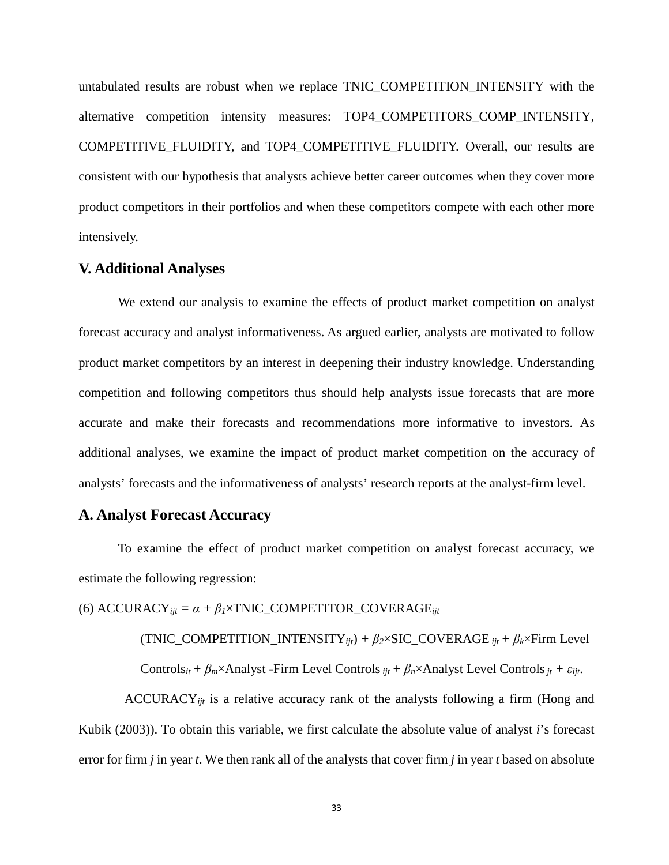untabulated results are robust when we replace TNIC\_COMPETITION\_INTENSITY with the alternative competition intensity measures: TOP4\_COMPETITORS\_COMP\_INTENSITY, COMPETITIVE FLUIDITY, and TOP4 COMPETITIVE FLUIDITY. Overall, our results are consistent with our hypothesis that analysts achieve better career outcomes when they cover more product competitors in their portfolios and when these competitors compete with each other more intensively.

# **V. Additional Analyses**

We extend our analysis to examine the effects of product market competition on analyst forecast accuracy and analyst informativeness. As argued earlier, analysts are motivated to follow product market competitors by an interest in deepening their industry knowledge. Understanding competition and following competitors thus should help analysts issue forecasts that are more accurate and make their forecasts and recommendations more informative to investors. As additional analyses, we examine the impact of product market competition on the accuracy of analysts' forecasts and the informativeness of analysts' research reports at the analyst-firm level.

# **A. Analyst Forecast Accuracy**

To examine the effect of product market competition on analyst forecast accuracy, we estimate the following regression:

(6)  $\text{ACCURACY}_{iit} = \alpha + \beta_1 \times \text{TNIC}\_\text{COMPETITOR}\_\text{COWERAGE}_{iit}$ 

 $(TNIC\_COMPETITION\_INTENSITY_{ijt}) + \beta_2 \times SIC\_COVERAGE_{ijt} + \beta_k \times Firm Level$ 

Controls<sub>it</sub> +  $\beta_m \times$ Analyst -Firm Level Controls  $_{ijt}$  +  $\beta_n \times$ Analyst Level Controls  $_{it}$  +  $\varepsilon_{ijt}$ .

ACCURACY*ijt* is a relative accuracy rank of the analysts following a firm (Hong and Kubik (2003)). To obtain this variable, we first calculate the absolute value of analyst *i*'s forecast error for firm *j* in year *t*. We then rank all of the analysts that cover firm *j* in year *t* based on absolute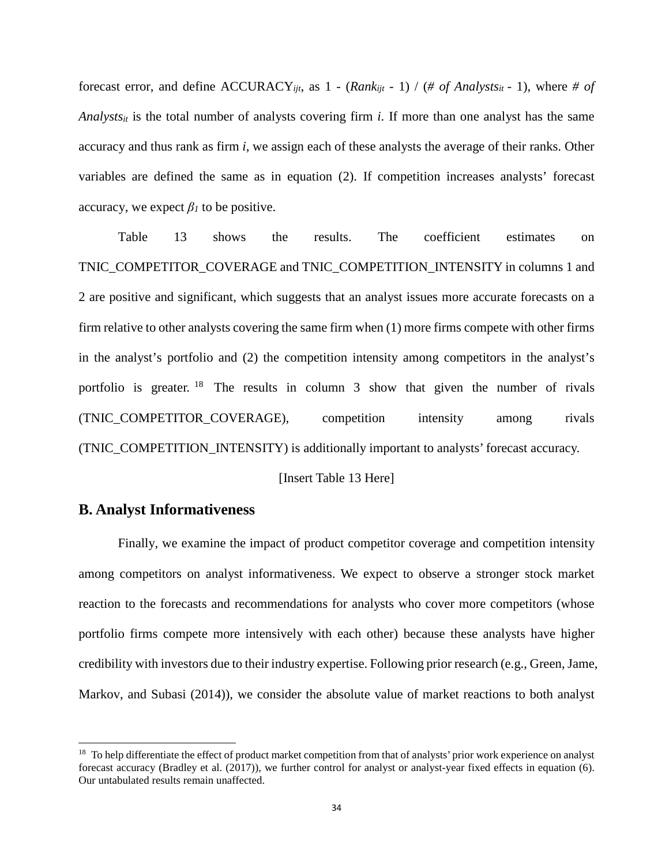forecast error, and define  $\text{ACCURACY}_{ijt}$ , as  $1 - (\text{Rank}_{ijt} - 1) / (\text{# of Analysis}_{it} - 1)$ , where # of *Analysts<sub>it</sub>* is the total number of analysts covering firm *i*. If more than one analyst has the same accuracy and thus rank as firm *i*, we assign each of these analysts the average of their ranks. Other variables are defined the same as in equation (2). If competition increases analysts' forecast accuracy, we expect  $\beta_l$  to be positive.

Table 13 shows the results. The coefficient estimates on TNIC\_COMPETITOR\_COVERAGE and TNIC\_COMPETITION\_INTENSITY in columns 1 and 2 are positive and significant, which suggests that an analyst issues more accurate forecasts on a firm relative to other analysts covering the same firm when (1) more firms compete with other firms in the analyst's portfolio and (2) the competition intensity among competitors in the analyst's portfolio is greater. [18](#page-35-0) The results in column 3 show that given the number of rivals (TNIC\_COMPETITOR\_COVERAGE), competition intensity among rivals (TNIC\_COMPETITION\_INTENSITY) is additionally important to analysts' forecast accuracy.

[Insert Table 13 Here]

# **B. Analyst Informativeness**

 $\overline{\phantom{a}}$ 

Finally, we examine the impact of product competitor coverage and competition intensity among competitors on analyst informativeness. We expect to observe a stronger stock market reaction to the forecasts and recommendations for analysts who cover more competitors (whose portfolio firms compete more intensively with each other) because these analysts have higher credibility with investors due to their industry expertise. Following prior research (e.g., Green,Jame, Markov, and Subasi (2014)), we consider the absolute value of market reactions to both analyst

<span id="page-35-0"></span><sup>&</sup>lt;sup>18</sup> To help differentiate the effect of product market competition from that of analysts' prior work experience on analyst forecast accuracy (Bradley et al. (2017)), we further control for analyst or analyst-year fixed effects in equation (6). Our untabulated results remain unaffected.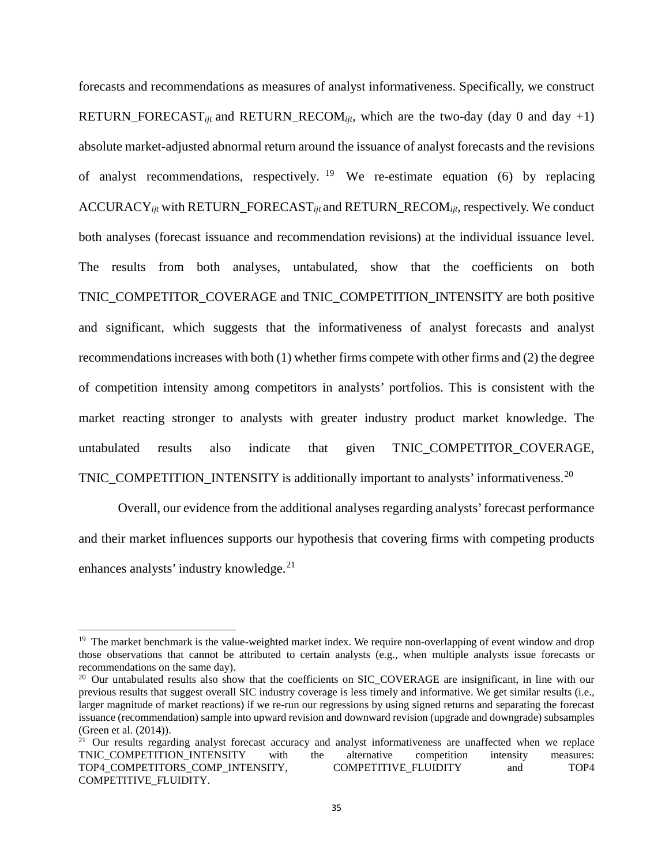forecasts and recommendations as measures of analyst informativeness. Specifically, we construct RETURN\_FORECAST<sub>ijt</sub> and RETURN\_RECOM<sub>ijt</sub>, which are the two-day (day 0 and day +1) absolute market-adjusted abnormal return around the issuance of analyst forecasts and the revisions of analyst recommendations, respectively. <sup>[19](#page-36-0)</sup> We re-estimate equation (6) by replacing ACCURACY*ijt* with RETURN\_FORECAST*ijt* and RETURN\_RECOM*ijt*, respectively. We conduct both analyses (forecast issuance and recommendation revisions) at the individual issuance level. The results from both analyses, untabulated, show that the coefficients on both TNIC\_COMPETITOR\_COVERAGE and TNIC\_COMPETITION\_INTENSITY are both positive and significant, which suggests that the informativeness of analyst forecasts and analyst recommendations increases with both (1) whether firms compete with other firms and (2) the degree of competition intensity among competitors in analysts' portfolios. This is consistent with the market reacting stronger to analysts with greater industry product market knowledge. The untabulated results also indicate that given TNIC\_COMPETITOR\_COVERAGE, TNIC\_COMPETITION\_INTENSITY is additionally important to analysts' informativeness.<sup>[20](#page-36-1)</sup>

Overall, our evidence from the additional analyses regarding analysts' forecast performance and their market influences supports our hypothesis that covering firms with competing products enhances analysts' industry knowledge.<sup>[21](#page-36-2)</sup>

 $\overline{a}$ 

<span id="page-36-0"></span><sup>&</sup>lt;sup>19</sup> The market benchmark is the value-weighted market index. We require non-overlapping of event window and drop those observations that cannot be attributed to certain analysts (e.g., when multiple analysts issue forecasts or recommendations on the same day).

<span id="page-36-1"></span><sup>&</sup>lt;sup>20</sup> Our untabulated results also show that the coefficients on SIC\_COVERAGE are insignificant, in line with our previous results that suggest overall SIC industry coverage is less timely and informative. We get similar results (i.e., larger magnitude of market reactions) if we re-run our regressions by using signed returns and separating the forecast issuance (recommendation) sample into upward revision and downward revision (upgrade and downgrade) subsamples (Green et al. (2014)).

<span id="page-36-2"></span><sup>&</sup>lt;sup>21</sup> Our results regarding analyst forecast accuracy and analyst informativeness are unaffected when we replace TNIC COMPETITION INTENSITY with the alternative competition intensity measures: TOP4\_COMPETITORS\_COMP\_INTENSITY, COMPETITIVE\_FLUIDITY and TOP4 COMPETITIVE\_FLUIDITY.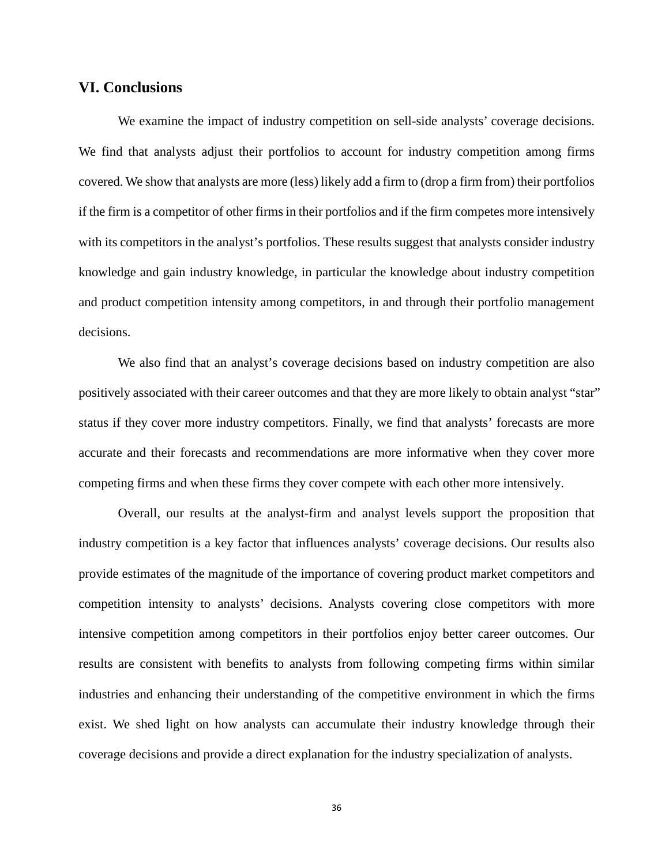# **VI. Conclusions**

We examine the impact of industry competition on sell-side analysts' coverage decisions. We find that analysts adjust their portfolios to account for industry competition among firms covered. We show that analysts are more (less) likely add a firm to (drop a firm from) their portfolios if the firm is a competitor of other firms in their portfolios and if the firm competes more intensively with its competitors in the analyst's portfolios. These results suggest that analysts consider industry knowledge and gain industry knowledge, in particular the knowledge about industry competition and product competition intensity among competitors, in and through their portfolio management decisions.

We also find that an analyst's coverage decisions based on industry competition are also positively associated with their career outcomes and that they are more likely to obtain analyst "star" status if they cover more industry competitors. Finally, we find that analysts' forecasts are more accurate and their forecasts and recommendations are more informative when they cover more competing firms and when these firms they cover compete with each other more intensively.

Overall, our results at the analyst-firm and analyst levels support the proposition that industry competition is a key factor that influences analysts' coverage decisions. Our results also provide estimates of the magnitude of the importance of covering product market competitors and competition intensity to analysts' decisions. Analysts covering close competitors with more intensive competition among competitors in their portfolios enjoy better career outcomes. Our results are consistent with benefits to analysts from following competing firms within similar industries and enhancing their understanding of the competitive environment in which the firms exist. We shed light on how analysts can accumulate their industry knowledge through their coverage decisions and provide a direct explanation for the industry specialization of analysts.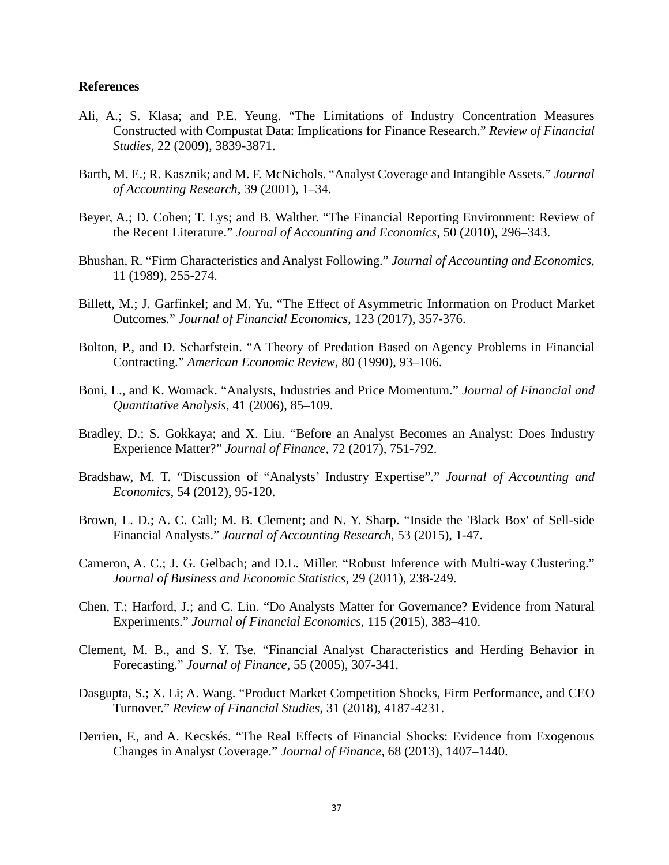# **References**

- Ali, A.; S. Klasa; and P.E. Yeung. "The Limitations of Industry Concentration Measures Constructed with Compustat Data: Implications for Finance Research." *Review of Financial Studies*, 22 (2009), 3839-3871.
- Barth, M. E.; R. Kasznik; and M. F. McNichols. "Analyst Coverage and Intangible Assets." *Journal of Accounting Research*, 39 (2001), 1–34.
- Beyer, A.; D. Cohen; T. Lys; and B. Walther. "The Financial Reporting Environment: Review of the Recent Literature." *Journal of Accounting and Economics*, 50 (2010), 296–343.
- Bhushan, R. "Firm Characteristics and Analyst Following." *Journal of Accounting and Economics*, 11 (1989), 255-274.
- Billett, M.; J. Garfinkel; and M. Yu. "The Effect of Asymmetric Information on Product Market Outcomes." *Journal of Financial Economics*, 123 (2017), 357-376.
- Bolton, P., and D. Scharfstein. "A Theory of Predation Based on Agency Problems in Financial Contracting." *American Economic Review*, 80 (1990), 93–106.
- Boni, L., and K. Womack. "Analysts, Industries and Price Momentum." *Journal of Financial and Quantitative Analysis*, 41 (2006), 85–109.
- Bradley, D.; S. Gokkaya; and X. Liu. "Before an Analyst Becomes an Analyst: Does Industry Experience Matter?" *Journal of Finance*, 72 (2017), 751-792.
- Bradshaw, M. T. "Discussion of "Analysts' Industry Expertise"." *Journal of Accounting and Economics*, 54 (2012), 95-120.
- Brown, L. D.; A. C. Call; M. B. Clement; and N. Y. Sharp. "Inside the 'Black Box' of Sell-side Financial Analysts." *Journal of Accounting Research*, 53 (2015), 1-47.
- Cameron, A. C.; J. G. Gelbach; and D.L. Miller. "Robust Inference with Multi-way Clustering." *Journal of Business and Economic Statistics*, 29 (2011), 238-249.
- Chen, T.; Harford, J.; and C. Lin. "Do Analysts Matter for Governance? Evidence from Natural Experiments." *Journal of Financial Economics*, 115 (2015), 383–410.
- Clement, M. B., and S. Y. Tse. "Financial Analyst Characteristics and Herding Behavior in Forecasting." *Journal of Finance*, 55 (2005), 307-341.
- Dasgupta, S.; X. Li; A. Wang. "Product Market Competition Shocks, Firm Performance, and CEO Turnover." *Review of Financial Studies*, 31 (2018), 4187-4231.
- Derrien, F., and A. Kecskés. "The Real Effects of Financial Shocks: Evidence from Exogenous Changes in Analyst Coverage." *Journal of Finance*, 68 (2013), 1407–1440.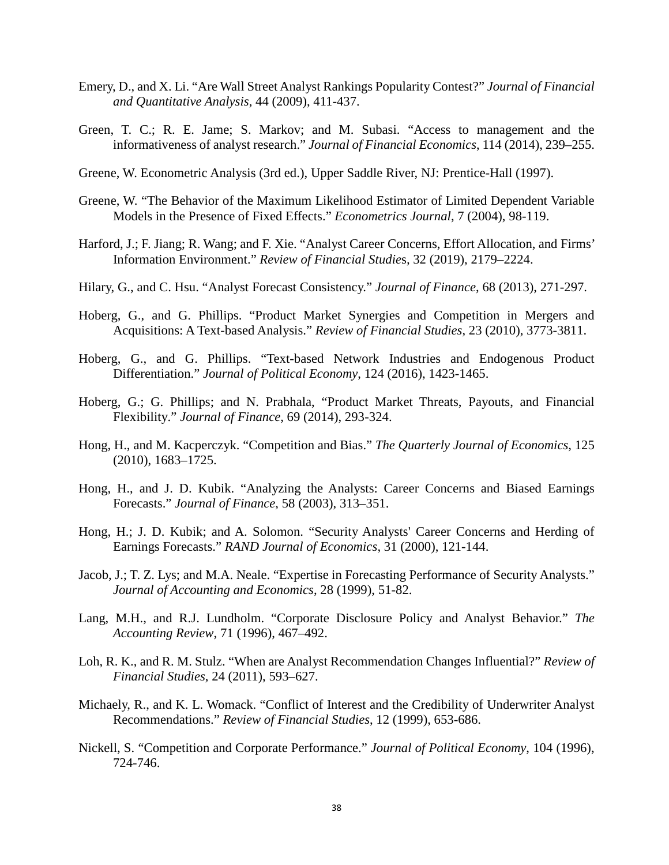- Emery, D., and X. Li. "Are Wall Street Analyst Rankings Popularity Contest?" *Journal of Financial and Quantitative Analysis*, 44 (2009), 411-437.
- Green, T. C.; R. E. Jame; S. Markov; and M. Subasi. "Access to management and the informativeness of analyst research." *Journal of Financial Economics*, 114 (2014), 239–255.
- Greene, W. Econometric Analysis (3rd ed.), Upper Saddle River, NJ: Prentice-Hall (1997).
- Greene, W. "The Behavior of the Maximum Likelihood Estimator of Limited Dependent Variable Models in the Presence of Fixed Effects." *Econometrics Journal*, 7 (2004), 98-119.
- Harford, J.; F. Jiang; R. Wang; and F. Xie. "Analyst Career Concerns, Effort Allocation, and Firms' Information Environment." *Review of Financial Studie*s*,* 32 (2019), 2179–2224.
- Hilary, G., and C. Hsu. "Analyst Forecast Consistency." *Journal of Finance*, 68 (2013), 271-297.
- Hoberg, G., and G. Phillips. "Product Market Synergies and Competition in Mergers and Acquisitions: A Text-based Analysis." *Review of Financial Studies*, 23 (2010), 3773-3811.
- Hoberg, G., and G. Phillips. "Text-based Network Industries and Endogenous Product Differentiation." *Journal of Political Economy*, 124 (2016), 1423-1465.
- Hoberg, G.; G. Phillips; and N. Prabhala, "Product Market Threats, Payouts, and Financial Flexibility." *Journal of Finance*, 69 (2014), 293-324.
- Hong, H., and M. Kacperczyk. "Competition and Bias." *The Quarterly Journal of Economics*, 125 (2010), 1683–1725.
- Hong, H., and J. D. Kubik. "Analyzing the Analysts: Career Concerns and Biased Earnings Forecasts." *Journal of Finance*, 58 (2003), 313–351.
- Hong, H.; J. D. Kubik; and A. Solomon. "Security Analysts' Career Concerns and Herding of Earnings Forecasts." *RAND Journal of Economics*, 31 (2000), 121-144.
- Jacob, J.; T. Z. Lys; and M.A. Neale. "Expertise in Forecasting Performance of Security Analysts." *Journal of Accounting and Economics*, 28 (1999), 51-82.
- Lang, M.H., and R.J. Lundholm. "Corporate Disclosure Policy and Analyst Behavior." *The Accounting Review*, 71 (1996), 467–492.
- Loh, R. K., and R. M. Stulz. "When are Analyst Recommendation Changes Influential?" *Review of Financial Studies*, 24 (2011), 593–627.
- Michaely, R., and K. L. Womack. "Conflict of Interest and the Credibility of Underwriter Analyst Recommendations." *Review of Financial Studies*, 12 (1999), 653-686.
- Nickell, S. "Competition and Corporate Performance." *Journal of Political Economy*, 104 (1996), 724-746.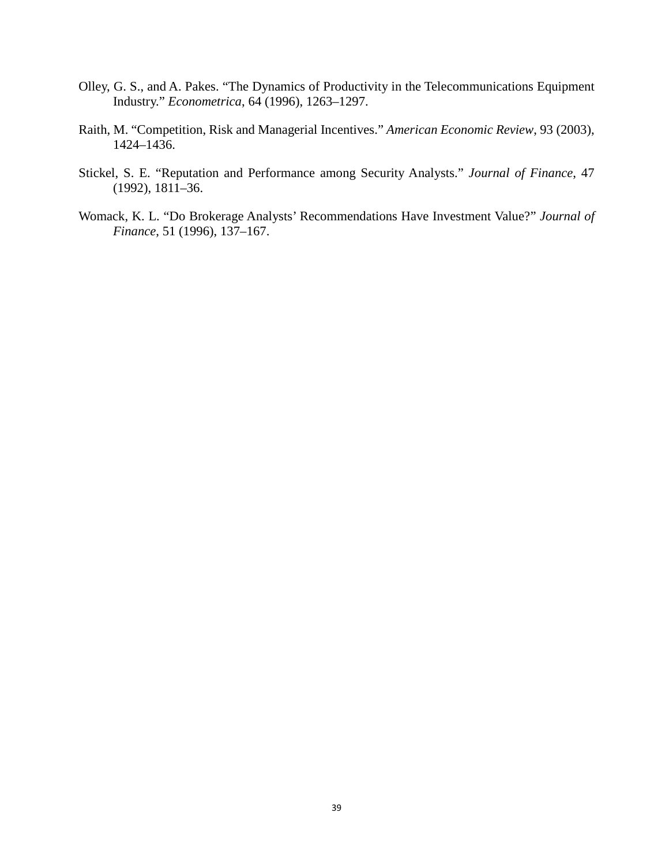- Olley, G. S., and A. Pakes. "The Dynamics of Productivity in the Telecommunications Equipment Industry." *Econometrica*, 64 (1996), 1263–1297.
- Raith, M. "Competition, Risk and Managerial Incentives." *American Economic Review*, 93 (2003), 1424–1436.
- Stickel, S. E. "Reputation and Performance among Security Analysts." *Journal of Finance*, 47 (1992), 1811–36.
- Womack, K. L. "Do Brokerage Analysts' Recommendations Have Investment Value?" *Journal of Finance*, 51 (1996), 137–167.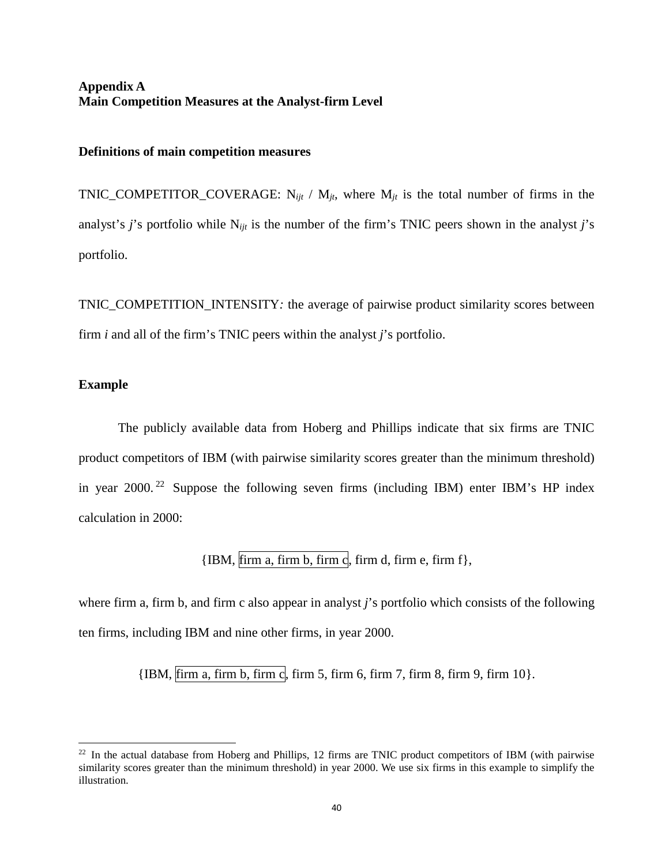# **Appendix A Main Competition Measures at the Analyst-firm Level**

#### **Definitions of main competition measures**

TNIC\_COMPETITOR\_COVERAGE:  $N_{ijt}$  /  $M_{jt}$ , where  $M_{jt}$  is the total number of firms in the analyst's *j*'s portfolio while N*ijt* is the number of the firm's TNIC peers shown in the analyst *j*'s portfolio.

TNIC\_COMPETITION\_INTENSITY*:* the average of pairwise product similarity scores between firm *i* and all of the firm's TNIC peers within the analyst *j*'s portfolio.

# **Example**

 $\overline{\phantom{a}}$ 

The publicly available data from Hoberg and Phillips indicate that six firms are TNIC product competitors of IBM (with pairwise similarity scores greater than the minimum threshold) in year  $2000$ .<sup>22</sup> Suppose the following seven firms (including IBM) enter IBM's HP index calculation in 2000:

 ${IBM, firm a, firm b, firm c, firm d, firm e, firm f},$ 

where firm a, firm b, and firm c also appear in analyst *j*'s portfolio which consists of the following ten firms, including IBM and nine other firms, in year 2000.

 ${IBM, firm a, firm b, firm c, firm 5, firm 6, firm 7, firm 8, firm 9, firm 10}.$ 

<span id="page-41-0"></span> $^{22}$  In the actual database from Hoberg and Phillips, 12 firms are TNIC product competitors of IBM (with pairwise similarity scores greater than the minimum threshold) in year 2000. We use six firms in this example to simplify the illustration.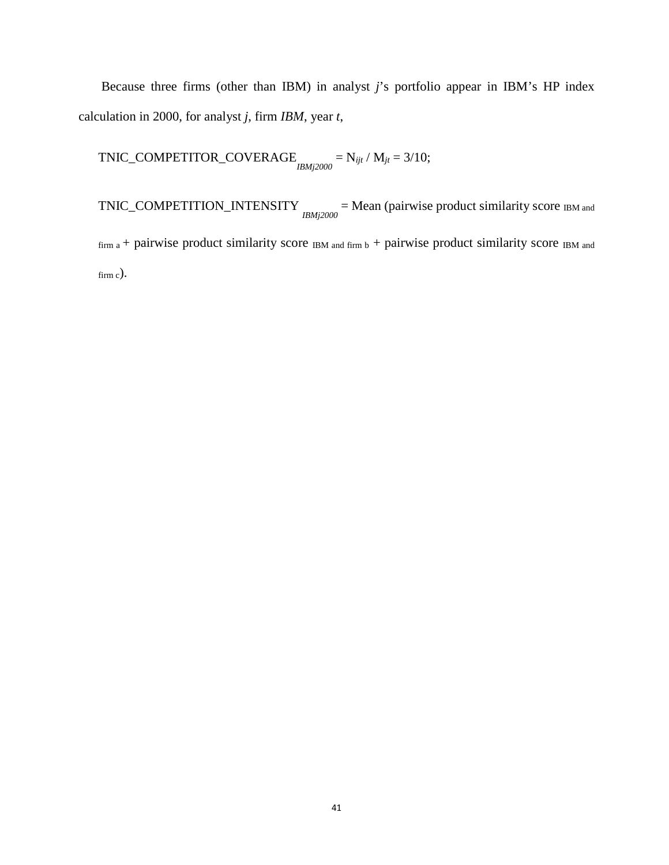Because three firms (other than IBM) in analyst *j*'s portfolio appear in IBM's HP index calculation in 2000, for analyst *j*, firm *IBM*, year *t*,

 $TNIC\_COMPETITOR\_COVERAGE$ <br> $IBMj2000$  =  $N_{ijt}$  /  $M_{jt}$  = 3/10;

 $TNIC\_COMPETITION\_INTENSITY$   $_{IBMj2000}$  = Mean (pairwise product similarity score  $_{IBM}$  and  $f_{\text{firm a}} +$  pairwise product similarity score  $f_{\text{IBM and firm b}} +$  pairwise product similarity score  $f_{\text{BM and}}$ firm c).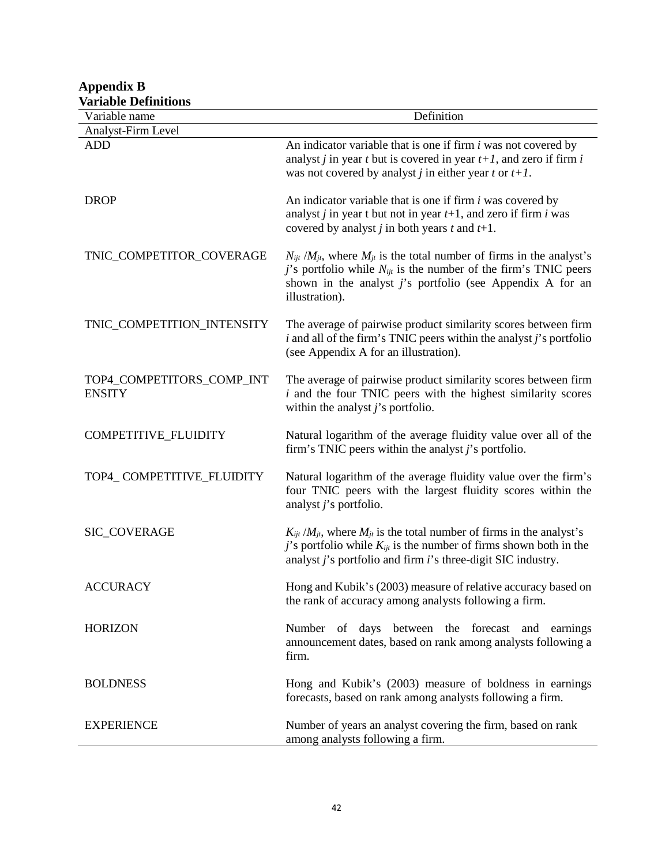| variable Definitions<br>Variable name      | Definition                                                                                                                                                                                                                                          |
|--------------------------------------------|-----------------------------------------------------------------------------------------------------------------------------------------------------------------------------------------------------------------------------------------------------|
| Analyst-Firm Level                         |                                                                                                                                                                                                                                                     |
| <b>ADD</b>                                 | An indicator variable that is one if firm $i$ was not covered by<br>analyst <i>j</i> in year <i>t</i> but is covered in year $t+1$ , and zero if firm <i>i</i><br>was not covered by analyst <i>j</i> in either year <i>t</i> or $t+1$ .            |
| <b>DROP</b>                                | An indicator variable that is one if firm <i>i</i> was covered by<br>analyst <i>j</i> in year t but not in year $t+1$ , and zero if firm <i>i</i> was<br>covered by analyst <i>j</i> in both years <i>t</i> and $t+1$ .                             |
| TNIC_COMPETITOR_COVERAGE                   | $N_{ijt}$ /M <sub>jt</sub> , where $M_{jt}$ is the total number of firms in the analyst's<br>j's portfolio while $N_{ijt}$ is the number of the firm's TNIC peers<br>shown in the analyst $j$ 's portfolio (see Appendix A for an<br>illustration). |
| TNIC_COMPETITION_INTENSITY                 | The average of pairwise product similarity scores between firm<br>$i$ and all of the firm's TNIC peers within the analyst $j$ 's portfolio<br>(see Appendix A for an illustration).                                                                 |
| TOP4_COMPETITORS_COMP_INT<br><b>ENSITY</b> | The average of pairwise product similarity scores between firm<br>$i$ and the four TNIC peers with the highest similarity scores<br>within the analyst $j$ 's portfolio.                                                                            |
| COMPETITIVE_FLUIDITY                       | Natural logarithm of the average fluidity value over all of the<br>firm's TNIC peers within the analyst $j$ 's portfolio.                                                                                                                           |
| TOP4_COMPETITIVE_FLUIDITY                  | Natural logarithm of the average fluidity value over the firm's<br>four TNIC peers with the largest fluidity scores within the<br>analyst $j$ 's portfolio.                                                                                         |
| SIC_COVERAGE                               | $K_{ijt}/M_{jt}$ , where $M_{jt}$ is the total number of firms in the analyst's<br>j's portfolio while $K_{ijt}$ is the number of firms shown both in the<br>analyst j's portfolio and firm i's three-digit SIC industry.                           |
| <b>ACCURACY</b>                            | Hong and Kubik's (2003) measure of relative accuracy based on<br>the rank of accuracy among analysts following a firm.                                                                                                                              |
| <b>HORIZON</b>                             | Number of days between the forecast and earnings<br>announcement dates, based on rank among analysts following a<br>firm.                                                                                                                           |
| <b>BOLDNESS</b>                            | Hong and Kubik's (2003) measure of boldness in earnings<br>forecasts, based on rank among analysts following a firm.                                                                                                                                |
| <b>EXPERIENCE</b>                          | Number of years an analyst covering the firm, based on rank<br>among analysts following a firm.                                                                                                                                                     |

# **Appendix B Variable Definitions**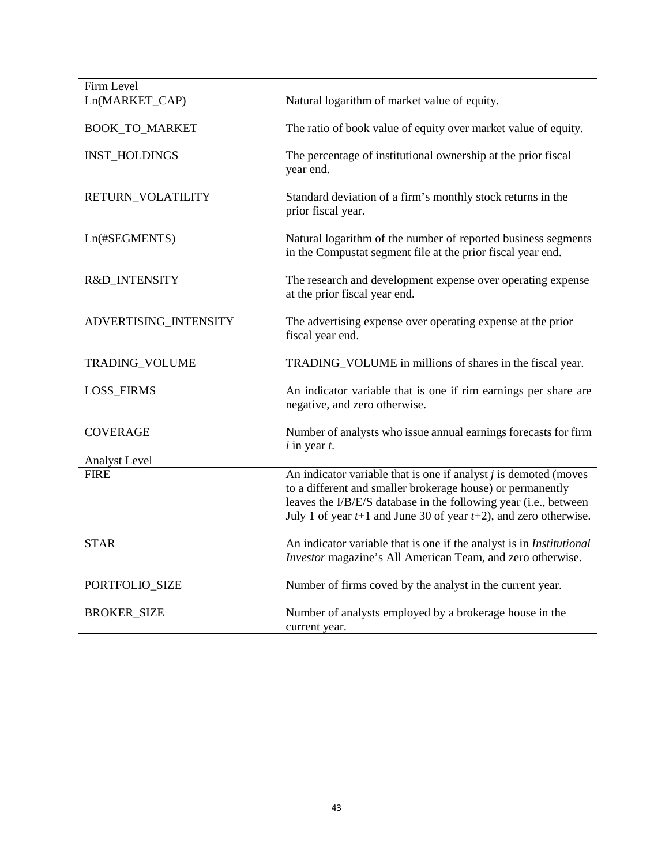| Firm Level            |                                                                                                                                                                                                                                                                               |
|-----------------------|-------------------------------------------------------------------------------------------------------------------------------------------------------------------------------------------------------------------------------------------------------------------------------|
| Ln(MARKET_CAP)        | Natural logarithm of market value of equity.                                                                                                                                                                                                                                  |
| <b>BOOK_TO_MARKET</b> | The ratio of book value of equity over market value of equity.                                                                                                                                                                                                                |
| <b>INST_HOLDINGS</b>  | The percentage of institutional ownership at the prior fiscal<br>year end.                                                                                                                                                                                                    |
| RETURN_VOLATILITY     | Standard deviation of a firm's monthly stock returns in the<br>prior fiscal year.                                                                                                                                                                                             |
| Ln(#SEGMENTS)         | Natural logarithm of the number of reported business segments<br>in the Compustat segment file at the prior fiscal year end.                                                                                                                                                  |
| R&D_INTENSITY         | The research and development expense over operating expense<br>at the prior fiscal year end.                                                                                                                                                                                  |
| ADVERTISING_INTENSITY | The advertising expense over operating expense at the prior<br>fiscal year end.                                                                                                                                                                                               |
| TRADING_VOLUME        | TRADING_VOLUME in millions of shares in the fiscal year.                                                                                                                                                                                                                      |
| <b>LOSS_FIRMS</b>     | An indicator variable that is one if rim earnings per share are<br>negative, and zero otherwise.                                                                                                                                                                              |
| <b>COVERAGE</b>       | Number of analysts who issue annual earnings forecasts for firm<br>$i$ in year $t$ .                                                                                                                                                                                          |
| Analyst Level         |                                                                                                                                                                                                                                                                               |
| <b>FIRE</b>           | An indicator variable that is one if analyst $j$ is demoted (moves<br>to a different and smaller brokerage house) or permanently<br>leaves the I/B/E/S database in the following year (i.e., between<br>July 1 of year $t+1$ and June 30 of year $t+2$ ), and zero otherwise. |
| <b>STAR</b>           | An indicator variable that is one if the analyst is in <i>Institutional</i><br>Investor magazine's All American Team, and zero otherwise.                                                                                                                                     |
| PORTFOLIO_SIZE        | Number of firms coved by the analyst in the current year.                                                                                                                                                                                                                     |
| <b>BROKER_SIZE</b>    | Number of analysts employed by a brokerage house in the<br>current year.                                                                                                                                                                                                      |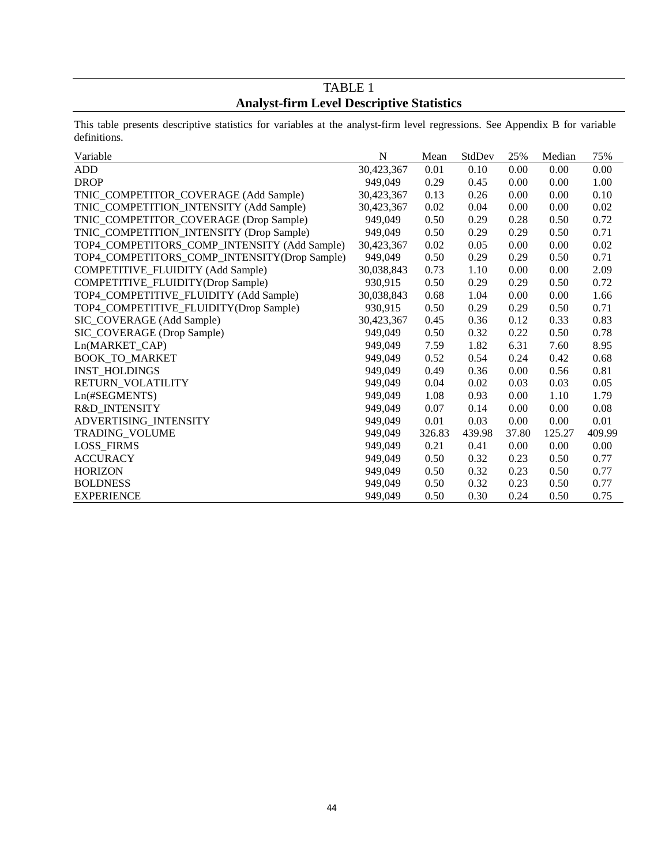# TABLE 1 **Analyst-firm Level Descriptive Statistics**

This table presents descriptive statistics for variables at the analyst-firm level regressions. See Appendix B for variable definitions.

| Variable                                     | $\mathbf N$ | Mean   | StdDev | 25%   | Median | 75%    |
|----------------------------------------------|-------------|--------|--------|-------|--------|--------|
| <b>ADD</b>                                   | 30,423,367  | 0.01   | 0.10   | 0.00  | 0.00   | 0.00   |
| <b>DROP</b>                                  | 949,049     | 0.29   | 0.45   | 0.00  | 0.00   | 1.00   |
| TNIC_COMPETITOR_COVERAGE (Add Sample)        | 30,423,367  | 0.13   | 0.26   | 0.00  | 0.00   | 0.10   |
| TNIC_COMPETITION_INTENSITY (Add Sample)      | 30,423,367  | 0.02   | 0.04   | 0.00  | 0.00   | 0.02   |
| TNIC_COMPETITOR_COVERAGE (Drop Sample)       | 949,049     | 0.50   | 0.29   | 0.28  | 0.50   | 0.72   |
| TNIC_COMPETITION_INTENSITY (Drop Sample)     | 949,049     | 0.50   | 0.29   | 0.29  | 0.50   | 0.71   |
| TOP4_COMPETITORS_COMP_INTENSITY (Add Sample) | 30,423,367  | 0.02   | 0.05   | 0.00  | 0.00   | 0.02   |
| TOP4_COMPETITORS_COMP_INTENSITY(Drop Sample) | 949,049     | 0.50   | 0.29   | 0.29  | 0.50   | 0.71   |
| COMPETITIVE_FLUIDITY (Add Sample)            | 30,038,843  | 0.73   | 1.10   | 0.00  | 0.00   | 2.09   |
| COMPETITIVE_FLUIDITY(Drop Sample)            | 930,915     | 0.50   | 0.29   | 0.29  | 0.50   | 0.72   |
| TOP4_COMPETITIVE_FLUIDITY (Add Sample)       | 30,038,843  | 0.68   | 1.04   | 0.00  | 0.00   | 1.66   |
| TOP4_COMPETITIVE_FLUIDITY(Drop Sample)       | 930,915     | 0.50   | 0.29   | 0.29  | 0.50   | 0.71   |
| SIC_COVERAGE (Add Sample)                    | 30,423,367  | 0.45   | 0.36   | 0.12  | 0.33   | 0.83   |
| SIC_COVERAGE (Drop Sample)                   | 949,049     | 0.50   | 0.32   | 0.22  | 0.50   | 0.78   |
| Ln(MARKET_CAP)                               | 949,049     | 7.59   | 1.82   | 6.31  | 7.60   | 8.95   |
| <b>BOOK_TO_MARKET</b>                        | 949,049     | 0.52   | 0.54   | 0.24  | 0.42   | 0.68   |
| <b>INST HOLDINGS</b>                         | 949,049     | 0.49   | 0.36   | 0.00  | 0.56   | 0.81   |
| RETURN_VOLATILITY                            | 949,049     | 0.04   | 0.02   | 0.03  | 0.03   | 0.05   |
| Ln(#SEGMENTS)                                | 949,049     | 1.08   | 0.93   | 0.00  | 1.10   | 1.79   |
| R&D INTENSITY                                | 949,049     | 0.07   | 0.14   | 0.00  | 0.00   | 0.08   |
| ADVERTISING_INTENSITY                        | 949,049     | 0.01   | 0.03   | 0.00  | 0.00   | 0.01   |
| TRADING_VOLUME                               | 949,049     | 326.83 | 439.98 | 37.80 | 125.27 | 409.99 |
| LOSS_FIRMS                                   | 949,049     | 0.21   | 0.41   | 0.00  | 0.00   | 0.00   |
| <b>ACCURACY</b>                              | 949,049     | 0.50   | 0.32   | 0.23  | 0.50   | 0.77   |
| <b>HORIZON</b>                               | 949,049     | 0.50   | 0.32   | 0.23  | 0.50   | 0.77   |
| <b>BOLDNESS</b>                              | 949,049     | 0.50   | 0.32   | 0.23  | 0.50   | 0.77   |
| <b>EXPERIENCE</b>                            | 949,049     | 0.50   | 0.30   | 0.24  | 0.50   | 0.75   |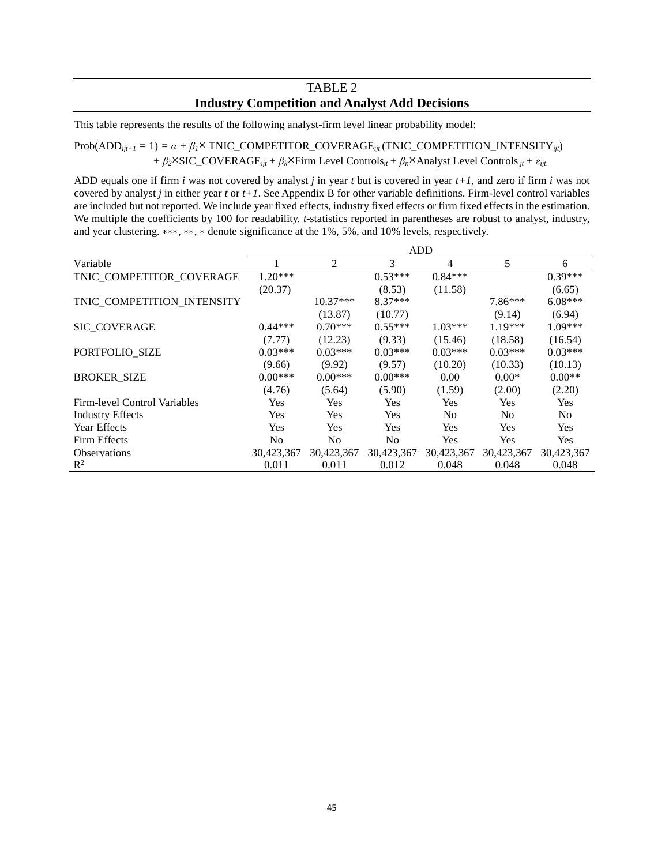# TABLE 2 **Industry Competition and Analyst Add Decisions**

This table represents the results of the following analyst-firm level linear probability model:

 $Prob(ADD_{ijt+1} = 1) = \alpha + \beta_1 \times TNIC\_COMPETITOR\_COVERAGE_{ijt}$  (TNIC\_COMPETITION\_INTENSITY<sub>ijt</sub>) *+ β2*×SIC\_COVERAGE*ijt+ βk*×Firm Level Controls*it + βn*×Analyst Level Controls*jt + εijt*.

ADD equals one if firm *i* was not covered by analyst *j* in year *t* but is covered in year *t+1*, and zero if firm *i* was not covered by analyst *j* in either year *t* or *t+1*. See Appendix B for other variable definitions. Firm-level control variables are included but not reported. We include year fixed effects, industry fixed effects or firm fixed effects in the estimation. We multiple the coefficients by 100 for readability. *t*-statistics reported in parentheses are robust to analyst, industry, and year clustering. ∗∗∗, ∗∗, ∗ denote significance at the 1%, 5%, and 10% levels, respectively.

|                                     |            | <b>ADD</b>     |            |                |                |                |  |  |
|-------------------------------------|------------|----------------|------------|----------------|----------------|----------------|--|--|
| Variable                            |            | 2              | 3          | $\overline{4}$ | 5              | 6              |  |  |
| TNIC_COMPETITOR_COVERAGE            | $1.20***$  |                | $0.53***$  | $0.84***$      |                | $0.39***$      |  |  |
|                                     | (20.37)    |                | (8.53)     | (11.58)        |                | (6.65)         |  |  |
| TNIC COMPETITION INTENSITY          |            | $10.37***$     | $8.37***$  |                | $7.86***$      | $6.08***$      |  |  |
|                                     |            | (13.87)        | (10.77)    |                | (9.14)         | (6.94)         |  |  |
| <b>SIC COVERAGE</b>                 | $0.44***$  | $0.70***$      | $0.55***$  | $1.03***$      | $1.19***$      | $1.09***$      |  |  |
|                                     | (7.77)     | (12.23)        | (9.33)     | (15.46)        | (18.58)        | (16.54)        |  |  |
| PORTFOLIO_SIZE                      | $0.03***$  | $0.03***$      | $0.03***$  | $0.03***$      | $0.03***$      | $0.03***$      |  |  |
|                                     | (9.66)     | (9.92)         | (9.57)     | (10.20)        | (10.33)        | (10.13)        |  |  |
| <b>BROKER_SIZE</b>                  | $0.00***$  | $0.00***$      | $0.00***$  | 0.00           | $0.00*$        | $0.00**$       |  |  |
|                                     | (4.76)     | (5.64)         | (5.90)     | (1.59)         | (2.00)         | (2.20)         |  |  |
| <b>Firm-level Control Variables</b> | Yes        | Yes            | Yes        | Yes            | Yes            | <b>Yes</b>     |  |  |
| <b>Industry Effects</b>             | <b>Yes</b> | <b>Yes</b>     | Yes        | No             | N <sub>0</sub> | N <sub>0</sub> |  |  |
| Year Effects                        | Yes        | <b>Yes</b>     | Yes        | Yes            | Yes            | <b>Yes</b>     |  |  |
| Firm Effects                        | No         | N <sub>0</sub> | No         | Yes            | Yes            | <b>Yes</b>     |  |  |
| <b>Observations</b>                 | 30,423,367 | 30,423,367     | 30,423,367 | 30,423,367     | 30,423,367     | 30,423,367     |  |  |
| $\mathbb{R}^2$                      | 0.011      | 0.011          | 0.012      | 0.048          | 0.048          | 0.048          |  |  |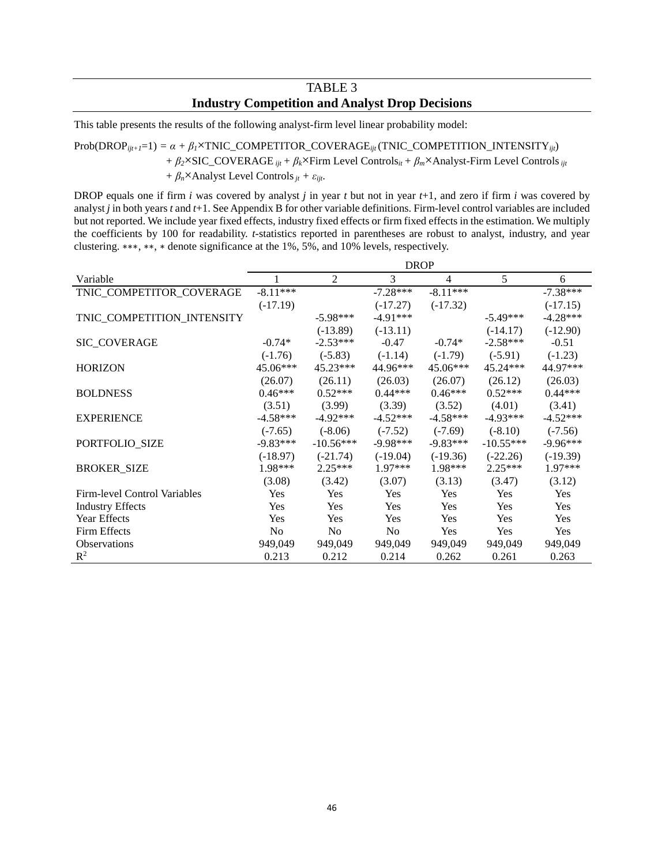# TABLE 3 **Industry Competition and Analyst Drop Decisions**

This table presents the results of the following analyst-firm level linear probability model:

#### $Prob(DROP_{ijt+1}=1) = \alpha + \beta_1 \times TNIC\_COMPETITOR\_COVERAGE_{ijt}$  (TNIC\_COMPETITION\_INTENSITY<sub>ijt</sub>)

*+ β2*×SIC\_COVERAGE *ijt + βk*×Firm Level Controls*it + βm*×Analyst-Firm Level Controls*ijt*

*+*  $\beta_n$ ×Analyst Level Controls  $i_t + \varepsilon_{ijt}$ .

DROP equals one if firm *i* was covered by analyst *j* in year *t* but not in year *t*+1, and zero if firm *i* was covered by analyst *j* in both years *t* and *t*+1. See Appendix B for other variable definitions. Firm-level control variables are included but not reported. We include year fixed effects, industry fixed effects or firm fixed effects in the estimation. We multiply the coefficients by 100 for readability. *t*-statistics reported in parentheses are robust to analyst, industry, and year clustering. ∗∗∗, ∗∗, ∗ denote significance at the 1%, 5%, and 10% levels, respectively.

|                              | <b>DROP</b> |                |            |            |             |            |  |
|------------------------------|-------------|----------------|------------|------------|-------------|------------|--|
| Variable                     |             | $\overline{2}$ | 3          | 4          | 5           | 6          |  |
| TNIC_COMPETITOR_COVERAGE     | $-8.11***$  |                | $-7.28***$ | $-8.11***$ |             | $-7.38***$ |  |
|                              | $(-17.19)$  |                | $(-17.27)$ | $(-17.32)$ |             | $(-17.15)$ |  |
| TNIC_COMPETITION_INTENSITY   |             | $-5.98***$     | $-4.91***$ |            | $-5.49***$  | $-4.28***$ |  |
|                              |             | $(-13.89)$     | $(-13.11)$ |            | $(-14.17)$  | $(-12.90)$ |  |
| SIC_COVERAGE                 | $-0.74*$    | $-2.53***$     | $-0.47$    | $-0.74*$   | $-2.58***$  | $-0.51$    |  |
|                              | $(-1.76)$   | $(-5.83)$      | $(-1.14)$  | $(-1.79)$  | $(-5.91)$   | $(-1.23)$  |  |
| <b>HORIZON</b>               | 45.06***    | $45.23***$     | 44.96***   | 45.06***   | 45.24***    | 44.97***   |  |
|                              | (26.07)     | (26.11)        | (26.03)    | (26.07)    | (26.12)     | (26.03)    |  |
| <b>BOLDNESS</b>              | $0.46***$   | $0.52***$      | $0.44***$  | $0.46***$  | $0.52***$   | $0.44***$  |  |
|                              | (3.51)      | (3.99)         | (3.39)     | (3.52)     | (4.01)      | (3.41)     |  |
| <b>EXPERIENCE</b>            | $-4.58***$  | $-4.92***$     | $-4.52***$ | $-4.58***$ | $-4.93***$  | $-4.52***$ |  |
|                              | $(-7.65)$   | $(-8.06)$      | $(-7.52)$  | $(-7.69)$  | $(-8.10)$   | $(-7.56)$  |  |
| PORTFOLIO_SIZE               | $-9.83***$  | $-10.56***$    | $-9.98***$ | $-9.83***$ | $-10.55***$ | $-9.96***$ |  |
|                              | $(-18.97)$  | $(-21.74)$     | $(-19.04)$ | $(-19.36)$ | $(-22.26)$  | $(-19.39)$ |  |
| <b>BROKER_SIZE</b>           | 1.98***     | $2.25***$      | 1.97***    | 1.98***    | $2.25***$   | 1.97***    |  |
|                              | (3.08)      | (3.42)         | (3.07)     | (3.13)     | (3.47)      | (3.12)     |  |
| Firm-level Control Variables | Yes         | Yes            | Yes        | Yes        | Yes         | Yes        |  |
| <b>Industry Effects</b>      | Yes         | Yes            | Yes        | Yes        | <b>Yes</b>  | <b>Yes</b> |  |
| <b>Year Effects</b>          | Yes         | Yes            | Yes        | Yes        | Yes         | Yes        |  |
| Firm Effects                 | No          | No             | No         | Yes        | Yes         | Yes        |  |
| <b>Observations</b>          | 949,049     | 949,049        | 949,049    | 949,049    | 949,049     | 949,049    |  |
| $R^2$                        | 0.213       | 0.212          | 0.214      | 0.262      | 0.261       | 0.263      |  |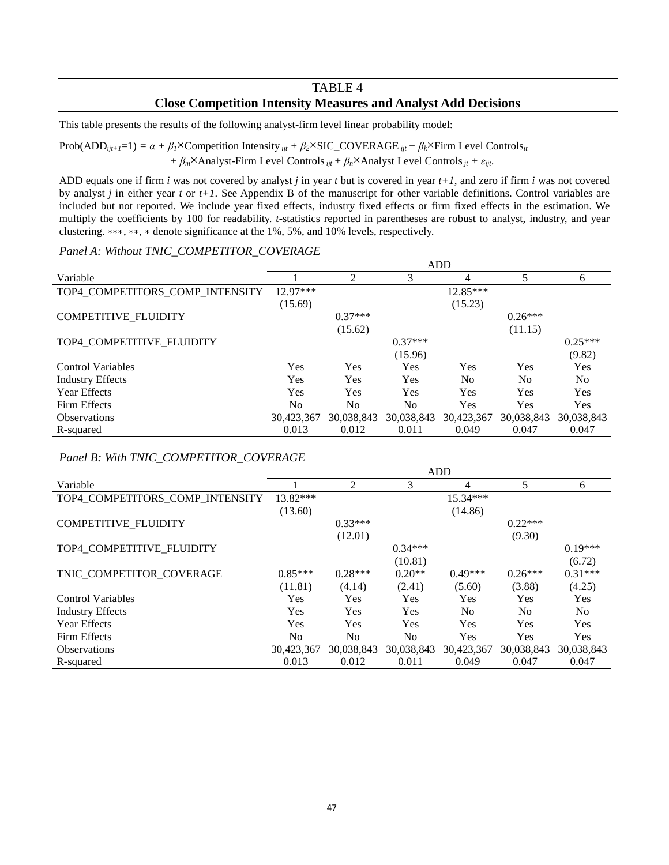# TABLE 4 **Close Competition Intensity Measures and Analyst Add Decisions**

This table presents the results of the following analyst-firm level linear probability model:

Prob(ADD<sub>ijt+1</sub>=1) =  $\alpha + \beta_1 \times$ Competition Intensity  $_{ijt} + \beta_2 \times$ SIC\_COVERAGE  $_{ijt} + \beta_k \times$ Firm Level Controls<sub>it</sub> *+ βm*×Analyst-Firm Level Controls*ijt + βn*×Analyst Level Controls*jt + εijt*.

ADD equals one if firm *i* was not covered by analyst *j* in year *t* but is covered in year *t+1*, and zero if firm *i* was not covered by analyst *j* in either year *t* or *t+1*. See Appendix B of the manuscript for other variable definitions. Control variables are included but not reported. We include year fixed effects, industry fixed effects or firm fixed effects in the estimation. We multiply the coefficients by 100 for readability. *t*-statistics reported in parentheses are robust to analyst, industry, and year clustering. ∗∗∗, ∗∗, ∗ denote significance at the 1%, 5%, and 10% levels, respectively.

#### *Panel A: Without TNIC\_COMPETITOR\_COVERAGE*

|                                 |                |            | <b>ADD</b> |                |                |                |
|---------------------------------|----------------|------------|------------|----------------|----------------|----------------|
| Variable                        |                | 2          | 3          | 4              |                | 6              |
| TOP4_COMPETITORS_COMP_INTENSITY | $12.97***$     |            |            | $12.85***$     |                |                |
|                                 | (15.69)        |            |            | (15.23)        |                |                |
| COMPETITIVE_FLUIDITY            |                | $0.37***$  |            |                | $0.26***$      |                |
|                                 |                | (15.62)    |            |                | (11.15)        |                |
| TOP4_COMPETITIVE_FLUIDITY       |                |            | $0.37***$  |                |                | $0.25***$      |
|                                 |                |            | (15.96)    |                |                | (9.82)         |
| <b>Control Variables</b>        | Yes            | Yes        | Yes        | Yes            | Yes            | Yes            |
| <b>Industry Effects</b>         | Yes            | Yes        | Yes        | N <sub>0</sub> | N <sub>0</sub> | N <sub>o</sub> |
| <b>Year Effects</b>             | Yes            | Yes        | Yes        | Yes            | <b>Yes</b>     | Yes            |
| Firm Effects                    | N <sub>0</sub> | No         | No.        | Yes            | <b>Yes</b>     | Yes            |
| <b>Observations</b>             | 30,423,367     | 30,038,843 | 30,038,843 | 30,423,367     | 30,038,843     | 30,038,843     |
| R-squared                       | 0.013          | 0.012      | 0.011      | 0.049          | 0.047          | 0.047          |

*Panel B: With TNIC\_COMPETITOR\_COVERAGE*

|                                 |                | <b>ADD</b>     |                |                |            |            |  |  |
|---------------------------------|----------------|----------------|----------------|----------------|------------|------------|--|--|
| Variable                        |                | 2              | 3              | 4              | 5.         | 6          |  |  |
| TOP4_COMPETITORS_COMP_INTENSITY | $13.82***$     |                |                | $15.34***$     |            |            |  |  |
|                                 | (13.60)        |                |                | (14.86)        |            |            |  |  |
| COMPETITIVE_FLUIDITY            |                | $0.33***$      |                |                | $0.22***$  |            |  |  |
|                                 |                | (12.01)        |                |                | (9.30)     |            |  |  |
| TOP4 COMPETITIVE FLUIDITY       |                |                | $0.34***$      |                |            | $0.19***$  |  |  |
|                                 |                |                | (10.81)        |                |            | (6.72)     |  |  |
| TNIC_COMPETITOR_COVERAGE        | $0.85***$      | $0.28***$      | $0.20**$       | $0.49***$      | $0.26***$  | $0.31***$  |  |  |
|                                 | (11.81)        | (4.14)         | (2.41)         | (5.60)         | (3.88)     | (4.25)     |  |  |
| <b>Control Variables</b>        | Yes            | <b>Yes</b>     | Yes            | Yes            | Yes        | Yes        |  |  |
| <b>Industry Effects</b>         | Yes            | <b>Yes</b>     | Yes            | N <sub>o</sub> | No.        | No.        |  |  |
| Year Effects                    | Yes            | Yes            | Yes            | Yes            | <b>Yes</b> | Yes        |  |  |
| Firm Effects                    | N <sub>0</sub> | N <sub>0</sub> | N <sub>0</sub> | <b>Yes</b>     | Yes        | Yes        |  |  |
| <b>Observations</b>             | 30,423,367     | 30,038,843     | 30,038,843     | 30,423,367     | 30,038,843 | 30,038,843 |  |  |
| R-squared                       | 0.013          | 0.012          | 0.011          | 0.049          | 0.047      | 0.047      |  |  |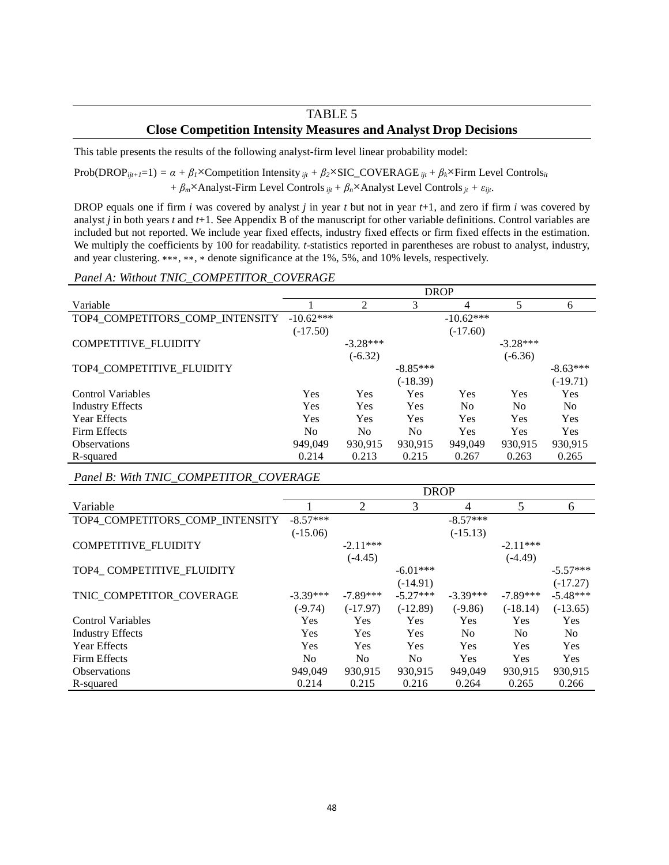# TABLE 5 **Close Competition Intensity Measures and Analyst Drop Decisions**

This table presents the results of the following analyst-firm level linear probability model:

 $Prob(DROP_{ijt+1}=1) = \alpha + \beta_1 \times$ Competition Intensity  $_{ijt} + \beta_2 \times$ SIC\_COVERAGE  $_{ijt} + \beta_k \times$ Firm Level Controls<sub>it</sub>

*+ βm*×Analyst-Firm Level Controls*ijt + βn*×Analyst Level Controls*jt + εijt*.

DROP equals one if firm *i* was covered by analyst *j* in year *t* but not in year *t*+1, and zero if firm *i* was covered by analyst *j* in both years *t* and *t*+1. See Appendix B of the manuscript for other variable definitions. Control variables are included but not reported. We include year fixed effects, industry fixed effects or firm fixed effects in the estimation. We multiply the coefficients by 100 for readability. *t*-statistics reported in parentheses are robust to analyst, industry, and year clustering. ∗∗∗, ∗∗, ∗ denote significance at the 1%, 5%, and 10% levels, respectively.

#### *Panel A: Without TNIC\_COMPETITOR\_COVERAGE*

|                                 | <b>DROP</b> |            |                |             |                |                |  |
|---------------------------------|-------------|------------|----------------|-------------|----------------|----------------|--|
| Variable                        |             | 2          | 3              | 4           | 5              | 6              |  |
| TOP4_COMPETITORS_COMP_INTENSITY | $-10.62***$ |            |                | $-10.62***$ |                |                |  |
|                                 | $(-17.50)$  |            |                | $(-17.60)$  |                |                |  |
| COMPETITIVE_FLUIDITY            |             | $-3.28***$ |                |             | $-3.28***$     |                |  |
|                                 |             | $(-6.32)$  |                |             | $(-6.36)$      |                |  |
| TOP4_COMPETITIVE_FLUIDITY       |             |            | $-8.85***$     |             |                | $-8.63***$     |  |
|                                 |             |            | $(-18.39)$     |             |                | $(-19.71)$     |  |
| <b>Control Variables</b>        | Yes         | Yes        | Yes            | Yes         | Yes            | Yes            |  |
| <b>Industry Effects</b>         | Yes         | Yes        | Yes            | No          | N <sub>0</sub> | N <sub>0</sub> |  |
| <b>Year Effects</b>             | Yes         | Yes        | Yes            | <b>Yes</b>  | Yes            | Yes            |  |
| Firm Effects                    | No          | No         | N <sub>0</sub> | Yes         | Yes            | Yes            |  |
| <b>Observations</b>             | 949,049     | 930,915    | 930,915        | 949,049     | 930,915        | 930,915        |  |
| R-squared                       | 0.214       | 0.213      | 0.215          | 0.267       | 0.263          | 0.265          |  |

*Panel B: With TNIC\_COMPETITOR\_COVERAGE*

|                                 | <b>DROP</b>    |                |                |                |                |            |  |
|---------------------------------|----------------|----------------|----------------|----------------|----------------|------------|--|
| Variable                        |                | $\overline{2}$ | 3              | $\overline{4}$ | 5              | 6          |  |
| TOP4_COMPETITORS_COMP_INTENSITY | $-8.57***$     |                |                | $-8.57***$     |                |            |  |
|                                 | $(-15.06)$     |                |                | $(-15.13)$     |                |            |  |
| <b>COMPETITIVE FLUIDITY</b>     |                | $-2.11***$     |                |                | $-2.11***$     |            |  |
|                                 |                | $(-4.45)$      |                |                | $(-4.49)$      |            |  |
| TOP4 COMPETITIVE_FLUIDITY       |                |                | $-6.01***$     |                |                | $-5.57***$ |  |
|                                 |                |                | $(-14.91)$     |                |                | $(-17.27)$ |  |
| TNIC COMPETITOR_COVERAGE        | $-3.39***$     | $-7.89***$     | $-5.27***$     | $-3.39***$     | $-7.89***$     | $-5.48***$ |  |
|                                 | $(-9.74)$      | $(-17.97)$     | $(-12.89)$     | $(-9.86)$      | $(-18.14)$     | $(-13.65)$ |  |
| <b>Control Variables</b>        | <b>Yes</b>     | Yes            | Yes            | Yes            | <b>Yes</b>     | <b>Yes</b> |  |
| <b>Industry Effects</b>         | <b>Yes</b>     | Yes            | Yes            | N <sub>o</sub> | N <sub>0</sub> | No.        |  |
| <b>Year Effects</b>             | Yes            | Yes            | <b>Yes</b>     | Yes            | Yes            | Yes        |  |
| Firm Effects                    | N <sub>0</sub> | N <sub>0</sub> | N <sub>o</sub> | <b>Yes</b>     | <b>Yes</b>     | Yes        |  |
| <b>Observations</b>             | 949,049        | 930,915        | 930,915        | 949,049        | 930,915        | 930,915    |  |
| R-squared                       | 0.214          | 0.215          | 0.216          | 0.264          | 0.265          | 0.266      |  |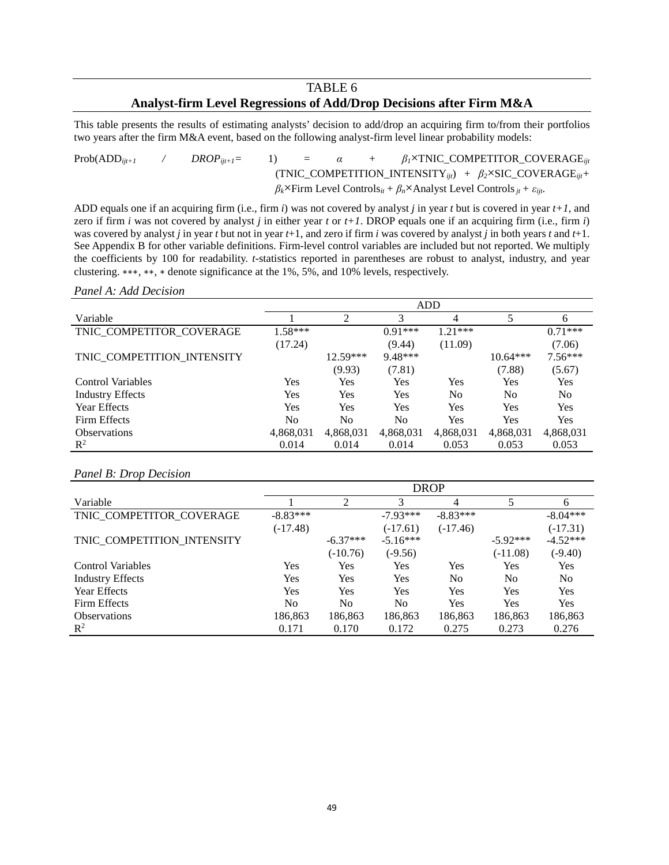# TABLE 6 **Analyst-firm Level Regressions of Add/Drop Decisions after Firm M&A**

This table presents the results of estimating analysts' decision to add/drop an acquiring firm to/from their portfolios two years after the firm M&A event, based on the following analyst-firm level linear probability models:

 $Prob(ADD_{ijt+1}$  /  $DROP_{ijt+1}$  = 1) =  $\alpha$  +  $\beta_1$ ×TNIC\_COMPETITOR\_COVERAGE<sub>ijt</sub> (TNIC\_COMPETITION\_INTENSITY*ijt*) *+ β2*×SIC\_COVERAGE*ijt+ βk*×Firm Level Controls*it + βn*×Analyst Level Controls*jt + εijt*.

ADD equals one if an acquiring firm (i.e., firm *i*) was not covered by analyst *j* in year *t* but is covered in year *t+1*, and zero if firm *i* was not covered by analyst *j* in either year *t* or  $t+1$ . DROP equals one if an acquiring firm (i.e., firm  $i$ ) was covered by analyst *j* in year *t* but not in year *t*+1, and zero if firm *i* was covered by analyst *j* in both years *t* and *t*+1. See Appendix B for other variable definitions. Firm-level control variables are included but not reported. We multiply the coefficients by 100 for readability. *t*-statistics reported in parentheses are robust to analyst, industry, and year clustering. ∗∗∗, ∗∗, ∗ denote significance at the 1%, 5%, and 10% levels, respectively.

#### *Panel A: Add Decision*

|                            | ADD       |            |                |            |            |                |
|----------------------------|-----------|------------|----------------|------------|------------|----------------|
| Variable                   |           | 2          | 3              | 4          | 5          | 6              |
| TNIC COMPETITOR COVERAGE   | $1.58***$ |            | $0.91***$      | $1.21***$  |            | $0.71***$      |
|                            | (17.24)   |            | (9.44)         | (11.09)    |            | (7.06)         |
| TNIC COMPETITION INTENSITY |           | $12.59***$ | 9.48***        |            | $10.64***$ | $7.56***$      |
|                            |           | (9.93)     | (7.81)         |            | (7.88)     | (5.67)         |
| Control Variables          | Yes       | Yes        | Yes            | Yes        | Yes        | <b>Yes</b>     |
| <b>Industry Effects</b>    | Yes       | Yes        | Yes            | No         | No         | N <sub>0</sub> |
| Year Effects               | Yes       | Yes        | Yes            | <b>Yes</b> | Yes        | Yes            |
| Firm Effects               | No        | No         | N <sub>0</sub> | Yes        | Yes        | Yes            |
| <b>Observations</b>        | 4,868,031 | 4,868,031  | 4,868,031      | 4,868,031  | 4,868,031  | 4,868,031      |
| $\mathbb{R}^2$             | 0.014     | 0.014      | 0.014          | 0.053      | 0.053      | 0.053          |

#### *Panel B: Drop Decision*

|                            | <b>DROP</b>    |                |                |            |            |                |  |
|----------------------------|----------------|----------------|----------------|------------|------------|----------------|--|
| Variable                   |                | $\mathfrak{D}$ | 3              | 4          |            | 6              |  |
| TNIC COMPETITOR_COVERAGE   | $-8.83***$     |                | $-7.93***$     | $-8.83***$ |            | $-8.04***$     |  |
|                            | $(-17.48)$     |                | $(-17.61)$     | $(-17.46)$ |            | $(-17.31)$     |  |
| TNIC COMPETITION INTENSITY |                | $-6.37***$     | $-5.16***$     |            | $-5.92***$ | $-4.52***$     |  |
|                            |                | $(-10.76)$     | $(-9.56)$      |            | $(-11.08)$ | $(-9.40)$      |  |
| Control Variables          | Yes            | Yes            | Yes            | Yes        | Yes        | Yes            |  |
| <b>Industry Effects</b>    | Yes            | Yes            | Yes            | No         | No         | N <sub>0</sub> |  |
| Year Effects               | Yes            | Yes            | Yes            | Yes        | <b>Yes</b> | Yes            |  |
| Firm Effects               | N <sub>0</sub> | N <sub>0</sub> | N <sub>0</sub> | Yes        | <b>Yes</b> | Yes            |  |
| <b>Observations</b>        | 186,863        | 186,863        | 186,863        | 186,863    | 186,863    | 186,863        |  |
| $\mathbb{R}^2$             | 0.171          | 0.170          | 0.172          | 0.275      | 0.273      | 0.276          |  |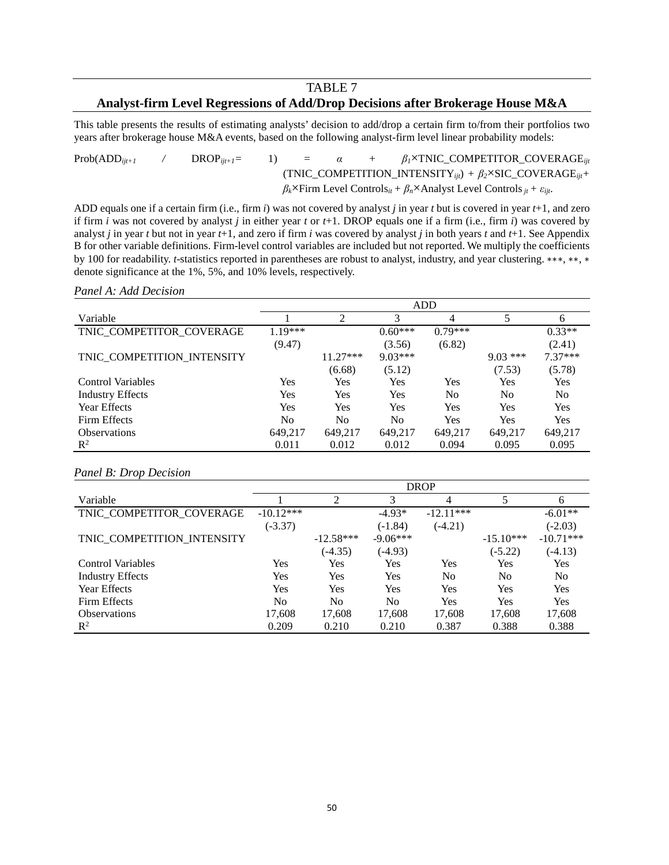# TABLE 7

# **Analyst-firm Level Regressions of Add/Drop Decisions after Brokerage House M&A**

This table presents the results of estimating analysts' decision to add/drop a certain firm to/from their portfolios two years after brokerage house M&A events, based on the following analyst-firm level linear probability models:

Prob(ADD*ijt+1 /* DROP*ijt+1=* 1) *= α + β1*×TNIC\_COMPETITOR\_COVERAGE*ijt*  (TNIC\_COMPETITION\_INTENSITY*ijt*) *+ β2*×SIC\_COVERAGE*ijt+ βk*×Firm Level Controls*it + βn*×Analyst Level Controls*jt + εijt*.

ADD equals one if a certain firm (i.e., firm *i*) was not covered by analyst *j* in year *t* but is covered in year *t*+1, and zero if firm *i* was not covered by analyst *j* in either year *t* or *t*+1. DROP equals one if a firm (i.e., firm *i*) was covered by analyst *j* in year *t* but not in year *t*+1, and zero if firm *i* was covered by analyst *j* in both years *t* and *t*+1. See Appendix B for other variable definitions. Firm-level control variables are included but not reported. We multiply the coefficients by 100 for readability. *t*-statistics reported in parentheses are robust to analyst, industry, and year clustering. ∗∗∗, ∗∗, ∗ denote significance at the 1%, 5%, and 10% levels, respectively.

#### *Panel A: Add Decision*

|                            |           | ADD            |                |                |                |                |  |  |
|----------------------------|-----------|----------------|----------------|----------------|----------------|----------------|--|--|
| Variable                   |           | $\overline{2}$ | 3              | 4              |                | 6              |  |  |
| TNIC_COMPETITOR_COVERAGE   | $1.19***$ |                | $0.60***$      | $0.79***$      |                | $0.33**$       |  |  |
|                            | (9.47)    |                | (3.56)         | (6.82)         |                | (2.41)         |  |  |
| TNIC COMPETITION INTENSITY |           | $11.27***$     | $9.03***$      |                | $9.03***$      | $7.37***$      |  |  |
|                            |           | (6.68)         | (5.12)         |                | (7.53)         | (5.78)         |  |  |
| Control Variables          | Yes       | Yes            | <b>Yes</b>     | Yes            | Yes            | Yes            |  |  |
| <b>Industry Effects</b>    | Yes       | Yes            | <b>Yes</b>     | N <sub>0</sub> | N <sub>0</sub> | N <sub>0</sub> |  |  |
| Year Effects               | Yes       | Yes            | Yes            | Yes            | Yes            | Yes            |  |  |
| Firm Effects               | No        | No             | N <sub>0</sub> | Yes            | Yes            | Yes            |  |  |
| <b>Observations</b>        | 649,217   | 649,217        | 649,217        | 649,217        | 649,217        | 649,217        |  |  |
| $\mathbb{R}^2$             | 0.011     | 0.012          | 0.012          | 0.094          | 0.095          | 0.095          |  |  |

#### *Panel B: Drop Decision*

|                            | <b>DROP</b>    |             |                |                |             |                |
|----------------------------|----------------|-------------|----------------|----------------|-------------|----------------|
| Variable                   |                | 2           | 3              | 4              | 5           | 6              |
| TNIC COMPETITOR_COVERAGE   | $-10.12***$    |             | $-4.93*$       | $-12.11***$    |             | $-6.01**$      |
|                            | $(-3.37)$      |             | $(-1.84)$      | $(-4.21)$      |             | $(-2.03)$      |
| TNIC COMPETITION INTENSITY |                | $-12.58***$ | $-9.06***$     |                | $-15.10***$ | $-10.71***$    |
|                            |                | $(-4.35)$   | $(-4.93)$      |                | $(-5.22)$   | $(-4.13)$      |
| Control Variables          | Yes            | Yes         | Yes            | Yes            | Yes         | Yes            |
| <b>Industry Effects</b>    | Yes            | Yes         | Yes            | N <sub>0</sub> | No          | N <sub>0</sub> |
| Year Effects               | Yes            | Yes         | Yes            | Yes            | Yes         | Yes            |
| Firm Effects               | N <sub>0</sub> | No          | N <sub>0</sub> | Yes            | Yes         | Yes            |
| <b>Observations</b>        | 17,608         | 17,608      | 17,608         | 17,608         | 17,608      | 17,608         |
| $R^2$                      | 0.209          | 0.210       | 0.210          | 0.387          | 0.388       | 0.388          |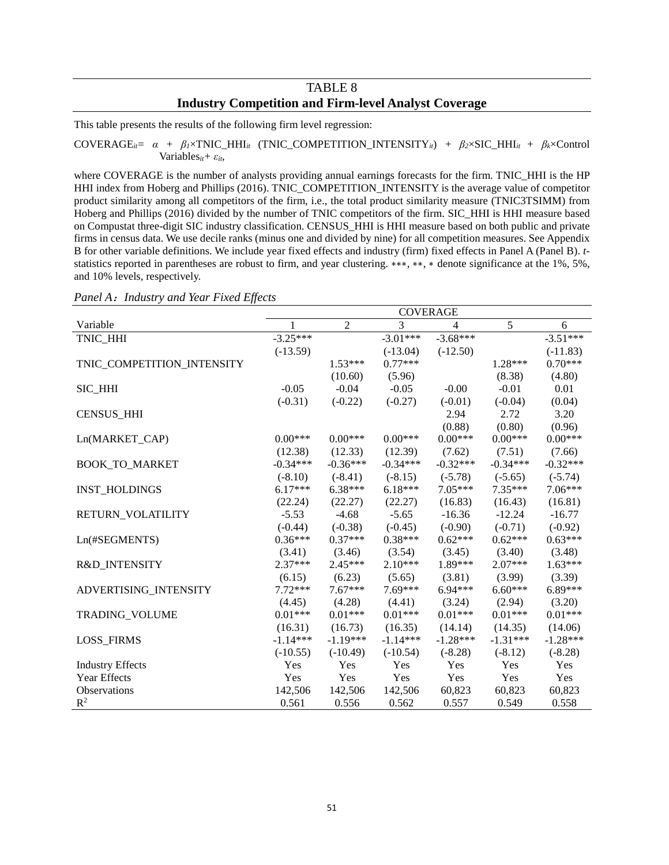# TABLE 8 **Industry Competition and Firm-level Analyst Coverage**

This table presents the results of the following firm level regression:

 $\text{COVERAGE}_{it} = \alpha + \beta_l \times \text{TNIC\_HHI}_{it}$  (TNIC\_COMPETITION\_INTENSITY<sub>it</sub>) +  $\beta_2 \times \text{SIC\_HHI}_{it} + \beta_k \times \text{Control}$ Variables*it+ εit*,

where COVERAGE is the number of analysts providing annual earnings forecasts for the firm. TNIC HHI is the HP HHI index from Hoberg and Phillips (2016). TNIC\_COMPETITION\_INTENSITY is the average value of competitor product similarity among all competitors of the firm, i.e., the total product similarity measure (TNIC3TSIMM) from Hoberg and Phillips (2016) divided by the number of TNIC competitors of the firm. SIC\_HHI is HHI measure based on Compustat three-digit SIC industry classification. CENSUS\_HHI is HHI measure based on both public and private firms in census data. We use decile ranks (minus one and divided by nine) for all competition measures. See Appendix B for other variable definitions. We include year fixed effects and industry (firm) fixed effects in Panel A (Panel B). *t*statistics reported in parentheses are robust to firm, and year clustering. ∗∗∗, ∗∗, ∗ denote significance at the 1%, 5%, and 10% levels, respectively.

|                            | <b>COVERAGE</b> |                |            |                |            |            |
|----------------------------|-----------------|----------------|------------|----------------|------------|------------|
| Variable                   | 1               | $\overline{2}$ | 3          | $\overline{4}$ | 5          | 6          |
| TNIC_HHI                   | $-3.25***$      |                | $-3.01***$ | $-3.68***$     |            | $-3.51***$ |
|                            | $(-13.59)$      |                | $(-13.04)$ | $(-12.50)$     |            | $(-11.83)$ |
| TNIC_COMPETITION_INTENSITY |                 | $1.53***$      | $0.77***$  |                | $1.28***$  | $0.70***$  |
|                            |                 | (10.60)        | (5.96)     |                | (8.38)     | (4.80)     |
| SIC_HHI                    | $-0.05$         | $-0.04$        | $-0.05$    | $-0.00$        | $-0.01$    | 0.01       |
|                            | $(-0.31)$       | $(-0.22)$      | $(-0.27)$  | $(-0.01)$      | $(-0.04)$  | (0.04)     |
| <b>CENSUS_HHI</b>          |                 |                |            | 2.94           | 2.72       | 3.20       |
|                            |                 |                |            | (0.88)         | (0.80)     | (0.96)     |
| Ln(MARKET_CAP)             | $0.00***$       | $0.00***$      | $0.00***$  | $0.00***$      | $0.00***$  | $0.00***$  |
|                            | (12.38)         | (12.33)        | (12.39)    | (7.62)         | (7.51)     | (7.66)     |
| <b>BOOK_TO_MARKET</b>      | $-0.34***$      | $-0.36***$     | $-0.34***$ | $-0.32***$     | $-0.34***$ | $-0.32***$ |
|                            | $(-8.10)$       | $(-8.41)$      | $(-8.15)$  | $(-5.78)$      | $(-5.65)$  | $(-5.74)$  |
| <b>INST_HOLDINGS</b>       | $6.17***$       | $6.38***$      | $6.18***$  | $7.05***$      | $7.35***$  | $7.06***$  |
|                            | (22.24)         | (22.27)        | (22.27)    | (16.83)        | (16.43)    | (16.81)    |
| RETURN_VOLATILITY          | $-5.53$         | $-4.68$        | $-5.65$    | $-16.36$       | $-12.24$   | $-16.77$   |
|                            | $(-0.44)$       | $(-0.38)$      | $(-0.45)$  | $(-0.90)$      | $(-0.71)$  | $(-0.92)$  |
| Ln(#SEGMENTS)              | $0.36***$       | $0.37***$      | $0.38***$  | $0.62***$      | $0.62***$  | $0.63***$  |
|                            | (3.41)          | (3.46)         | (3.54)     | (3.45)         | (3.40)     | (3.48)     |
| R&D_INTENSITY              | $2.37***$       | $2.45***$      | $2.10***$  | 1.89***        | $2.07***$  | $1.63***$  |
|                            | (6.15)          | (6.23)         | (5.65)     | (3.81)         | (3.99)     | (3.39)     |
| ADVERTISING_INTENSITY      | $7.72***$       | $7.67***$      | $7.69***$  | $6.94***$      | $6.60***$  | 6.89***    |
|                            | (4.45)          | (4.28)         | (4.41)     | (3.24)         | (2.94)     | (3.20)     |
| TRADING_VOLUME             | $0.01***$       | $0.01***$      | $0.01***$  | $0.01***$      | $0.01***$  | $0.01***$  |
|                            | (16.31)         | (16.73)        | (16.35)    | (14.14)        | (14.35)    | (14.06)    |
| <b>LOSS_FIRMS</b>          | $-1.14***$      | $-1.19***$     | $-1.14***$ | $-1.28***$     | $-1.31***$ | $-1.28***$ |
|                            | $(-10.55)$      | $(-10.49)$     | $(-10.54)$ | $(-8.28)$      | $(-8.12)$  | $(-8.28)$  |
| <b>Industry Effects</b>    | Yes             | Yes            | Yes        | Yes            | Yes        | Yes        |
| <b>Year Effects</b>        | Yes             | Yes            | Yes        | Yes            | Yes        | Yes        |
| <b>Observations</b>        | 142,506         | 142,506        | 142,506    | 60,823         | 60,823     | 60,823     |
| $R^2$                      | 0.561           | 0.556          | 0.562      | 0.557          | 0.549      | 0.558      |

*Panel A*:*Industry and Year Fixed Effects*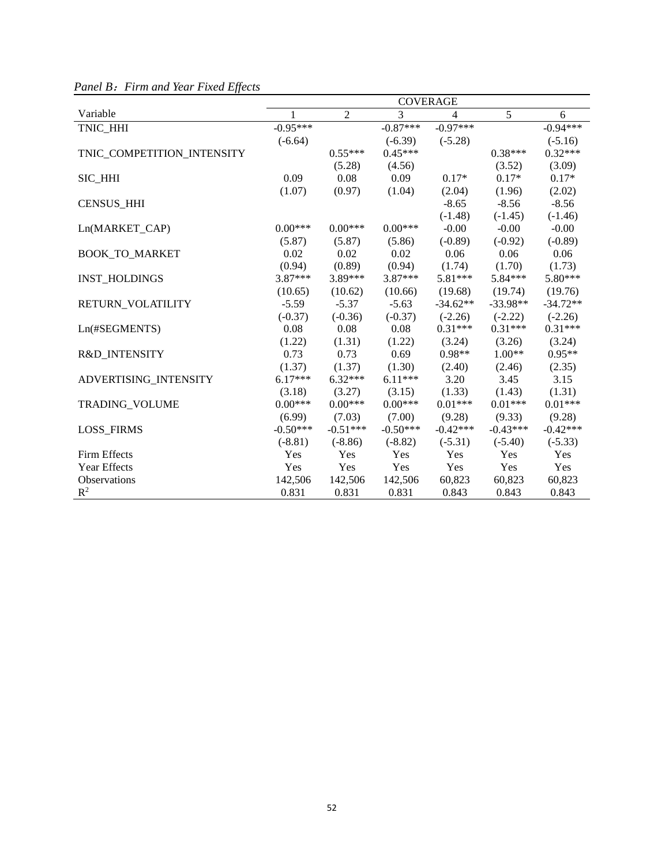|                            | <b>COVERAGE</b> |            |                |                |            |            |
|----------------------------|-----------------|------------|----------------|----------------|------------|------------|
| Variable                   | 1               | 2          | $\overline{3}$ | $\overline{4}$ | 5          | 6          |
| TNIC HHI                   | $-0.95***$      |            | $-0.87***$     | $-0.97***$     |            | $-0.94***$ |
|                            | $(-6.64)$       |            | $(-6.39)$      | $(-5.28)$      |            | $(-5.16)$  |
| TNIC_COMPETITION_INTENSITY |                 | $0.55***$  | $0.45***$      |                | $0.38***$  | $0.32***$  |
|                            |                 | (5.28)     | (4.56)         |                | (3.52)     | (3.09)     |
| SIC_HHI                    | 0.09            | 0.08       | 0.09           | $0.17*$        | $0.17*$    | $0.17*$    |
|                            | (1.07)          | (0.97)     | (1.04)         | (2.04)         | (1.96)     | (2.02)     |
| <b>CENSUS HHI</b>          |                 |            |                | $-8.65$        | $-8.56$    | $-8.56$    |
|                            |                 |            |                | $(-1.48)$      | $(-1.45)$  | $(-1.46)$  |
| Ln(MARKET_CAP)             | $0.00***$       | $0.00***$  | $0.00***$      | $-0.00$        | $-0.00$    | $-0.00$    |
|                            | (5.87)          | (5.87)     | (5.86)         | $(-0.89)$      | $(-0.92)$  | $(-0.89)$  |
| <b>BOOK_TO_MARKET</b>      | 0.02            | 0.02       | 0.02           | 0.06           | 0.06       | 0.06       |
|                            | (0.94)          | (0.89)     | (0.94)         | (1.74)         | (1.70)     | (1.73)     |
| <b>INST_HOLDINGS</b>       | $3.87***$       | 3.89***    | 3.87***        | 5.81***        | 5.84***    | 5.80***    |
|                            | (10.65)         | (10.62)    | (10.66)        | (19.68)        | (19.74)    | (19.76)    |
| RETURN_VOLATILITY          | $-5.59$         | $-5.37$    | $-5.63$        | $-34.62**$     | $-33.98**$ | $-34.72**$ |
|                            | $(-0.37)$       | $(-0.36)$  | $(-0.37)$      | $(-2.26)$      | $(-2.22)$  | $(-2.26)$  |
| Ln(#SEGMENTS)              | 0.08            | 0.08       | 0.08           | $0.31***$      | $0.31***$  | $0.31***$  |
|                            | (1.22)          | (1.31)     | (1.22)         | (3.24)         | (3.26)     | (3.24)     |
| R&D_INTENSITY              | 0.73            | 0.73       | 0.69           | $0.98**$       | $1.00**$   | $0.95**$   |
|                            | (1.37)          | (1.37)     | (1.30)         | (2.40)         | (2.46)     | (2.35)     |
| ADVERTISING_INTENSITY      | $6.17***$       | $6.32***$  | $6.11***$      | 3.20           | 3.45       | 3.15       |
|                            | (3.18)          | (3.27)     | (3.15)         | (1.33)         | (1.43)     | (1.31)     |
| TRADING_VOLUME             | $0.00***$       | $0.00***$  | $0.00***$      | $0.01***$      | $0.01***$  | $0.01***$  |
|                            | (6.99)          | (7.03)     | (7.00)         | (9.28)         | (9.33)     | (9.28)     |
| <b>LOSS_FIRMS</b>          | $-0.50***$      | $-0.51***$ | $-0.50***$     | $-0.42***$     | $-0.43***$ | $-0.42***$ |
|                            | $(-8.81)$       | $(-8.86)$  | $(-8.82)$      | $(-5.31)$      | $(-5.40)$  | $(-5.33)$  |
| Firm Effects               | Yes             | Yes        | Yes            | Yes            | Yes        | Yes        |
| Year Effects               | Yes             | Yes        | Yes            | Yes            | Yes        | Yes        |
| Observations               | 142,506         | 142,506    | 142,506        | 60,823         | 60,823     | 60,823     |
| $R^2$                      | 0.831           | 0.831      | 0.831          | 0.843          | 0.843      | 0.843      |

*Panel B*:*Firm and Year Fixed Effects*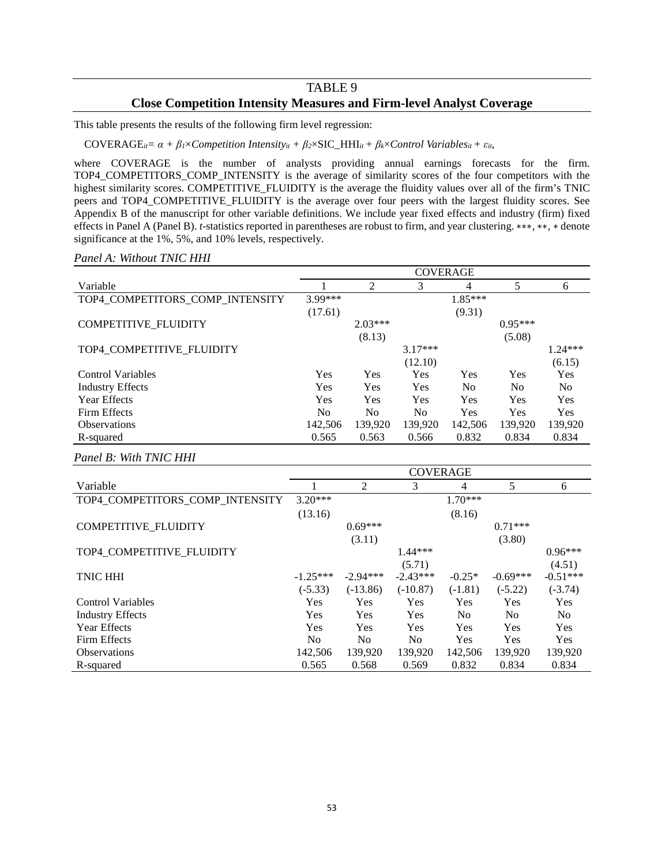# TABLE 9 **Close Competition Intensity Measures and Firm-level Analyst Coverage**

This table presents the results of the following firm level regression:

COVERAGE<sub>it</sub>=  $\alpha$  +  $\beta$ <sub>*I*</sub>×*Competition Intensity<sub>it</sub></sub> +*  $\beta$ *<sub>2</sub>×SIC\_HHI<sub>it</sub> +*  $\beta$ *<sub>k</sub>×<i>Control Variables<sub>it</sub> +*  $\varepsilon$ *<sub>it</sub>,* 

where COVERAGE is the number of analysts providing annual earnings forecasts for the firm. TOP4\_COMPETITORS\_COMP\_INTENSITY is the average of similarity scores of the four competitors with the highest similarity scores. COMPETITIVE\_FLUIDITY is the average the fluidity values over all of the firm's TNIC peers and TOP4\_COMPETITIVE\_FLUIDITY is the average over four peers with the largest fluidity scores. See Appendix B of the manuscript for other variable definitions. We include year fixed effects and industry (firm) fixed effects in Panel A (Panel B). *t*-statistics reported in parentheses are robust to firm, and year clustering. ∗∗∗, ∗∗, ∗ denote significance at the 1%, 5%, and 10% levels, respectively.

*Panel A: Without TNIC HHI*

|                                 | <b>COVERAGE</b> |                |            |           |                |           |
|---------------------------------|-----------------|----------------|------------|-----------|----------------|-----------|
| Variable                        |                 | 2              | 3          | 4         | 5              | 6         |
| TOP4 COMPETITORS_COMP_INTENSITY | 3.99***         |                |            | $1.85***$ |                |           |
|                                 | (17.61)         |                |            | (9.31)    |                |           |
| COMPETITIVE_FLUIDITY            |                 | $2.03***$      |            |           | $0.95***$      |           |
|                                 |                 | (8.13)         |            |           | (5.08)         |           |
| TOP4 COMPETITIVE_FLUIDITY       |                 |                | $3.17***$  |           |                | $1.24***$ |
|                                 |                 |                | (12.10)    |           |                | (6.15)    |
| <b>Control Variables</b>        | Yes             | Yes            | Yes        | Yes       | Yes            | Yes       |
| <b>Industry Effects</b>         | <b>Yes</b>      | <b>Yes</b>     | <b>Yes</b> | No.       | N <sub>0</sub> | No.       |
| <b>Year Effects</b>             | Yes             | Yes            | <b>Yes</b> | Yes       | <b>Yes</b>     | Yes       |
| Firm Effects                    | No              | N <sub>0</sub> | No.        | Yes       | Yes            | Yes       |
| <b>Observations</b>             | 142,506         | 139,920        | 139,920    | 142,506   | 139,920        | 139,920   |
| R-squared                       | 0.565           | 0.563          | 0.566      | 0.832     | 0.834          | 0.834     |

#### *Panel B: With TNIC HHI*

|                                 | <b>COVERAGE</b> |                |                |                |                |                |
|---------------------------------|-----------------|----------------|----------------|----------------|----------------|----------------|
| Variable                        |                 | 2              | 3              | 4              | 5              | 6              |
| TOP4 COMPETITORS COMP INTENSITY | $3.20***$       |                |                | $1.70***$      |                |                |
|                                 | (13.16)         |                |                | (8.16)         |                |                |
| <b>COMPETITIVE FLUIDITY</b>     |                 | $0.69***$      |                |                | $0.71***$      |                |
|                                 |                 | (3.11)         |                |                | (3.80)         |                |
| TOP4 COMPETITIVE_FLUIDITY       |                 |                | $1.44***$      |                |                | $0.96***$      |
|                                 |                 |                | (5.71)         |                |                | (4.51)         |
| <b>TNIC HHI</b>                 | $-1.25***$      | $-2.94***$     | $-2.43***$     | $-0.25*$       | $-0.69***$     | $-0.51***$     |
|                                 | $(-5.33)$       | $(-13.86)$     | $(-10.87)$     | $(-1.81)$      | $(-5.22)$      | $(-3.74)$      |
| <b>Control Variables</b>        | Yes             | <b>Yes</b>     | <b>Yes</b>     | Yes            | <b>Yes</b>     | Yes            |
| <b>Industry Effects</b>         | <b>Yes</b>      | <b>Yes</b>     | Yes            | N <sub>0</sub> | N <sub>0</sub> | N <sub>0</sub> |
| <b>Year Effects</b>             | Yes             | Yes            | Yes            | <b>Yes</b>     | Yes            | Yes            |
| Firm Effects                    | N <sub>0</sub>  | N <sub>0</sub> | N <sub>o</sub> | <b>Yes</b>     | Yes            | Yes            |
| <b>Observations</b>             | 142,506         | 139,920        | 139,920        | 142,506        | 139,920        | 139,920        |
| R-squared                       | 0.565           | 0.568          | 0.569          | 0.832          | 0.834          | 0.834          |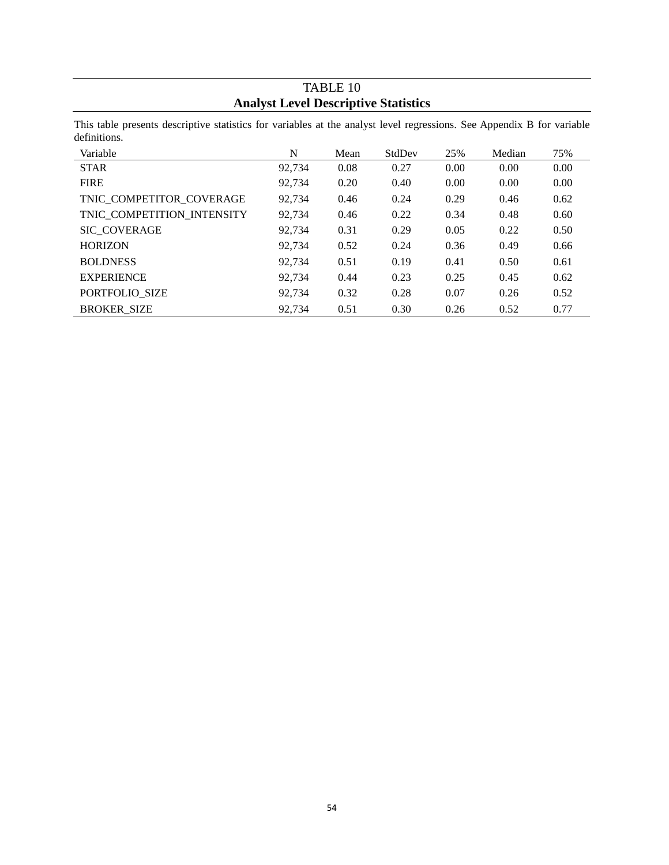# TABLE 10 **Analyst Level Descriptive Statistics**

This table presents descriptive statistics for variables at the analyst level regressions. See Appendix B for variable definitions.

| Variable                   | N      | Mean | StdDev | 25%  | Median | 75%  |
|----------------------------|--------|------|--------|------|--------|------|
| <b>STAR</b>                | 92,734 | 0.08 | 0.27   | 0.00 | 0.00   | 0.00 |
| <b>FIRE</b>                | 92.734 | 0.20 | 0.40   | 0.00 | 0.00   | 0.00 |
| TNIC COMPETITOR_COVERAGE   | 92.734 | 0.46 | 0.24   | 0.29 | 0.46   | 0.62 |
| TNIC COMPETITION_INTENSITY | 92,734 | 0.46 | 0.22   | 0.34 | 0.48   | 0.60 |
| <b>SIC COVERAGE</b>        | 92,734 | 0.31 | 0.29   | 0.05 | 0.22   | 0.50 |
| <b>HORIZON</b>             | 92,734 | 0.52 | 0.24   | 0.36 | 0.49   | 0.66 |
| <b>BOLDNESS</b>            | 92.734 | 0.51 | 0.19   | 0.41 | 0.50   | 0.61 |
| <b>EXPERIENCE</b>          | 92.734 | 0.44 | 0.23   | 0.25 | 0.45   | 0.62 |
| PORTFOLIO SIZE             | 92.734 | 0.32 | 0.28   | 0.07 | 0.26   | 0.52 |
| <b>BROKER_SIZE</b>         | 92,734 | 0.51 | 0.30   | 0.26 | 0.52   | 0.77 |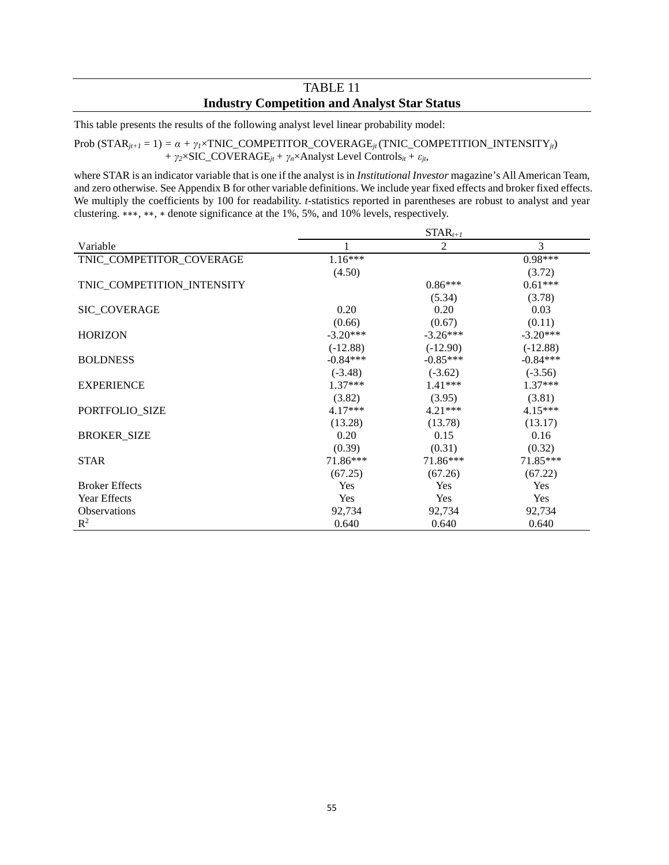# TABLE 11 **Industry Competition and Analyst Star Status**

This table presents the results of the following analyst level linear probability model:

Prob  $(\text{STAR}_{jt+1} = 1) = \alpha + \gamma_t \times \text{TNIC\_COMPETITOR\_COVERAGE}_{jt}(\text{TNIC\_COMPETITION\_INTENSITY}_{jt})$ *+*  $\gamma_2 \times \text{SIC\_COVERAGE}_{jt} + \gamma_n \times \text{Analysis Level Controls}_{it} + \varepsilon_{jt}$ ,

where STAR is an indicator variable that is one if the analyst is in *Institutional Investor* magazine's All American Team, and zero otherwise. See Appendix B for other variable definitions. We include year fixed effects and broker fixed effects. We multiply the coefficients by 100 for readability. *t*-statistics reported in parentheses are robust to analyst and year clustering. ∗∗∗, ∗∗, ∗ denote significance at the 1%, 5%, and 10% levels, respectively.

|                            | $STAR_{t+1}$ |            |            |  |  |  |  |  |
|----------------------------|--------------|------------|------------|--|--|--|--|--|
| Variable                   |              | 2          | 3          |  |  |  |  |  |
| TNIC_COMPETITOR_COVERAGE   | $1.16***$    |            | $0.98***$  |  |  |  |  |  |
|                            | (4.50)       |            | (3.72)     |  |  |  |  |  |
| TNIC_COMPETITION_INTENSITY |              | $0.86***$  | $0.61***$  |  |  |  |  |  |
|                            |              | (5.34)     | (3.78)     |  |  |  |  |  |
| <b>SIC COVERAGE</b>        | 0.20         | 0.20       | 0.03       |  |  |  |  |  |
|                            | (0.66)       | (0.67)     | (0.11)     |  |  |  |  |  |
| <b>HORIZON</b>             | $-3.20***$   | $-3.26***$ | $-3.20***$ |  |  |  |  |  |
|                            | $(-12.88)$   | $(-12.90)$ | $(-12.88)$ |  |  |  |  |  |
| <b>BOLDNESS</b>            | $-0.84***$   | $-0.85***$ | $-0.84***$ |  |  |  |  |  |
|                            | $(-3.48)$    | $(-3.62)$  | $(-3.56)$  |  |  |  |  |  |
| <b>EXPERIENCE</b>          | $1.37***$    | $1.41***$  | $1.37***$  |  |  |  |  |  |
|                            | (3.82)       | (3.95)     | (3.81)     |  |  |  |  |  |
| PORTFOLIO_SIZE             | $4.17***$    | $4.21***$  | $4.15***$  |  |  |  |  |  |
|                            | (13.28)      | (13.78)    | (13.17)    |  |  |  |  |  |
| <b>BROKER_SIZE</b>         | 0.20         | 0.15       | 0.16       |  |  |  |  |  |
|                            | (0.39)       | (0.31)     | (0.32)     |  |  |  |  |  |
| <b>STAR</b>                | 71.86***     | 71.86***   | 71.85***   |  |  |  |  |  |
|                            | (67.25)      | (67.26)    | (67.22)    |  |  |  |  |  |
| <b>Broker Effects</b>      | Yes          | Yes        | Yes        |  |  |  |  |  |
| Year Effects               | Yes          | <b>Yes</b> | Yes        |  |  |  |  |  |
| Observations               | 92,734       | 92,734     | 92,734     |  |  |  |  |  |
| $R^2$                      | 0.640        | 0.640      | 0.640      |  |  |  |  |  |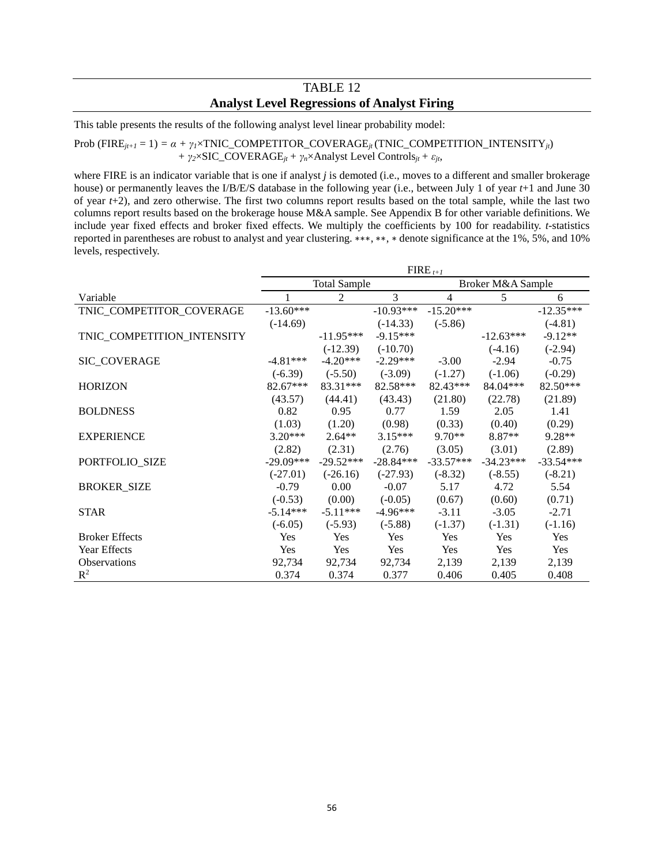# TABLE 12 **Analyst Level Regressions of Analyst Firing**

This table presents the results of the following analyst level linear probability model:

#### Prob (FIRE<sub>*jt+1*</sub> = 1) =  $\alpha$  +  $\gamma$ <sub>*I*</sub>×TNIC\_COMPETITOR\_COVERAGE<sub>*jt*</sub> (TNIC\_COMPETITION\_INTENSITY<sub>*jt*</sub>)</sub> *+ γ2*×SIC\_COVERAGE*jt+ γn*×Analyst Level Controls*jt + εjt*,

where FIRE is an indicator variable that is one if analyst *j* is demoted (i.e., moves to a different and smaller brokerage house) or permanently leaves the I/B/E/S database in the following year (i.e., between July 1 of year *t*+1 and June 30 of year *t*+2), and zero otherwise. The first two columns report results based on the total sample, while the last two columns report results based on the brokerage house M&A sample. See Appendix B for other variable definitions. We include year fixed effects and broker fixed effects. We multiply the coefficients by 100 for readability. *t*-statistics reported in parentheses are robust to analyst and year clustering. ∗∗∗, ∗∗, ∗ denote significance at the 1%, 5%, and 10% levels, respectively.

|                            | $FIRE_{t+1}$ |                     |             |                   |             |             |
|----------------------------|--------------|---------------------|-------------|-------------------|-------------|-------------|
|                            |              | <b>Total Sample</b> |             | Broker M&A Sample |             |             |
| Variable                   |              | 2                   | 3           | 4                 | 5           | 6           |
| TNIC_COMPETITOR_COVERAGE   | $-13.60***$  |                     | $-10.93***$ | $-15.20***$       |             | $-12.35***$ |
|                            | $(-14.69)$   |                     | $(-14.33)$  | $(-5.86)$         |             | $(-4.81)$   |
| TNIC_COMPETITION_INTENSITY |              | $-11.95***$         | $-9.15***$  |                   | $-12.63***$ | $-9.12**$   |
|                            |              | $(-12.39)$          | $(-10.70)$  |                   | $(-4.16)$   | $(-2.94)$   |
| SIC_COVERAGE               | $-4.81***$   | $-4.20***$          | $-2.29***$  | $-3.00$           | $-2.94$     | $-0.75$     |
|                            | $(-6.39)$    | $(-5.50)$           | $(-3.09)$   | $(-1.27)$         | $(-1.06)$   | $(-0.29)$   |
| <b>HORIZON</b>             | 82.67***     | 83.31***            | 82.58***    | 82.43***          | 84.04***    | $82.50***$  |
|                            | (43.57)      | (44.41)             | (43.43)     | (21.80)           | (22.78)     | (21.89)     |
| <b>BOLDNESS</b>            | 0.82         | 0.95                | 0.77        | 1.59              | 2.05        | 1.41        |
|                            | (1.03)       | (1.20)              | (0.98)      | (0.33)            | (0.40)      | (0.29)      |
| <b>EXPERIENCE</b>          | $3.20***$    | $2.64**$            | $3.15***$   | $9.70**$          | 8.87**      | 9.28**      |
|                            | (2.82)       | (2.31)              | (2.76)      | (3.05)            | (3.01)      | (2.89)      |
| PORTFOLIO_SIZE             | $-29.09***$  | $-29.52***$         | $-28.84***$ | $-33.57***$       | $-34.23***$ | $-33.54***$ |
|                            | $(-27.01)$   | $(-26.16)$          | $(-27.93)$  | $(-8.32)$         | $(-8.55)$   | $(-8.21)$   |
| <b>BROKER_SIZE</b>         | $-0.79$      | 0.00                | $-0.07$     | 5.17              | 4.72        | 5.54        |
|                            | $(-0.53)$    | (0.00)              | $(-0.05)$   | (0.67)            | (0.60)      | (0.71)      |
| <b>STAR</b>                | $-5.14***$   | $-5.11***$          | $-4.96***$  | $-3.11$           | $-3.05$     | $-2.71$     |
|                            | $(-6.05)$    | $(-5.93)$           | $(-5.88)$   | $(-1.37)$         | $(-1.31)$   | $(-1.16)$   |
| <b>Broker Effects</b>      | Yes          | Yes                 | Yes         | Yes               | Yes         | Yes         |
| Year Effects               | Yes          | <b>Yes</b>          | <b>Yes</b>  | <b>Yes</b>        | <b>Yes</b>  | Yes         |
| <b>Observations</b>        | 92,734       | 92,734              | 92,734      | 2,139             | 2,139       | 2,139       |
| $R^2$                      | 0.374        | 0.374               | 0.377       | 0.406             | 0.405       | 0.408       |